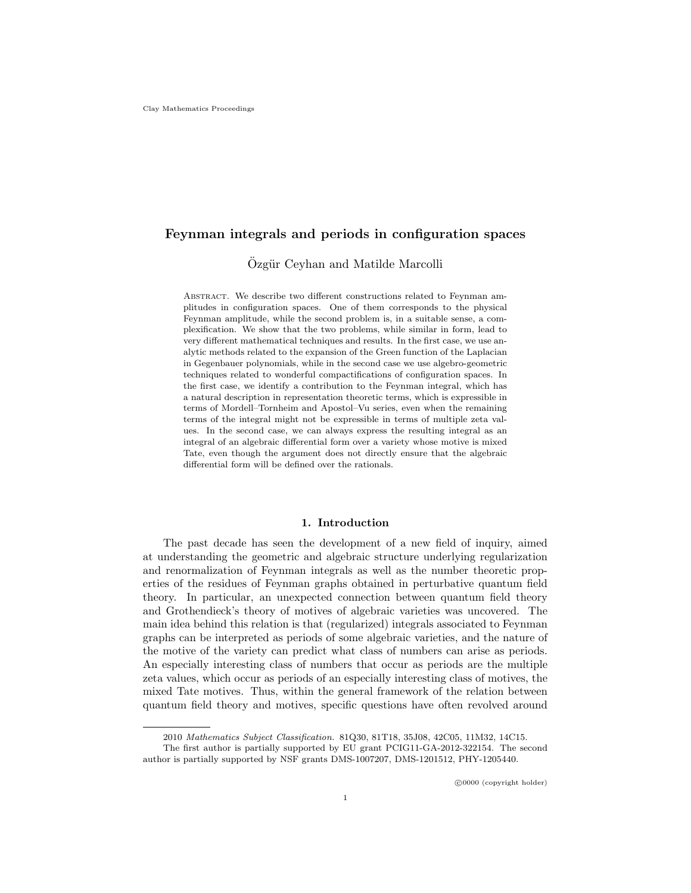# Feynman integrals and periods in configuration spaces

Özgür Ceyhan and Matilde Marcolli

ABSTRACT. We describe two different constructions related to Feynman amplitudes in configuration spaces. One of them corresponds to the physical Feynman amplitude, while the second problem is, in a suitable sense, a complexification. We show that the two problems, while similar in form, lead to very different mathematical techniques and results. In the first case, we use analytic methods related to the expansion of the Green function of the Laplacian in Gegenbauer polynomials, while in the second case we use algebro-geometric techniques related to wonderful compactifications of configuration spaces. In the first case, we identify a contribution to the Feynman integral, which has a natural description in representation theoretic terms, which is expressible in terms of Mordell–Tornheim and Apostol–Vu series, even when the remaining terms of the integral might not be expressible in terms of multiple zeta values. In the second case, we can always express the resulting integral as an integral of an algebraic differential form over a variety whose motive is mixed Tate, even though the argument does not directly ensure that the algebraic differential form will be defined over the rationals.

#### 1. Introduction

The past decade has seen the development of a new field of inquiry, aimed at understanding the geometric and algebraic structure underlying regularization and renormalization of Feynman integrals as well as the number theoretic properties of the residues of Feynman graphs obtained in perturbative quantum field theory. In particular, an unexpected connection between quantum field theory and Grothendieck's theory of motives of algebraic varieties was uncovered. The main idea behind this relation is that (regularized) integrals associated to Feynman graphs can be interpreted as periods of some algebraic varieties, and the nature of the motive of the variety can predict what class of numbers can arise as periods. An especially interesting class of numbers that occur as periods are the multiple zeta values, which occur as periods of an especially interesting class of motives, the mixed Tate motives. Thus, within the general framework of the relation between quantum field theory and motives, specific questions have often revolved around

<sup>2010</sup> Mathematics Subject Classification. 81Q30, 81T18, 35J08, 42C05, 11M32, 14C15.

The first author is partially supported by EU grant PCIG11-GA-2012-322154. The second author is partially supported by NSF grants DMS-1007207, DMS-1201512, PHY-1205440.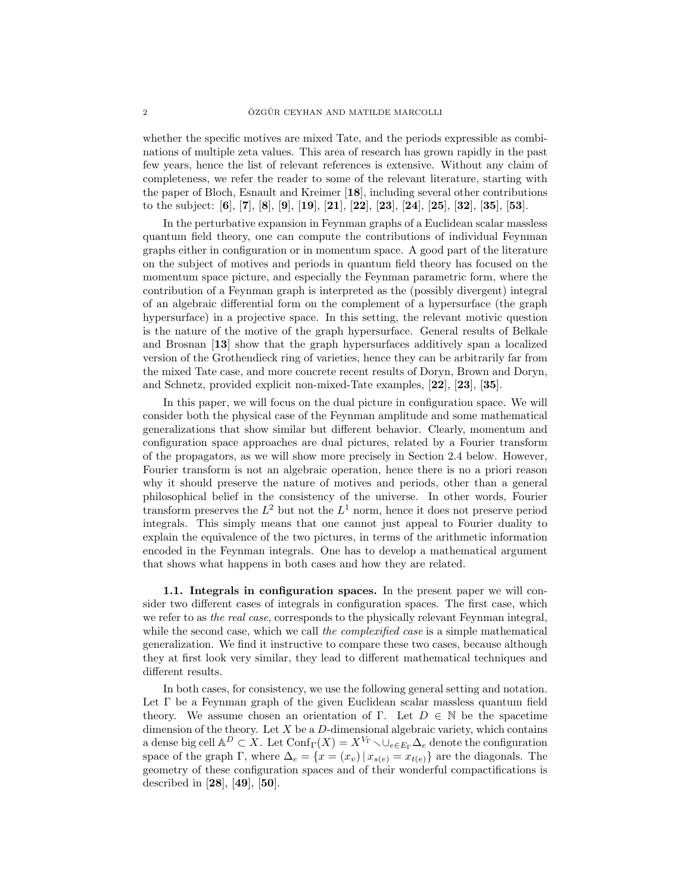whether the specific motives are mixed Tate, and the periods expressible as combinations of multiple zeta values. This area of research has grown rapidly in the past few years, hence the list of relevant references is extensive. Without any claim of completeness, we refer the reader to some of the relevant literature, starting with the paper of Bloch, Esnault and Kreimer [18], including several other contributions to the subject: [6], [7], [8], [9], [19], [21], [22], [23], [24], [25], [32], [35], [53].

In the perturbative expansion in Feynman graphs of a Euclidean scalar massless quantum field theory, one can compute the contributions of individual Feynman graphs either in configuration or in momentum space. A good part of the literature on the subject of motives and periods in quantum field theory has focused on the momentum space picture, and especially the Feynman parametric form, where the contribution of a Feynman graph is interpreted as the (possibly divergent) integral of an algebraic differential form on the complement of a hypersurface (the graph hypersurface) in a projective space. In this setting, the relevant motivic question is the nature of the motive of the graph hypersurface. General results of Belkale and Brosnan [13] show that the graph hypersurfaces additively span a localized version of the Grothendieck ring of varieties, hence they can be arbitrarily far from the mixed Tate case, and more concrete recent results of Doryn, Brown and Doryn, and Schnetz, provided explicit non-mixed-Tate examples, [22], [23], [35].

In this paper, we will focus on the dual picture in configuration space. We will consider both the physical case of the Feynman amplitude and some mathematical generalizations that show similar but different behavior. Clearly, momentum and configuration space approaches are dual pictures, related by a Fourier transform of the propagators, as we will show more precisely in Section 2.4 below. However, Fourier transform is not an algebraic operation, hence there is no a priori reason why it should preserve the nature of motives and periods, other than a general philosophical belief in the consistency of the universe. In other words, Fourier transform preserves the  $L^2$  but not the  $L^1$  norm, hence it does not preserve period integrals. This simply means that one cannot just appeal to Fourier duality to explain the equivalence of the two pictures, in terms of the arithmetic information encoded in the Feynman integrals. One has to develop a mathematical argument that shows what happens in both cases and how they are related.

1.1. Integrals in configuration spaces. In the present paper we will consider two different cases of integrals in configuration spaces. The first case, which we refer to as the real case, corresponds to the physically relevant Feynman integral, while the second case, which we call the *complexified case* is a simple mathematical generalization. We find it instructive to compare these two cases, because although they at first look very similar, they lead to different mathematical techniques and different results.

In both cases, for consistency, we use the following general setting and notation. Let Γ be a Feynman graph of the given Euclidean scalar massless quantum field theory. We assume chosen an orientation of Γ. Let  $D \in \mathbb{N}$  be the spacetime dimension of the theory. Let  $X$  be a  $D$ -dimensional algebraic variety, which contains a dense big cell  $\mathbb{A}^D \subset X$ . Let  $\text{Conf}_{\Gamma}(X) = X^{V_{\Gamma}} \setminus \cup_{e \in E_{\Gamma}} \Delta_e$  denote the configuration space of the graph Γ, where  $\Delta_e = \{x = (x_v) | x_{s(e)} = x_{t(e)}\}$  are the diagonals. The geometry of these configuration spaces and of their wonderful compactifications is described in [28], [49], [50].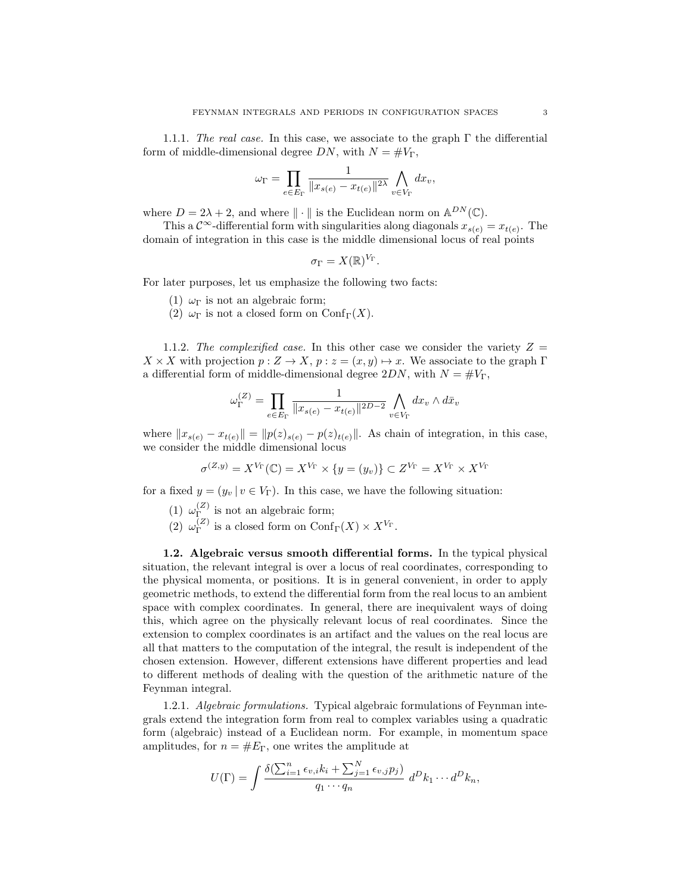1.1.1. The real case. In this case, we associate to the graph  $\Gamma$  the differential form of middle-dimensional degree DN, with  $N = \#V_{\Gamma}$ ,

$$
\omega_{\Gamma} = \prod_{e \in E_{\Gamma}} \frac{1}{\|x_{s(e)} - x_{t(e)}\|^{2\lambda}} \bigwedge_{v \in V_{\Gamma}} dx_v,
$$

where  $D = 2\lambda + 2$ , and where  $\|\cdot\|$  is the Euclidean norm on  $\mathbb{A}^{DN}(\mathbb{C})$ .

This a  $\mathcal{C}^{\infty}$ -differential form with singularities along diagonals  $x_{s(e)} = x_{t(e)}$ . The domain of integration in this case is the middle dimensional locus of real points

$$
\sigma_{\Gamma} = X(\mathbb{R})^{V_{\Gamma}}.
$$

For later purposes, let us emphasize the following two facts:

- (1)  $\omega_{\Gamma}$  is not an algebraic form;
- (2)  $\omega_{\Gamma}$  is not a closed form on Conf<sub>Γ</sub>(X).

1.1.2. The complexified case. In this other case we consider the variety  $Z =$  $X \times X$  with projection  $p: Z \to X$ ,  $p: z = (x, y) \mapsto x$ . We associate to the graph Γ a differential form of middle-dimensional degree  $2DN$ , with  $N = \#V_{\Gamma}$ ,

$$
\omega_{\Gamma}^{(Z)} = \prod_{e \in E_{\Gamma}} \frac{1}{\|x_{s(e)} - x_{t(e)}\|^{2D-2}} \bigwedge_{v \in V_{\Gamma}} dx_v \wedge d\bar{x}_v
$$

where  $||x_{s(e)} - x_{t(e)}|| = ||p(z)_{s(e)} - p(z)_{t(e)}||$ . As chain of integration, in this case, we consider the middle dimensional locus

$$
\sigma^{(Z,y)} = X^{V_{\Gamma}}(\mathbb{C}) = X^{V_{\Gamma}} \times \{y = (y_v)\} \subset Z^{V_{\Gamma}} = X^{V_{\Gamma}} \times X^{V_{\Gamma}}
$$

for a fixed  $y = (y_v | v \in V_\Gamma)$ . In this case, we have the following situation:

- $(1) \omega_{\Gamma}^{(Z)}$  $I_{\Gamma}^{(2)}$  is not an algebraic form;
- $(2) \omega_{\Gamma}^{(Z)}$  $\Gamma_{\Gamma}^{(Z)}$  is a closed form on  $\mathrm{Conf}_{\Gamma}(X) \times X^{V_{\Gamma}}$ .

1.2. Algebraic versus smooth differential forms. In the typical physical situation, the relevant integral is over a locus of real coordinates, corresponding to the physical momenta, or positions. It is in general convenient, in order to apply geometric methods, to extend the differential form from the real locus to an ambient space with complex coordinates. In general, there are inequivalent ways of doing this, which agree on the physically relevant locus of real coordinates. Since the extension to complex coordinates is an artifact and the values on the real locus are all that matters to the computation of the integral, the result is independent of the chosen extension. However, different extensions have different properties and lead to different methods of dealing with the question of the arithmetic nature of the Feynman integral.

1.2.1. Algebraic formulations. Typical algebraic formulations of Feynman integrals extend the integration form from real to complex variables using a quadratic form (algebraic) instead of a Euclidean norm. For example, in momentum space amplitudes, for  $n = \#E_{\Gamma}$ , one writes the amplitude at

$$
U(\Gamma) = \int \frac{\delta(\sum_{i=1}^n \epsilon_{v,i} k_i + \sum_{j=1}^N \epsilon_{v,j} p_j)}{q_1 \cdots q_n} d^D k_1 \cdots d^D k_n,
$$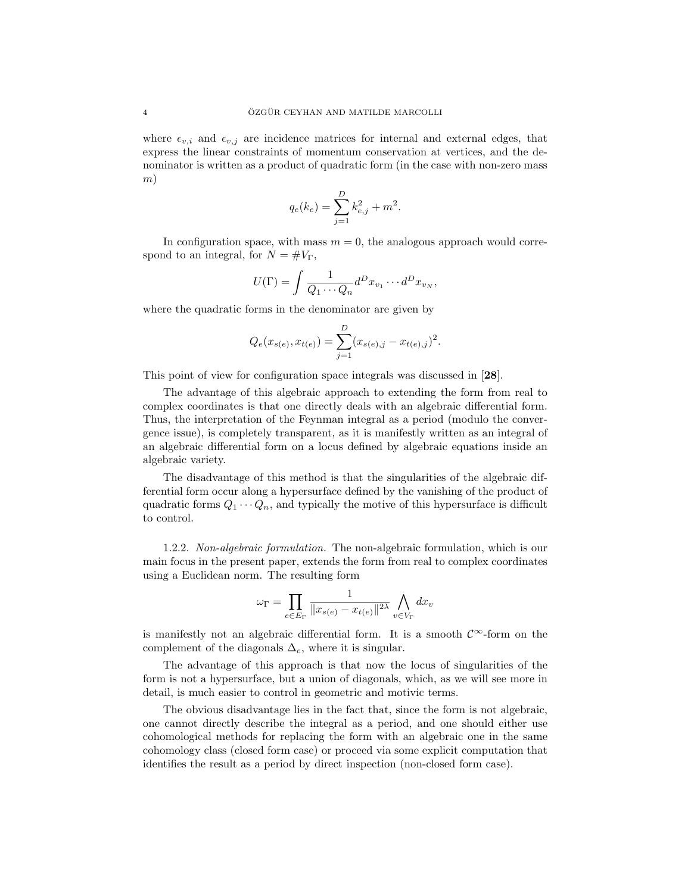where  $\epsilon_{v,i}$  and  $\epsilon_{v,i}$  are incidence matrices for internal and external edges, that express the linear constraints of momentum conservation at vertices, and the denominator is written as a product of quadratic form (in the case with non-zero mass m)

$$
q_e(k_e) = \sum_{j=1}^{D} k_{e,j}^2 + m^2.
$$

In configuration space, with mass  $m = 0$ , the analogous approach would correspond to an integral, for  $N = \#V_{\Gamma}$ ,

$$
U(\Gamma) = \int \frac{1}{Q_1 \cdots Q_n} d^D x_{v_1} \cdots d^D x_{v_N},
$$

where the quadratic forms in the denominator are given by

$$
Q_e(x_{s(e)}, x_{t(e)}) = \sum_{j=1}^{D} (x_{s(e),j} - x_{t(e),j})^2.
$$

This point of view for configuration space integrals was discussed in [28].

The advantage of this algebraic approach to extending the form from real to complex coordinates is that one directly deals with an algebraic differential form. Thus, the interpretation of the Feynman integral as a period (modulo the convergence issue), is completely transparent, as it is manifestly written as an integral of an algebraic differential form on a locus defined by algebraic equations inside an algebraic variety.

The disadvantage of this method is that the singularities of the algebraic differential form occur along a hypersurface defined by the vanishing of the product of quadratic forms  $Q_1 \cdots Q_n$ , and typically the motive of this hypersurface is difficult to control.

1.2.2. Non-algebraic formulation. The non-algebraic formulation, which is our main focus in the present paper, extends the form from real to complex coordinates using a Euclidean norm. The resulting form

$$
\omega_{\Gamma} = \prod_{e \in E_{\Gamma}} \frac{1}{\|x_{s(e)} - x_{t(e)}\|^{2\lambda}} \bigwedge_{v \in V_{\Gamma}} dx_v
$$

is manifestly not an algebraic differential form. It is a smooth  $\mathcal{C}^{\infty}$ -form on the complement of the diagonals  $\Delta_e$ , where it is singular.

The advantage of this approach is that now the locus of singularities of the form is not a hypersurface, but a union of diagonals, which, as we will see more in detail, is much easier to control in geometric and motivic terms.

The obvious disadvantage lies in the fact that, since the form is not algebraic, one cannot directly describe the integral as a period, and one should either use cohomological methods for replacing the form with an algebraic one in the same cohomology class (closed form case) or proceed via some explicit computation that identifies the result as a period by direct inspection (non-closed form case).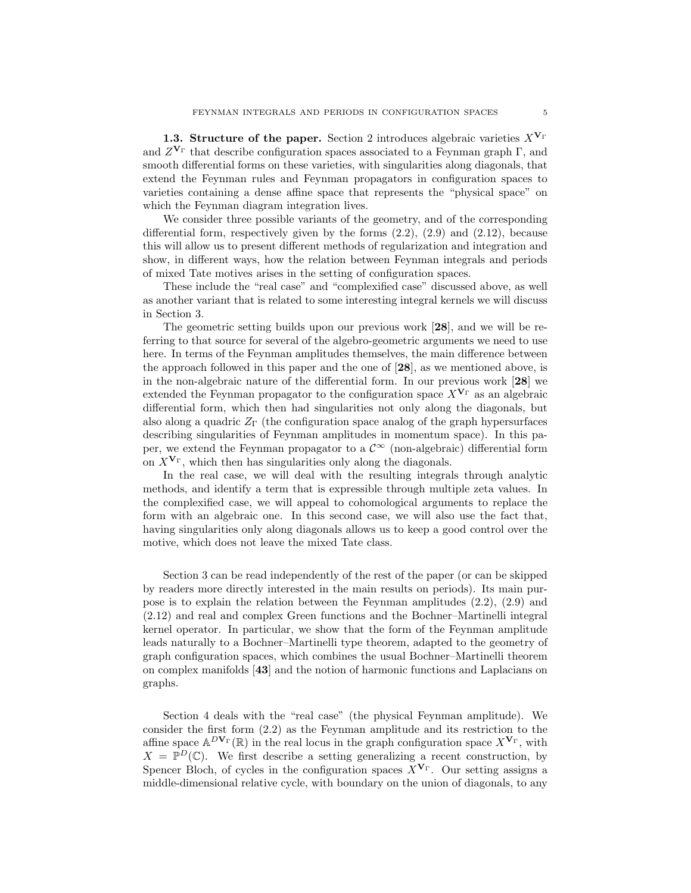1.3. Structure of the paper. Section 2 introduces algebraic varieties  $X^{\mathbf{V}_{\Gamma}}$ and  $Z^{\mathbf{V}_{\Gamma}}$  that describe configuration spaces associated to a Feynman graph  $\Gamma$ , and smooth differential forms on these varieties, with singularities along diagonals, that extend the Feynman rules and Feynman propagators in configuration spaces to varieties containing a dense affine space that represents the "physical space" on which the Feynman diagram integration lives.

We consider three possible variants of the geometry, and of the corresponding differential form, respectively given by the forms  $(2.2)$ ,  $(2.9)$  and  $(2.12)$ , because this will allow us to present different methods of regularization and integration and show, in different ways, how the relation between Feynman integrals and periods of mixed Tate motives arises in the setting of configuration spaces.

These include the "real case" and "complexified case" discussed above, as well as another variant that is related to some interesting integral kernels we will discuss in Section 3.

The geometric setting builds upon our previous work [28], and we will be referring to that source for several of the algebro-geometric arguments we need to use here. In terms of the Feynman amplitudes themselves, the main difference between the approach followed in this paper and the one of [28], as we mentioned above, is in the non-algebraic nature of the differential form. In our previous work  $[28]$  we extended the Feynman propagator to the configuration space  $X^{\mathbf{V}_{\Gamma}}$  as an algebraic differential form, which then had singularities not only along the diagonals, but also along a quadric  $Z_{\Gamma}$  (the configuration space analog of the graph hypersurfaces describing singularities of Feynman amplitudes in momentum space). In this paper, we extend the Feynman propagator to a  $\mathcal{C}^{\infty}$  (non-algebraic) differential form on  $X^{\mathbf{V}_{\Gamma}}$ , which then has singularities only along the diagonals.

In the real case, we will deal with the resulting integrals through analytic methods, and identify a term that is expressible through multiple zeta values. In the complexified case, we will appeal to cohomological arguments to replace the form with an algebraic one. In this second case, we will also use the fact that, having singularities only along diagonals allows us to keep a good control over the motive, which does not leave the mixed Tate class.

Section 3 can be read independently of the rest of the paper (or can be skipped by readers more directly interested in the main results on periods). Its main purpose is to explain the relation between the Feynman amplitudes (2.2), (2.9) and (2.12) and real and complex Green functions and the Bochner–Martinelli integral kernel operator. In particular, we show that the form of the Feynman amplitude leads naturally to a Bochner–Martinelli type theorem, adapted to the geometry of graph configuration spaces, which combines the usual Bochner–Martinelli theorem on complex manifolds [43] and the notion of harmonic functions and Laplacians on graphs.

Section 4 deals with the "real case" (the physical Feynman amplitude). We consider the first form (2.2) as the Feynman amplitude and its restriction to the affine space  $\mathbb{A}^{D\mathbf{V}_{\Gamma}}(\mathbb{R})$  in the real locus in the graph configuration space  $X^{\mathbf{V}_{\Gamma}}$ , with  $X = \mathbb{P}^D(\mathbb{C})$ . We first describe a setting generalizing a recent construction, by Spencer Bloch, of cycles in the configuration spaces  $X^{\mathbf{V}_{\Gamma}}$ . Our setting assigns a middle-dimensional relative cycle, with boundary on the union of diagonals, to any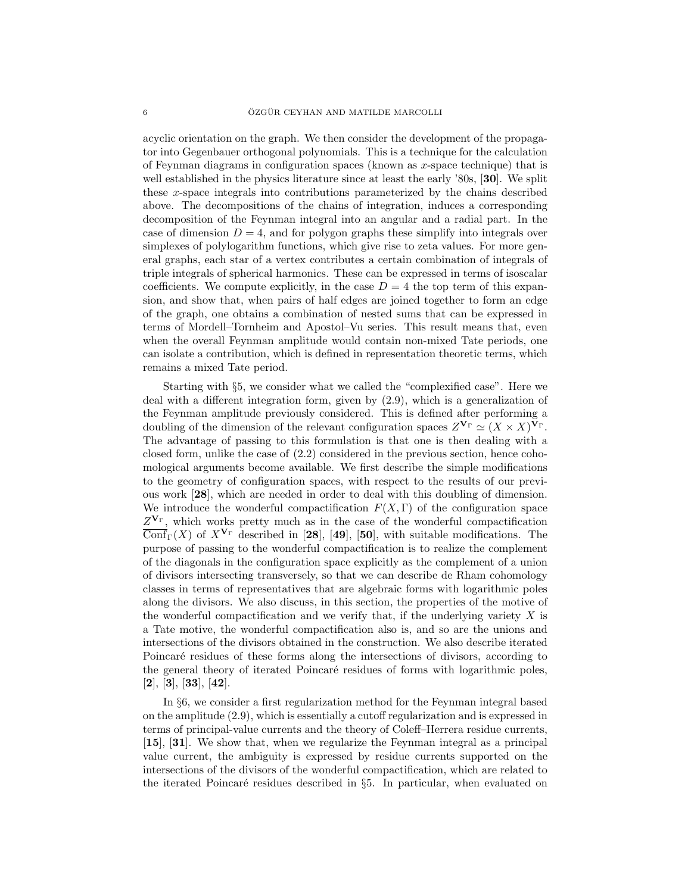acyclic orientation on the graph. We then consider the development of the propagator into Gegenbauer orthogonal polynomials. This is a technique for the calculation of Feynman diagrams in configuration spaces (known as  $x$ -space technique) that is well established in the physics literature since at least the early '80s, [30]. We split these x-space integrals into contributions parameterized by the chains described above. The decompositions of the chains of integration, induces a corresponding decomposition of the Feynman integral into an angular and a radial part. In the case of dimension  $D = 4$ , and for polygon graphs these simplify into integrals over simplexes of polylogarithm functions, which give rise to zeta values. For more general graphs, each star of a vertex contributes a certain combination of integrals of triple integrals of spherical harmonics. These can be expressed in terms of isoscalar coefficients. We compute explicitly, in the case  $D = 4$  the top term of this expansion, and show that, when pairs of half edges are joined together to form an edge of the graph, one obtains a combination of nested sums that can be expressed in terms of Mordell–Tornheim and Apostol–Vu series. This result means that, even when the overall Feynman amplitude would contain non-mixed Tate periods, one can isolate a contribution, which is defined in representation theoretic terms, which remains a mixed Tate period.

Starting with §5, we consider what we called the "complexified case". Here we deal with a different integration form, given by (2.9), which is a generalization of the Feynman amplitude previously considered. This is defined after performing a doubling of the dimension of the relevant configuration spaces  $Z^{\mathbf{V}_{\Gamma}} \simeq (X \times X)^{\mathbf{V}_{\Gamma}}$ . The advantage of passing to this formulation is that one is then dealing with a closed form, unlike the case of (2.2) considered in the previous section, hence cohomological arguments become available. We first describe the simple modifications to the geometry of configuration spaces, with respect to the results of our previous work [28], which are needed in order to deal with this doubling of dimension. We introduce the wonderful compactification  $F(X, \Gamma)$  of the configuration space  $Z^{\mathbf{V}_{\Gamma}}$ , which works pretty much as in the case of the wonderful compactification  $\overline{\text{Conf}}_{\Gamma}(X)$  of  $X^{\mathbf{V}_{\Gamma}}$  described in [28], [49], [50], with suitable modifications. The purpose of passing to the wonderful compactification is to realize the complement of the diagonals in the configuration space explicitly as the complement of a union of divisors intersecting transversely, so that we can describe de Rham cohomology classes in terms of representatives that are algebraic forms with logarithmic poles along the divisors. We also discuss, in this section, the properties of the motive of the wonderful compactification and we verify that, if the underlying variety  $X$  is a Tate motive, the wonderful compactification also is, and so are the unions and intersections of the divisors obtained in the construction. We also describe iterated Poincaré residues of these forms along the intersections of divisors, according to the general theory of iterated Poincaré residues of forms with logarithmic poles,  $[2], [3], [33], [42].$ 

In §6, we consider a first regularization method for the Feynman integral based on the amplitude (2.9), which is essentially a cutoff regularization and is expressed in terms of principal-value currents and the theory of Coleff–Herrera residue currents, [15], [31]. We show that, when we regularize the Feynman integral as a principal value current, the ambiguity is expressed by residue currents supported on the intersections of the divisors of the wonderful compactification, which are related to the iterated Poincaré residues described in  $\S5$ . In particular, when evaluated on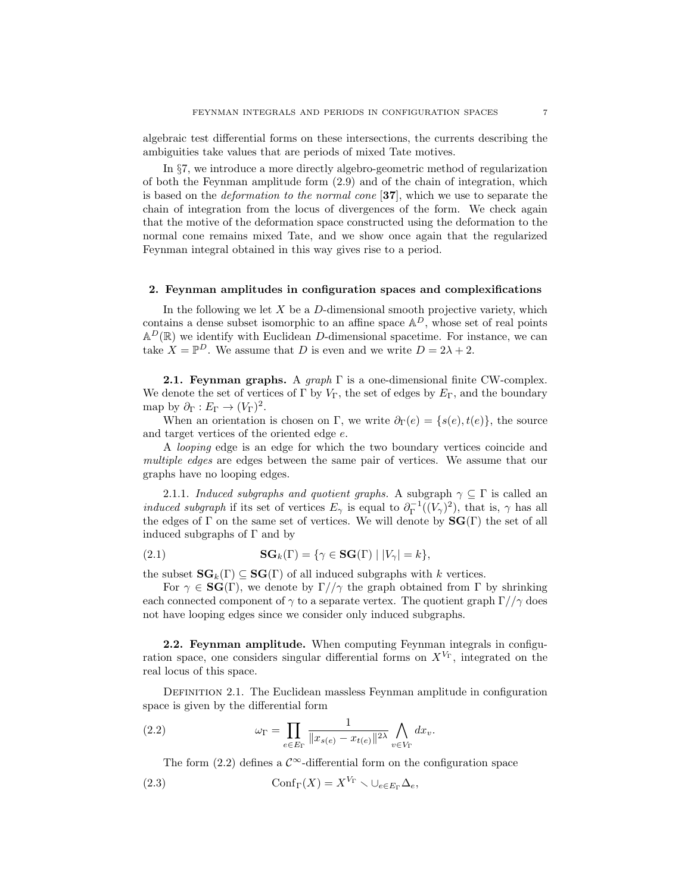algebraic test differential forms on these intersections, the currents describing the ambiguities take values that are periods of mixed Tate motives.

In §7, we introduce a more directly algebro-geometric method of regularization of both the Feynman amplitude form (2.9) and of the chain of integration, which is based on the deformation to the normal cone [37], which we use to separate the chain of integration from the locus of divergences of the form. We check again that the motive of the deformation space constructed using the deformation to the normal cone remains mixed Tate, and we show once again that the regularized Feynman integral obtained in this way gives rise to a period.

### 2. Feynman amplitudes in configuration spaces and complexifications

In the following we let  $X$  be a  $D$ -dimensional smooth projective variety, which contains a dense subset isomorphic to an affine space  $\mathbb{A}^D$ , whose set of real points  $\mathbb{A}^D(\mathbb{R})$  we identify with Euclidean D-dimensional spacetime. For instance, we can take  $X = \mathbb{P}^D$ . We assume that D is even and we write  $D = 2\lambda + 2$ .

**2.1. Feynman graphs.** A graph  $\Gamma$  is a one-dimensional finite CW-complex. We denote the set of vertices of  $\Gamma$  by  $V_{\Gamma}$ , the set of edges by  $E_{\Gamma}$ , and the boundary map by  $\partial_{\Gamma}: E_{\Gamma} \to (V_{\Gamma})^2$ .

When an orientation is chosen on Γ, we write  $\partial_{\Gamma}(e) = \{s(e), t(e)\}\$ , the source and target vertices of the oriented edge e.

A looping edge is an edge for which the two boundary vertices coincide and multiple edges are edges between the same pair of vertices. We assume that our graphs have no looping edges.

2.1.1. Induced subgraphs and quotient graphs. A subgraph  $\gamma \subseteq \Gamma$  is called an *induced subgraph* if its set of vertices  $E_\gamma$  is equal to  $\partial_{\Gamma}^{-1}((V_\gamma)^2)$ , that is,  $\gamma$  has all the edges of  $\Gamma$  on the same set of vertices. We will denote by  $\mathbf{SG}(\Gamma)$  the set of all induced subgraphs of  $\Gamma$  and by

(2.1) 
$$
\mathbf{SG}_k(\Gamma) = \{ \gamma \in \mathbf{SG}(\Gamma) \mid |V_{\gamma}| = k \},
$$

the subset  $\mathbf{SG}_k(\Gamma) \subseteq \mathbf{SG}(\Gamma)$  of all induced subgraphs with k vertices.

For  $\gamma \in \mathbf{SG}(\Gamma)$ , we denote by  $\Gamma//\gamma$  the graph obtained from  $\Gamma$  by shrinking each connected component of  $\gamma$  to a separate vertex. The quotient graph  $\Gamma//\gamma$  does not have looping edges since we consider only induced subgraphs.

2.2. Feynman amplitude. When computing Feynman integrals in configuration space, one considers singular differential forms on  $X^{V_{\Gamma}}$ , integrated on the real locus of this space.

Definition 2.1. The Euclidean massless Feynman amplitude in configuration space is given by the differential form

(2.2) 
$$
\omega_{\Gamma} = \prod_{e \in E_{\Gamma}} \frac{1}{\|x_{s(e)} - x_{t(e)}\|^{2\lambda}} \bigwedge_{v \in V_{\Gamma}} dx_v.
$$

The form  $(2.2)$  defines a  $\mathcal{C}^{\infty}$ -differential form on the configuration space

(2.3) 
$$
\operatorname{Conf}_{\Gamma}(X) = X^{V_{\Gamma}} \setminus \cup_{e \in E_{\Gamma}} \Delta_e,
$$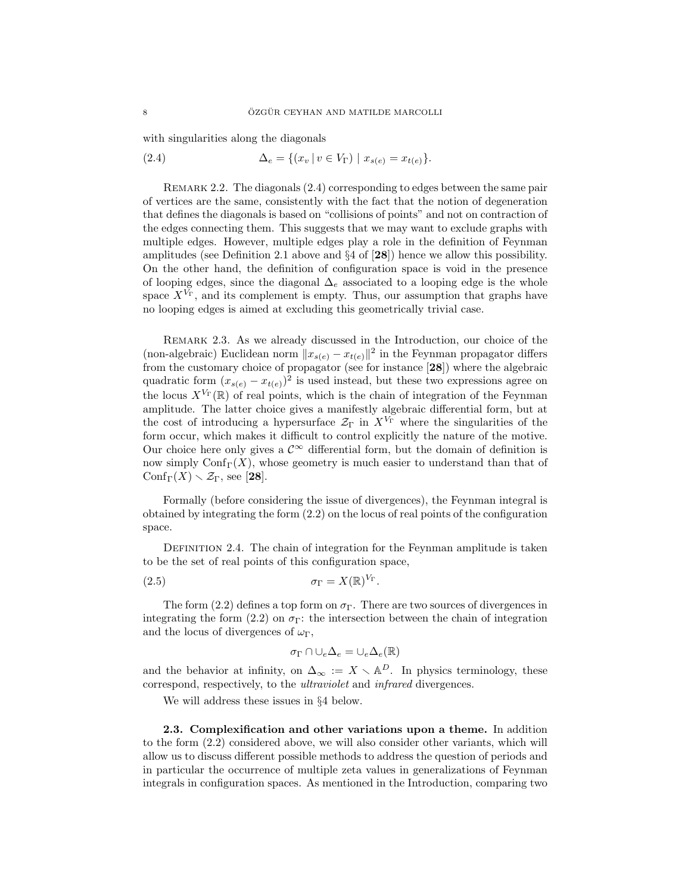with singularities along the diagonals

(2.4) 
$$
\Delta_e = \{ (x_v | v \in V_{\Gamma}) | x_{s(e)} = x_{t(e)} \}.
$$

REMARK 2.2. The diagonals  $(2.4)$  corresponding to edges between the same pair of vertices are the same, consistently with the fact that the notion of degeneration that defines the diagonals is based on "collisions of points" and not on contraction of the edges connecting them. This suggests that we may want to exclude graphs with multiple edges. However, multiple edges play a role in the definition of Feynman amplitudes (see Definition 2.1 above and  $\S 4$  of  $[28]$ ) hence we allow this possibility. On the other hand, the definition of configuration space is void in the presence of looping edges, since the diagonal  $\Delta_e$  associated to a looping edge is the whole space  $X^{V_{\Gamma}}$ , and its complement is empty. Thus, our assumption that graphs have no looping edges is aimed at excluding this geometrically trivial case.

Remark 2.3. As we already discussed in the Introduction, our choice of the (non-algebraic) Euclidean norm  $||x_{s(e)} - x_{t(e)}||^2$  in the Feynman propagator differs from the customary choice of propagator (see for instance [28]) where the algebraic quadratic form  $(x_{s(e)} - x_{t(e)})^2$  is used instead, but these two expressions agree on the locus  $X^{V_{\Gamma}}(\mathbb{R})$  of real points, which is the chain of integration of the Feynman amplitude. The latter choice gives a manifestly algebraic differential form, but at the cost of introducing a hypersurface  $\mathcal{Z}_{\Gamma}$  in  $X^{V_{\Gamma}}$  where the singularities of the form occur, which makes it difficult to control explicitly the nature of the motive. Our choice here only gives a  $\mathcal{C}^{\infty}$  differential form, but the domain of definition is now simply  $\text{Conf}_{\Gamma}(X)$ , whose geometry is much easier to understand than that of  $\mathrm{Conf}_{\Gamma}(X) \setminus \mathcal{Z}_{\Gamma}$ , see [28].

Formally (before considering the issue of divergences), the Feynman integral is obtained by integrating the form (2.2) on the locus of real points of the configuration space.

DEFINITION 2.4. The chain of integration for the Feynman amplitude is taken to be the set of real points of this configuration space,

$$
\sigma_{\Gamma} = X(\mathbb{R})^{V_{\Gamma}}.
$$

The form (2.2) defines a top form on  $\sigma_{\Gamma}$ . There are two sources of divergences in integrating the form (2.2) on  $\sigma_{\Gamma}$ : the intersection between the chain of integration and the locus of divergences of  $\omega_{\Gamma}$ ,

$$
\sigma_{\Gamma} \cap \cup_e \Delta_e = \cup_e \Delta_e(\mathbb{R})
$$

and the behavior at infinity, on  $\Delta_{\infty} := X \setminus \mathbb{A}^D$ . In physics terminology, these correspond, respectively, to the ultraviolet and infrared divergences.

We will address these issues in §4 below.

2.3. Complexification and other variations upon a theme. In addition to the form (2.2) considered above, we will also consider other variants, which will allow us to discuss different possible methods to address the question of periods and in particular the occurrence of multiple zeta values in generalizations of Feynman integrals in configuration spaces. As mentioned in the Introduction, comparing two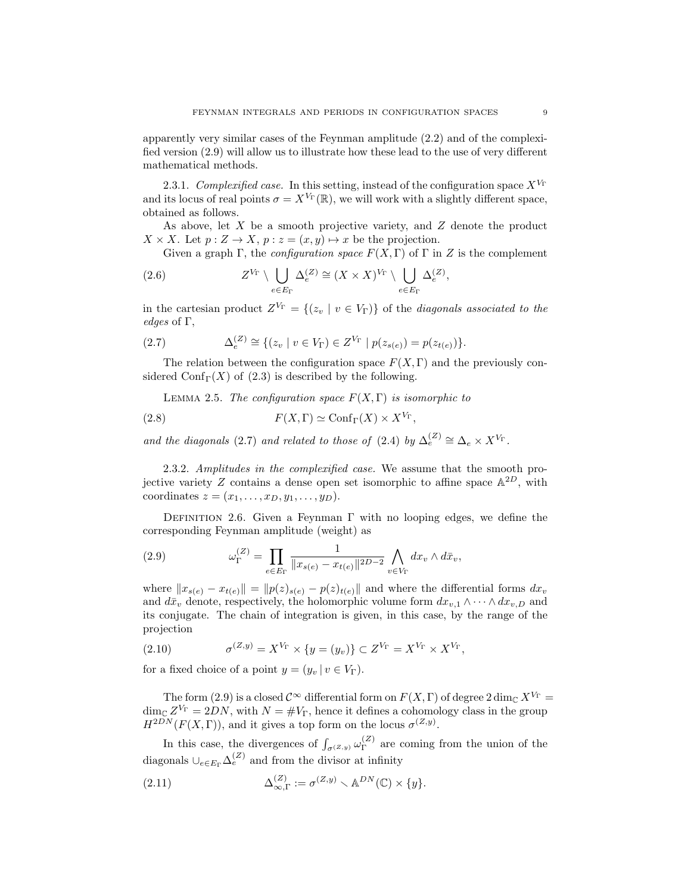apparently very similar cases of the Feynman amplitude (2.2) and of the complexified version (2.9) will allow us to illustrate how these lead to the use of very different mathematical methods.

2.3.1. Complexified case. In this setting, instead of the configuration space  $X^{V_{\Gamma}}$ and its locus of real points  $\sigma = X^{V_{\Gamma}}(\mathbb{R})$ , we will work with a slightly different space, obtained as follows.

As above, let X be a smooth projective variety, and Z denote the product  $X \times X$ . Let  $p: Z \to X$ ,  $p: z = (x, y) \mapsto x$  be the projection.

Given a graph Γ, the *configuration space*  $F(X, \Gamma)$  of Γ in Z is the complement

(2.6) 
$$
Z^{V_{\Gamma}} \setminus \bigcup_{e \in E_{\Gamma}} \Delta_e^{(Z)} \cong (X \times X)^{V_{\Gamma}} \setminus \bigcup_{e \in E_{\Gamma}} \Delta_e^{(Z)},
$$

in the cartesian product  $Z^{V_{\Gamma}} = \{(z_v \mid v \in V_{\Gamma})\}$  of the *diagonals associated to the* edges of Γ,

(2.7) 
$$
\Delta_e^{(Z)} \cong \{(z_v \mid v \in V_\Gamma) \in Z^{V_\Gamma} \mid p(z_{s(e)}) = p(z_{t(e)})\}.
$$

The relation between the configuration space  $F(X, \Gamma)$  and the previously considered Conf<sub>Γ</sub>(X) of (2.3) is described by the following.

LEMMA 2.5. The configuration space  $F(X, \Gamma)$  is isomorphic to

(2.8) 
$$
F(X,\Gamma) \simeq \text{Conf}_{\Gamma}(X) \times X^{V_{\Gamma}},
$$

and the diagonals (2.7) and related to those of (2.4) by  $\Delta_e^{(Z)} \cong \Delta_e \times X^{V_{\Gamma}}$ .

2.3.2. Amplitudes in the complexified case. We assume that the smooth projective variety Z contains a dense open set isomorphic to affine space  $\mathbb{A}^{2D}$ , with coordinates  $z = (x_1, \ldots, x_D, y_1, \ldots, y_D).$ 

DEFINITION 2.6. Given a Feynman  $\Gamma$  with no looping edges, we define the corresponding Feynman amplitude (weight) as

(2.9) 
$$
\omega_{\Gamma}^{(Z)} = \prod_{e \in E_{\Gamma}} \frac{1}{\|x_{s(e)} - x_{t(e)}\|^{2D-2}} \bigwedge_{v \in V_{\Gamma}} dx_v \wedge d\bar{x}_v,
$$

where  $||x_{s(e)} - x_{t(e)}|| = ||p(z)_{s(e)} - p(z)_{t(e)}||$  and where the differential forms  $dx_v$ and  $d\bar{x}_v$  denote, respectively, the holomorphic volume form  $dx_{v,1} \wedge \cdots \wedge dx_{v,D}$  and its conjugate. The chain of integration is given, in this case, by the range of the projection

(2.10) 
$$
\sigma^{(Z,y)} = X^{V_{\Gamma}} \times \{y = (y_v)\} \subset Z^{V_{\Gamma}} = X^{V_{\Gamma}} \times X^{V_{\Gamma}},
$$

for a fixed choice of a point  $y = (y_v | v \in V_\Gamma)$ .

The form (2.9) is a closed  $\mathcal{C}^{\infty}$  differential form on  $F(X,\Gamma)$  of degree 2 dim<sub>C</sub>  $X^{V_{\Gamma}}$  =  $\dim_{\mathbb{C}} Z^{V_{\Gamma}} = 2DN$ , with  $N = \#V_{\Gamma}$ , hence it defines a cohomology class in the group  $H^{2DN}(F(X,\Gamma))$ , and it gives a top form on the locus  $\sigma^{(Z,y)}$ .

In this case, the divergences of  $\int_{\sigma^{(Z,y)}} \omega_{\Gamma}^{(Z)}$  $\Gamma$ <sup>(2)</sup> are coming from the union of the diagonals  $\cup_{e \in E_{\Gamma}} \Delta_e^{(Z)}$  and from the divisor at infinity

(2.11) 
$$
\Delta_{\infty,\Gamma}^{(Z)} := \sigma^{(Z,y)} \smallsetminus \mathbb{A}^{DN}(\mathbb{C}) \times \{y\}.
$$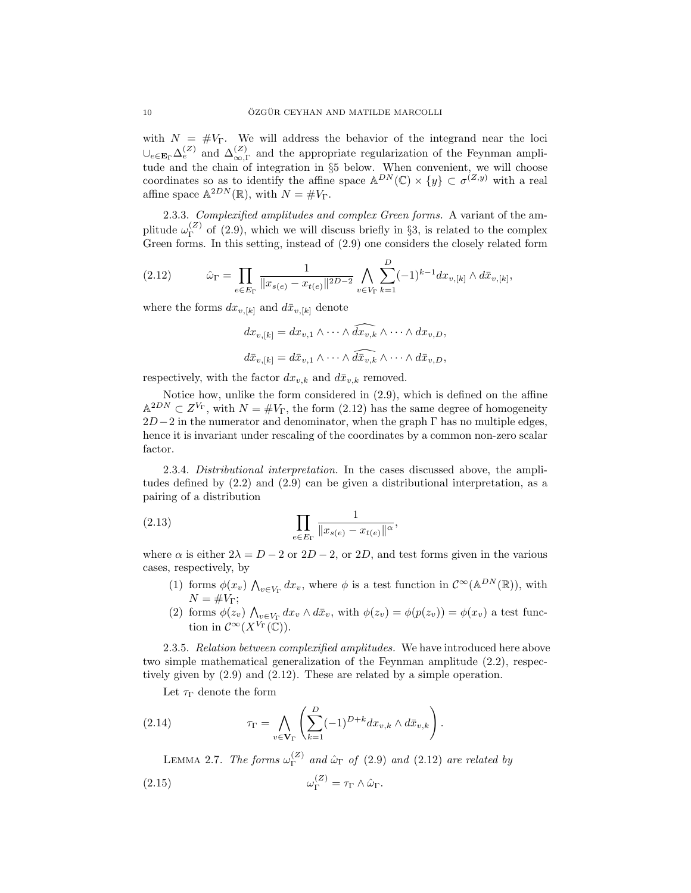with  $N = #V<sub>\Gamma</sub>$ . We will address the behavior of the integrand near the loci  $\cup_{e \in \mathbf{E}_{\Gamma}} \Delta_e^{(Z)}$  and  $\Delta_{\infty,\Gamma}^{(Z)}$  and the appropriate regularization of the Feynman amplitude and the chain of integration in §5 below. When convenient, we will choose coordinates so as to identify the affine space  $\mathbb{A}^{DN}(\mathbb{C}) \times \{y\} \subset \sigma^{(Z,y)}$  with a real affine space  $\mathbb{A}^{2DN}(\mathbb{R})$ , with  $N = \#V_{\Gamma}$ .

2.3.3. Complexified amplitudes and complex Green forms. A variant of the amplitude  $\omega_{\Gamma}^{(Z)}$  $\Gamma^{(2)}$  of (2.9), which we will discuss briefly in §3, is related to the complex Green forms. In this setting, instead of (2.9) one considers the closely related form

(2.12) 
$$
\hat{\omega}_{\Gamma} = \prod_{e \in E_{\Gamma}} \frac{1}{\|x_{s(e)} - x_{t(e)}\|^{2D-2}} \bigwedge_{v \in V_{\Gamma}} \sum_{k=1}^{D} (-1)^{k-1} dx_{v,[k]} \wedge d\bar{x}_{v,[k]},
$$

where the forms  $dx_{v,[k]}$  and  $d\bar{x}_{v,[k]}$  denote

$$
dx_{v,[k]} = dx_{v,1} \wedge \cdots \wedge \widehat{dx_{v,k}} \wedge \cdots \wedge dx_{v,D},
$$
  

$$
d\bar{x}_{v,[k]} = d\bar{x}_{v,1} \wedge \cdots \wedge \widehat{d\bar{x}_{v,k}} \wedge \cdots \wedge d\bar{x}_{v,D},
$$

respectively, with the factor  $dx_{v,k}$  and  $d\bar{x}_{v,k}$  removed.

Notice how, unlike the form considered in (2.9), which is defined on the affine  $\mathbb{A}^{2DN} \subset Z^{V_{\Gamma}}$ , with  $N = \#V_{\Gamma}$ , the form  $(2.12)$  has the same degree of homogeneity  $2D-2$  in the numerator and denominator, when the graph  $\Gamma$  has no multiple edges, hence it is invariant under rescaling of the coordinates by a common non-zero scalar factor.

2.3.4. Distributional interpretation. In the cases discussed above, the amplitudes defined by (2.2) and (2.9) can be given a distributional interpretation, as a pairing of a distribution

(2.13) 
$$
\prod_{e \in E_{\Gamma}} \frac{1}{\|x_{s(e)} - x_{t(e)}\|^{\alpha}},
$$

where  $\alpha$  is either  $2\lambda = D - 2$  or  $2D - 2$ , or  $2D$ , and test forms given in the various cases, respectively, by

- (1) forms  $\phi(x_v) \bigwedge_{v \in V_\Gamma} dx_v$ , where  $\phi$  is a test function in  $C^\infty(\mathbb{A}^{DN}(\mathbb{R}))$ , with  $N = \#V_{\Gamma};$
- (2) forms  $\phi(z_v) \bigwedge_{v \in V_\Gamma} dx_v \wedge d\bar{x}_v$ , with  $\phi(z_v) = \phi(p(z_v)) = \phi(x_v)$  a test function in  $\mathcal{C}^{\infty}(X^{V_{\Gamma}}(\mathbb{C}))$ .

2.3.5. Relation between complexified amplitudes. We have introduced here above two simple mathematical generalization of the Feynman amplitude (2.2), respectively given by (2.9) and (2.12). These are related by a simple operation.

Let  $\tau_{\Gamma}$  denote the form

(2.14) 
$$
\tau_{\Gamma} = \bigwedge_{v \in \mathbf{V}_{\Gamma}} \left( \sum_{k=1}^{D} (-1)^{D+k} dx_{v,k} \wedge d\bar{x}_{v,k} \right).
$$

LEMMA 2.7. The forms  $\omega_{\Gamma}^{(Z)}$  $\int_{\Gamma}^{(2)}$  and  $\hat{\omega}_{\Gamma}$  of (2.9) and (2.12) are related by  $(2.15)$  $_{\Gamma}^{(Z)} = \tau_{\Gamma} \wedge \hat{\omega}_{\Gamma}.$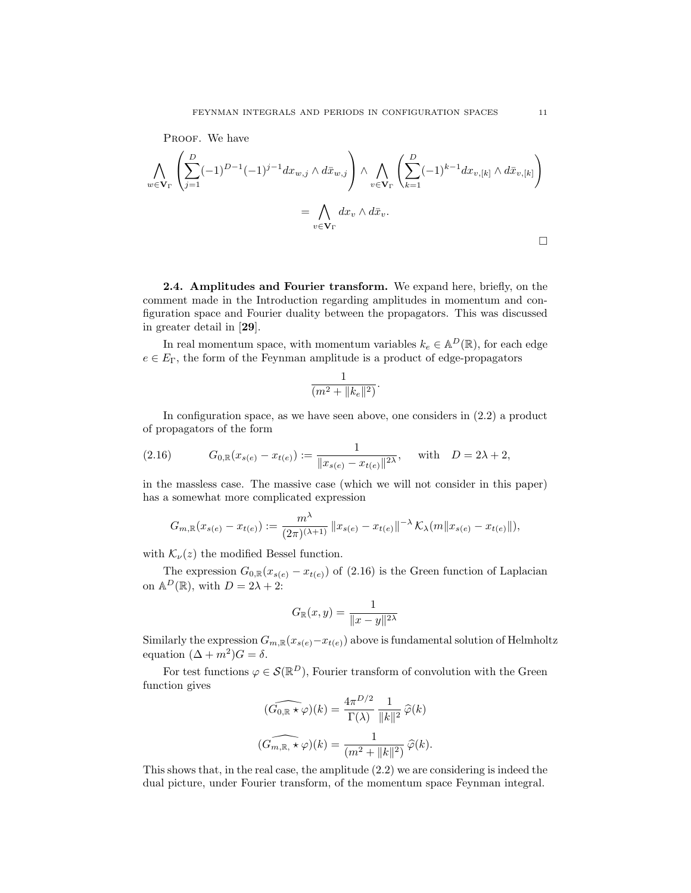PROOF. We have  
\n
$$
\bigwedge_{w \in \mathbf{V}_{\Gamma}} \left( \sum_{j=1}^{D} (-1)^{D-1} (-1)^{j-1} dx_{w,j} \wedge d\bar{x}_{w,j} \right) \wedge \bigwedge_{v \in \mathbf{V}_{\Gamma}} \left( \sum_{k=1}^{D} (-1)^{k-1} dx_{v,[k]} \wedge d\bar{x}_{v,[k]} \right)
$$
\n
$$
= \bigwedge_{v \in \mathbf{V}_{\Gamma}} dx_{v} \wedge d\bar{x}_{v}.
$$

2.4. Amplitudes and Fourier transform. We expand here, briefly, on the comment made in the Introduction regarding amplitudes in momentum and configuration space and Fourier duality between the propagators. This was discussed in greater detail in [29].

In real momentum space, with momentum variables  $k_e \in A^D(\mathbb{R})$ , for each edge  $e \in E_{\Gamma}$ , the form of the Feynman amplitude is a product of edge-propagators

$$
\frac{1}{(m^2 + \|k_e\|^2)}.
$$

In configuration space, as we have seen above, one considers in (2.2) a product of propagators of the form

(2.16) 
$$
G_{0,\mathbb{R}}(x_{s(e)} - x_{t(e)}) := \frac{1}{\|x_{s(e)} - x_{t(e)}\|^{2\lambda}}, \text{ with } D = 2\lambda + 2,
$$

in the massless case. The massive case (which we will not consider in this paper) has a somewhat more complicated expression

$$
G_{m,\mathbb{R}}(x_{s(e)} - x_{t(e)}) := \frac{m^{\lambda}}{(2\pi)^{(\lambda+1)}} \|x_{s(e)} - x_{t(e)}\|^{-\lambda} \mathcal{K}_{\lambda}(m \|x_{s(e)} - x_{t(e)}\|),
$$

with  $\mathcal{K}_{\nu}(z)$  the modified Bessel function.

The expression  $G_{0,\mathbb{R}}(x_{s(e)} - x_{t(e)})$  of (2.16) is the Green function of Laplacian on  $\mathbb{A}^D(\mathbb{R})$ , with  $D = 2\lambda + 2$ :

$$
G_{\mathbb{R}}(x,y) = \frac{1}{\|x-y\|^{2\lambda}}
$$

Similarly the expression  $G_{m,\mathbb{R}}(x_{s(e)}-x_{t(e)})$  above is fundamental solution of Helmholtz equation  $(\Delta + m^2)G = \delta$ .

For test functions  $\varphi \in \mathcal{S}(\mathbb{R}^D)$ , Fourier transform of convolution with the Green function gives

$$
\widehat{(G_{0,\mathbb{R}} \star \varphi)(k)} = \frac{4\pi^{D/2}}{\Gamma(\lambda)} \frac{1}{\|k\|^2} \widehat{\varphi}(k)
$$

$$
\widehat{(G_{m,\mathbb{R}} \star \varphi)(k)} = \frac{1}{(m^2 + \|k\|^2)} \widehat{\varphi}(k).
$$

This shows that, in the real case, the amplitude (2.2) we are considering is indeed the dual picture, under Fourier transform, of the momentum space Feynman integral.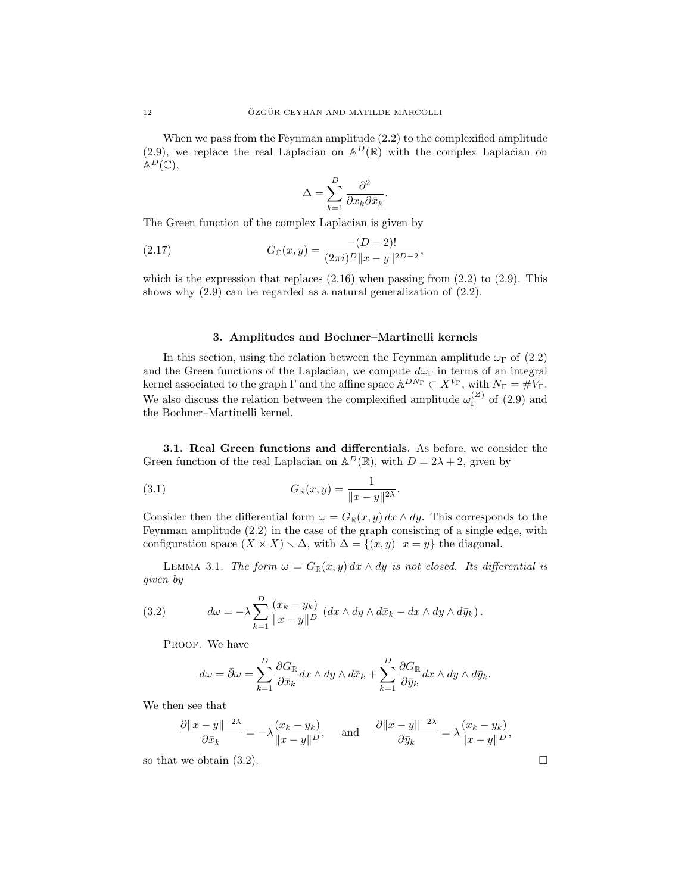When we pass from the Feynman amplitude (2.2) to the complexified amplitude (2.9), we replace the real Laplacian on  $\mathbb{A}^D(\mathbb{R})$  with the complex Laplacian on  $\mathbb{A}^D(\mathbb{C}),$ 

$$
\Delta = \sum_{k=1}^{D} \frac{\partial^2}{\partial x_k \partial \bar{x}_k}.
$$

The Green function of the complex Laplacian is given by

(2.17) 
$$
G_{\mathbb{C}}(x,y) = \frac{-(D-2)!}{(2\pi i)^D ||x-y||^{2D-2}},
$$

which is the expression that replaces  $(2.16)$  when passing from  $(2.2)$  to  $(2.9)$ . This shows why (2.9) can be regarded as a natural generalization of (2.2).

### 3. Amplitudes and Bochner–Martinelli kernels

In this section, using the relation between the Feynman amplitude  $\omega_{\Gamma}$  of (2.2) and the Green functions of the Laplacian, we compute  $d\omega_{\Gamma}$  in terms of an integral kernel associated to the graph  $\Gamma$  and the affine space  $\mathbb{A}^{DN_{\Gamma}} \subset X^{V_{\Gamma}}$ , with  $N_{\Gamma} = \#V_{\Gamma}$ . We also discuss the relation between the complexified amplitude  $\omega_{\Gamma}^{(Z)}$  $\Gamma^{(2)}$  of  $(2.9)$  and the Bochner–Martinelli kernel.

3.1. Real Green functions and differentials. As before, we consider the Green function of the real Laplacian on  $\mathbb{A}^D(\mathbb{R})$ , with  $D = 2\lambda + 2$ , given by

(3.1) 
$$
G_{\mathbb{R}}(x,y) = \frac{1}{\|x-y\|^{2\lambda}}.
$$

Consider then the differential form  $\omega = G_{\mathbb{R}}(x, y) dx \wedge dy$ . This corresponds to the Feynman amplitude (2.2) in the case of the graph consisting of a single edge, with configuration space  $(X \times X) \setminus \Delta$ , with  $\Delta = \{(x, y) | x = y\}$  the diagonal.

LEMMA 3.1. The form  $\omega = G_{\mathbb{R}}(x, y) dx \wedge dy$  is not closed. Its differential is given by

(3.2) 
$$
d\omega = -\lambda \sum_{k=1}^{D} \frac{(x_k - y_k)}{\|x - y\|^D} \left( dx \wedge dy \wedge d\bar{x}_k - dx \wedge dy \wedge d\bar{y}_k \right).
$$

PROOF. We have

$$
d\omega = \bar{\partial}\omega = \sum_{k=1}^{D} \frac{\partial G_{\mathbb{R}}}{\partial \bar{x}_k} dx \wedge dy \wedge d\bar{x}_k + \sum_{k=1}^{D} \frac{\partial G_{\mathbb{R}}}{\partial \bar{y}_k} dx \wedge dy \wedge d\bar{y}_k.
$$

We then see that

$$
\frac{\partial \|x-y\|^{-2\lambda}}{\partial \bar x_k} = -\lambda \frac{(x_k-y_k)}{\|x-y\|^D}, \quad \text{ and } \quad \frac{\partial \|x-y\|^{-2\lambda}}{\partial \bar y_k} = \lambda \frac{(x_k-y_k)}{\|x-y\|^D},
$$

so that we obtain (3.2).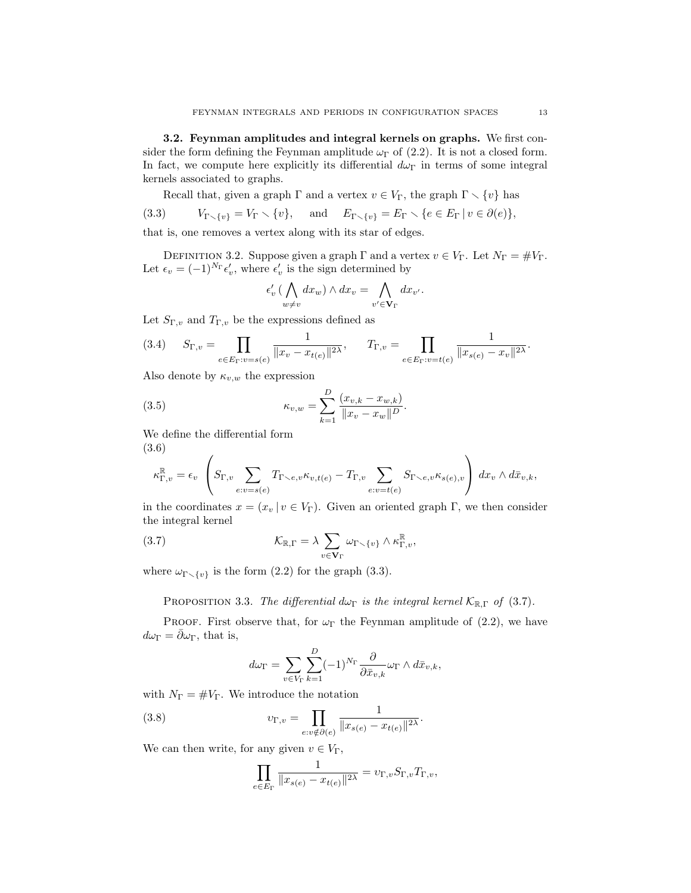3.2. Feynman amplitudes and integral kernels on graphs. We first consider the form defining the Feynman amplitude  $\omega_{\Gamma}$  of (2.2). It is not a closed form. In fact, we compute here explicitly its differential  $d\omega_{\Gamma}$  in terms of some integral kernels associated to graphs.

Recall that, given a graph  $\Gamma$  and a vertex  $v \in V_{\Gamma}$ , the graph  $\Gamma \setminus \{v\}$  has (3.3)  $V_{\Gamma \setminus \{v\}} = V_{\Gamma} \setminus \{v\}, \text{ and } E_{\Gamma \setminus \{v\}} = E_{\Gamma} \setminus \{e \in E_{\Gamma} \mid v \in \partial(e)\},$ 

that is, one removes a vertex along with its star of edges.

DEFINITION 3.2. Suppose given a graph  $\Gamma$  and a vertex  $v \in V_{\Gamma}$ . Let  $N_{\Gamma} = \#V_{\Gamma}$ . Let  $\epsilon_v = (-1)^{N_{\Gamma}} \epsilon'_v$ , where  $\epsilon'_v$  is the sign determined by

$$
\epsilon'_v \left( \bigwedge_{w \neq v} dx_w \right) \wedge dx_v = \bigwedge_{v' \in \mathbf{V}_{\Gamma}} dx_{v'}.
$$

Let  $S_{\Gamma,v}$  and  $T_{\Gamma,v}$  be the expressions defined as

(3.4) 
$$
S_{\Gamma,v} = \prod_{e \in E_{\Gamma}: v = s(e)} \frac{1}{\|x_v - x_{t(e)}\|^{2\lambda}}, \qquad T_{\Gamma,v} = \prod_{e \in E_{\Gamma}: v = t(e)} \frac{1}{\|x_{s(e)} - x_v\|^{2\lambda}}.
$$

Also denote by  $\kappa_{v,w}$  the expression

(3.5) 
$$
\kappa_{v,w} = \sum_{k=1}^{D} \frac{(x_{v,k} - x_{w,k})}{\|x_v - x_w\|^D}.
$$

We define the differential form (3.6)

$$
\kappa_{\Gamma,v}^{\mathbb{R}} = \epsilon_v \left( S_{\Gamma,v} \sum_{e:v=s(e)} T_{\Gamma \smallsetminus e,v} \kappa_{v,t(e)} - T_{\Gamma,v} \sum_{e:v=t(e)} S_{\Gamma \smallsetminus e,v} \kappa_{s(e),v} \right) dx_v \wedge d\bar{x}_{v,k},
$$

in the coordinates  $x = (x_v | v \in V_\Gamma)$ . Given an oriented graph Γ, we then consider the integral kernel

(3.7) 
$$
\mathcal{K}_{\mathbb{R},\Gamma} = \lambda \sum_{v \in \mathbf{V}_{\Gamma}} \omega_{\Gamma \setminus \{v\}} \wedge \kappa_{\Gamma,v}^{\mathbb{R}},
$$

where  $\omega_{\Gamma \setminus \{v\}}$  is the form (2.2) for the graph (3.3).

PROPOSITION 3.3. The differential d $\omega_{\Gamma}$  is the integral kernel  $\mathcal{K}_{\mathbb{R},\Gamma}$  of (3.7).

PROOF. First observe that, for  $\omega_{\Gamma}$  the Feynman amplitude of (2.2), we have  $d\omega_{\Gamma} = \bar{\partial}\omega_{\Gamma}$ , that is,

$$
d\omega_{\Gamma} = \sum_{v \in V_{\Gamma}} \sum_{k=1}^{D} (-1)^{N_{\Gamma}} \frac{\partial}{\partial \bar{x}_{v,k}} \omega_{\Gamma} \wedge d\bar{x}_{v,k},
$$

with  $N_{\Gamma} = \#V_{\Gamma}$ . We introduce the notation

(3.8) 
$$
v_{\Gamma,v} = \prod_{e:v \notin \partial(e)} \frac{1}{\|x_{s(e)} - x_{t(e)}\|^{2\lambda}}.
$$

We can then write, for any given  $v \in V_{\Gamma}$ ,

$$
\prod_{e\in E_\Gamma} \frac{1}{\|x_{s(e)}-x_{t(e)}\|^{2\lambda}} = \upsilon_{\Gamma,v} S_{\Gamma,v} T_{\Gamma,v},
$$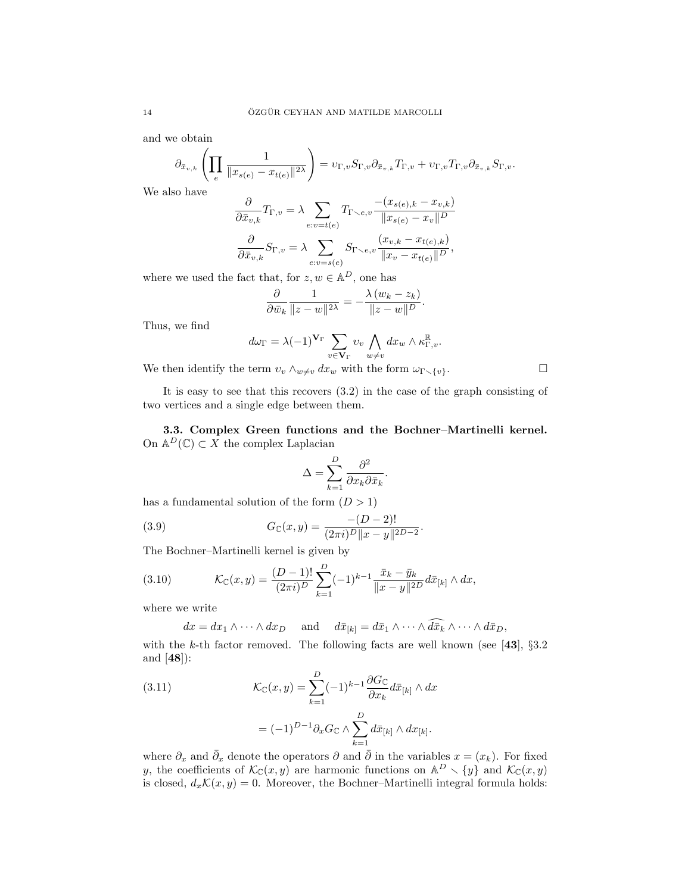and we obtain

$$
\partial_{\bar{x}_{v,k}} \left( \prod_e \frac{1}{\|x_{s(e)} - x_{t(e)}\|^{2\lambda}} \right) = v_{\Gamma,v} S_{\Gamma,v} \partial_{\bar{x}_{v,k}} T_{\Gamma,v} + v_{\Gamma,v} T_{\Gamma,v} \partial_{\bar{x}_{v,k}} S_{\Gamma,v}.
$$

We also have

$$
\frac{\partial}{\partial \bar{x}_{v,k}} T_{\Gamma,v} = \lambda \sum_{e:v=t(e)} T_{\Gamma \smallsetminus e,v} \frac{-(x_{s(e),k} - x_{v,k})}{\|x_{s(e)} - x_v\|^D}
$$

$$
\frac{\partial}{\partial \bar{x}_{v,k}} S_{\Gamma,v} = \lambda \sum_{e:v=s(e)} S_{\Gamma \smallsetminus e,v} \frac{(x_{v,k} - x_{t(e),k})}{\|x_v - x_{t(e)}\|^D},
$$

where we used the fact that, for  $z, w \in \mathbb{A}^D$ , one has

$$
\frac{\partial}{\partial \bar{w}_k} \frac{1}{\|z - w\|^{2\lambda}} = -\frac{\lambda (w_k - z_k)}{\|z - w\|^{D}}.
$$

Thus, we find

$$
d\omega_{\Gamma} = \lambda (-1)^{\mathbf{V}_{\Gamma}} \sum_{v \in \mathbf{V}_{\Gamma}} v_v \bigwedge_{w \neq v} dx_w \wedge \kappa_{\Gamma,v}^{\mathbb{R}}.
$$

We then identify the term  $v_v \wedge_{w \neq v} dx_w$  with the form  $\omega_{\Gamma \smallsetminus \{v\}}$ .

It is easy to see that this recovers (3.2) in the case of the graph consisting of two vertices and a single edge between them.

3.3. Complex Green functions and the Bochner–Martinelli kernel. On  $\mathbb{A}^D(\mathbb{C}) \subset X$  the complex Laplacian

$$
\Delta = \sum_{k=1}^{D} \frac{\partial^2}{\partial x_k \partial \bar{x}_k}.
$$

.

has a fundamental solution of the form  $(D > 1)$ 

(3.9) 
$$
G_{\mathbb{C}}(x,y) = \frac{-(D-2)!}{(2\pi i)^D ||x-y||^{2D-2}}
$$

The Bochner–Martinelli kernel is given by

(3.10) 
$$
\mathcal{K}_{\mathbb{C}}(x,y) = \frac{(D-1)!}{(2\pi i)^D} \sum_{k=1}^D (-1)^{k-1} \frac{\bar{x}_k - \bar{y}_k}{\|x-y\|^{2D}} d\bar{x}_{[k]} \wedge dx,
$$

where we write

$$
dx = dx_1 \wedge \cdots \wedge dx_D
$$
 and  $d\bar{x}_{[k]} = d\bar{x}_1 \wedge \cdots \wedge \widehat{d\bar{x}_k} \wedge \cdots \wedge d\bar{x}_D$ ,

with the k-th factor removed. The following facts are well known (see [43],  $\S 3.2$ and [48]):

(3.11) 
$$
\mathcal{K}_{\mathbb{C}}(x,y) = \sum_{k=1}^{D} (-1)^{k-1} \frac{\partial G_{\mathbb{C}}}{\partial x_k} d\bar{x}_{[k]} \wedge dx
$$

$$
=(-1)^{D-1}\partial_x G_{\mathbb{C}} \wedge \sum_{k=1}^D d\bar{x}_{[k]} \wedge dx_{[k]}.
$$

where  $\partial_x$  and  $\bar{\partial}_x$  denote the operators  $\partial$  and  $\bar{\partial}$  in the variables  $x = (x_k)$ . For fixed y, the coefficients of  $\mathcal{K}_{\mathbb{C}}(x, y)$  are harmonic functions on  $\mathbb{A}^D \setminus \{y\}$  and  $\mathcal{K}_{\mathbb{C}}(x, y)$ is closed,  $d_x\mathcal{K}(x, y) = 0$ . Moreover, the Bochner–Martinelli integral formula holds: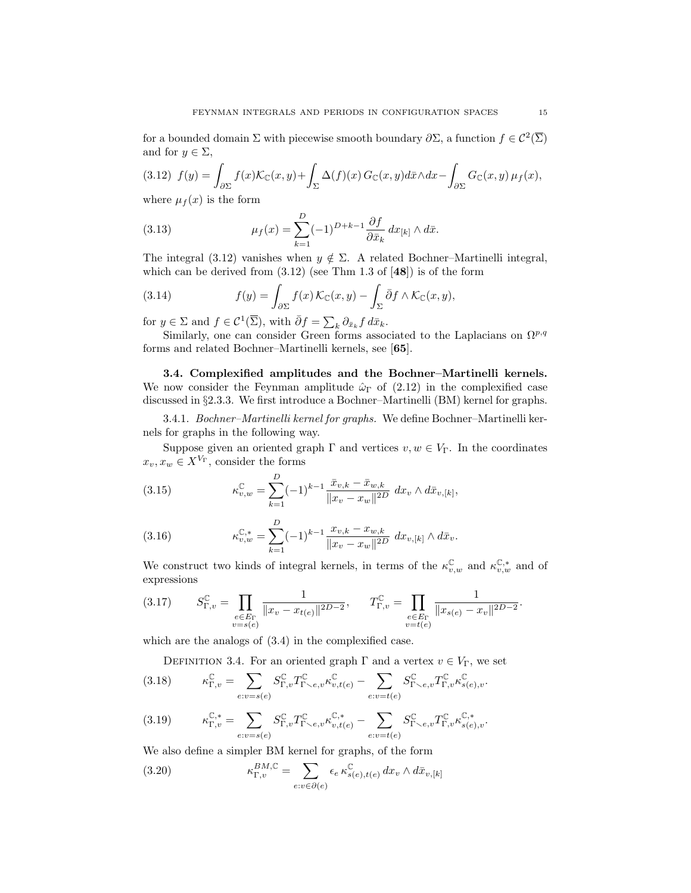for a bounded domain  $\Sigma$  with piecewise smooth boundary  $\partial \Sigma$ , a function  $f \in C^2(\overline{\Sigma})$ and for  $y \in \Sigma$ ,

(3.12) 
$$
f(y) = \int_{\partial \Sigma} f(x) \mathcal{K}_{\mathbb{C}}(x, y) + \int_{\Sigma} \Delta(f)(x) G_{\mathbb{C}}(x, y) d\bar{x} \wedge dx - \int_{\partial \Sigma} G_{\mathbb{C}}(x, y) \mu_f(x),
$$
  
where  $\mu_f(x)$  is the form

where  $\mu_f(x)$  is the form

(3.13) 
$$
\mu_f(x) = \sum_{k=1}^{D} (-1)^{D+k-1} \frac{\partial f}{\partial \bar{x}_k} dx_{[k]} \wedge d\bar{x}.
$$

The integral (3.12) vanishes when  $y \notin \Sigma$ . A related Bochner–Martinelli integral, which can be derived from  $(3.12)$  (see Thm 1.3 of  $[48]$ ) is of the form

(3.14) 
$$
f(y) = \int_{\partial \Sigma} f(x) \mathcal{K}_{\mathbb{C}}(x, y) - \int_{\Sigma} \bar{\partial} f \wedge \mathcal{K}_{\mathbb{C}}(x, y),
$$

for  $y \in \Sigma$  and  $f \in \mathcal{C}^1(\overline{\Sigma})$ , with  $\overline{\partial} f = \sum_k \partial_{\overline{x}_k} f \, d\overline{x}_k$ .

Similarly, one can consider Green forms associated to the Laplacians on  $\Omega^{p,q}$ forms and related Bochner–Martinelli kernels, see [65].

3.4. Complexified amplitudes and the Bochner–Martinelli kernels. We now consider the Feynman amplitude  $\hat{\omega}_{\Gamma}$  of (2.12) in the complexified case discussed in §2.3.3. We first introduce a Bochner–Martinelli (BM) kernel for graphs.

3.4.1. Bochner–Martinelli kernel for graphs. We define Bochner–Martinelli kernels for graphs in the following way.

Suppose given an oriented graph  $\Gamma$  and vertices  $v, w \in V_{\Gamma}$ . In the coordinates  $x_v, x_w \in X^{V_{\Gamma}},$  consider the forms

(3.15) 
$$
\kappa_{v,w}^{\mathbb{C}} = \sum_{k=1}^{D} (-1)^{k-1} \frac{\bar{x}_{v,k} - \bar{x}_{w,k}}{\|x_v - x_w\|^{2D}} dx_v \wedge d\bar{x}_{v,[k]},
$$

(3.16) 
$$
\kappa_{v,w}^{\mathbb{C},*} = \sum_{k=1}^{D} (-1)^{k-1} \frac{x_{v,k} - x_{w,k}}{\|x_v - x_w\|^{2D}} dx_{v,[k]} \wedge d\bar{x}_v.
$$

We construct two kinds of integral kernels, in terms of the  $\kappa_{v,w}^{\mathbb{C}}$  and  $\kappa_{v,w}^{\mathbb{C},*}$  and of expressions

(3.17) 
$$
S_{\Gamma,v}^{\mathbb{C}} = \prod_{\substack{e \in E_{\Gamma} \\ v = s(e)}} \frac{1}{\|x_v - x_{t(e)}\|^{2D-2}}, \qquad T_{\Gamma,v}^{\mathbb{C}} = \prod_{\substack{e \in E_{\Gamma} \\ v = t(e)}} \frac{1}{\|x_{s(e)} - x_v\|^{2D-2}}.
$$

which are the analogs of (3.4) in the complexified case.

DEFINITION 3.4. For an oriented graph  $\Gamma$  and a vertex  $v \in V_{\Gamma}$ , we set

(3.18) 
$$
\kappa_{\Gamma,v}^{\mathbb{C}} = \sum_{e:v=s(e)} S_{\Gamma,v}^{\mathbb{C}} T_{\Gamma\smallsetminus e,v}^{\mathbb{C}} \kappa_{v,t(e)}^{\mathbb{C}} - \sum_{e:v=t(e)} S_{\Gamma\smallsetminus e,v}^{\mathbb{C}} T_{\Gamma,v}^{\mathbb{C}} \kappa_{s(e),v}^{\mathbb{C}}.
$$

$$
(3.19) \qquad \qquad \kappa_{\Gamma,v}^{\mathbb{C},*} = \sum_{e:v=s(e)} S_{\Gamma,v}^{\mathbb{C}} T_{\Gamma\smallsetminus e,v}^{\mathbb{C}} \kappa_{v,t(e)}^{\mathbb{C},*} - \sum_{e:v=t(e)} S_{\Gamma\smallsetminus e,v}^{\mathbb{C}} T_{\Gamma,v}^{\mathbb{C}} \kappa_{s(e),v}^{\mathbb{C},*}.
$$

We also define a simpler BM kernel for graphs, of the form

(3.20) 
$$
\kappa_{\Gamma,v}^{BM,C} = \sum_{e:v \in \partial(e)} \epsilon_e \,\kappa_{s(e),t(e)}^{\mathbb{C}} \, dx_v \wedge d\bar{x}_{v,[k]}
$$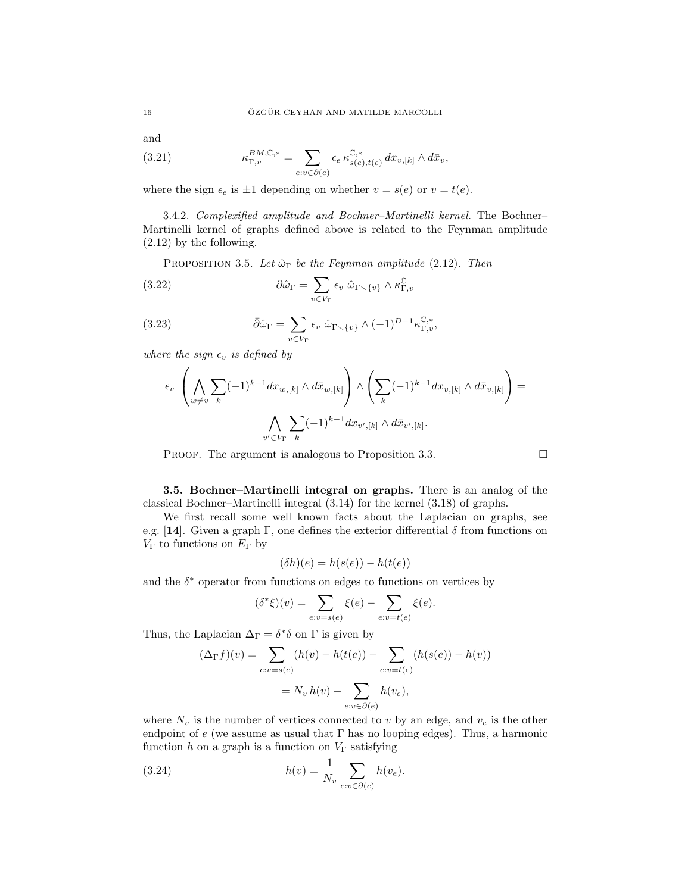and

(3.21) 
$$
\kappa_{\Gamma,v}^{BM,\mathbb{C},*} = \sum_{e:v \in \partial(e)} \epsilon_e \, \kappa_{s(e),t(e)}^{\mathbb{C},*} \, dx_{v,[k]} \wedge d\bar{x}_v,
$$

where the sign  $\epsilon_e$  is  $\pm 1$  depending on whether  $v = s(e)$  or  $v = t(e)$ .

3.4.2. Complexified amplitude and Bochner–Martinelli kernel. The Bochner– Martinelli kernel of graphs defined above is related to the Feynman amplitude (2.12) by the following.

PROPOSITION 3.5. Let  $\hat{\omega}_{\Gamma}$  be the Feynman amplitude (2.12). Then

(3.22) 
$$
\partial \hat{\omega}_{\Gamma} = \sum_{v \in V_{\Gamma}} \epsilon_v \; \hat{\omega}_{\Gamma \smallsetminus \{v\}} \wedge \kappa_{\Gamma,v}^{\mathbb{C}}
$$

(3.23) 
$$
\bar{\partial}\hat{\omega}_{\Gamma} = \sum_{v \in V_{\Gamma}} \epsilon_v \ \hat{\omega}_{\Gamma \setminus \{v\}} \wedge (-1)^{D-1} \kappa_{\Gamma,v}^{\mathbb{C},*},
$$

where the sign  $\epsilon_v$  is defined by

$$
\epsilon_v \left( \bigwedge_{w \neq v} \sum_k (-1)^{k-1} dx_{w,[k]} \wedge d\bar{x}_{w,[k]} \right) \wedge \left( \sum_k (-1)^{k-1} dx_{v,[k]} \wedge d\bar{x}_{v,[k]} \right) = \left( \bigwedge_{v' \in V_{\Gamma}} \sum_k (-1)^{k-1} dx_{v',[k]} \wedge d\bar{x}_{v',[k]}.
$$

PROOF. The argument is analogous to Proposition 3.3.

3.5. Bochner–Martinelli integral on graphs. There is an analog of the classical Bochner–Martinelli integral (3.14) for the kernel (3.18) of graphs.

We first recall some well known facts about the Laplacian on graphs, see e.g. [14]. Given a graph  $\Gamma$ , one defines the exterior differential  $\delta$  from functions on  $V_{\Gamma}$  to functions on  $E_{\Gamma}$  by

$$
(\delta h)(e) = h(s(e)) - h(t(e))
$$

and the  $\delta^*$  operator from functions on edges to functions on vertices by

$$
(\delta^*\xi)(v) = \sum_{e:v=s(e)} \xi(e) - \sum_{e:v=t(e)} \xi(e).
$$

Thus, the Laplacian  $\Delta_{\Gamma} = \delta^* \delta$  on  $\Gamma$  is given by

$$
(\Delta_{\Gamma} f)(v) = \sum_{e:v=s(e)} (h(v) - h(t(e)) - \sum_{e:v=t(e)} (h(s(e)) - h(v))
$$

$$
= N_v h(v) - \sum_{e:v\in\partial(e)} h(v_e),
$$

where  $N_v$  is the number of vertices connected to v by an edge, and  $v_e$  is the other endpoint of e (we assume as usual that  $\Gamma$  has no looping edges). Thus, a harmonic function h on a graph is a function on  $V_{\Gamma}$  satisfying

(3.24) 
$$
h(v) = \frac{1}{N_v} \sum_{e:v \in \partial(e)} h(v_e).
$$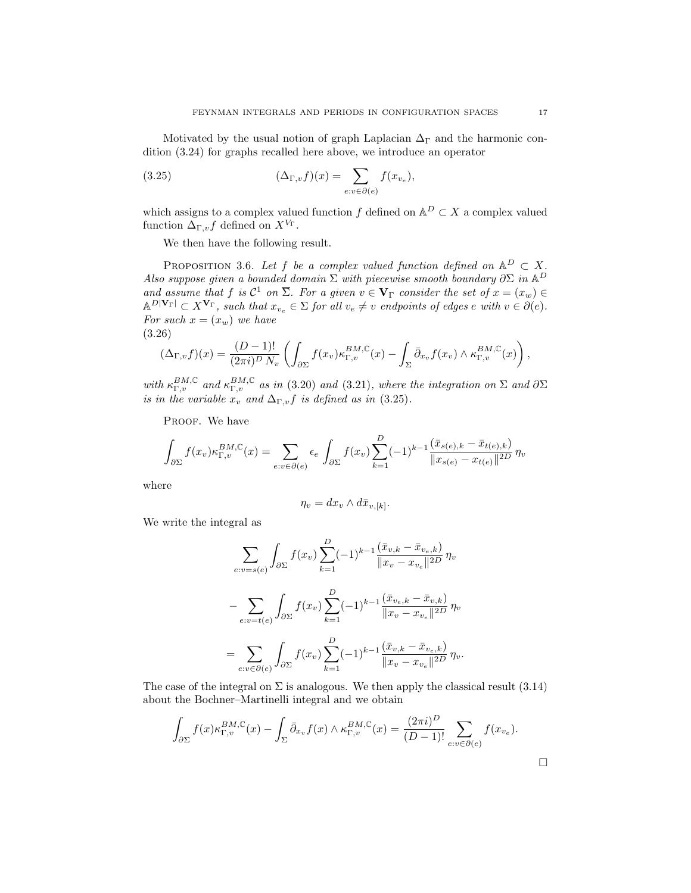Motivated by the usual notion of graph Laplacian  $\Delta_{\Gamma}$  and the harmonic condition (3.24) for graphs recalled here above, we introduce an operator

(3.25) 
$$
(\Delta_{\Gamma,v} f)(x) = \sum_{e:v \in \partial(e)} f(x_{v_e}),
$$

which assigns to a complex valued function f defined on  $\mathbb{A}^D \subset X$  a complex valued function  $\Delta_{\Gamma,v} f$  defined on  $X^{V_{\Gamma}}$ .

We then have the following result.

PROPOSITION 3.6. Let f be a complex valued function defined on  $\mathbb{A}^D \subset X$ . Also suppose given a bounded domain  $\Sigma$  with piecewise smooth boundary  $\partial \Sigma$  in  $\mathbb{A}^D$ and assume that f is  $C^1$  on  $\overline{\Sigma}$ . For a given  $v \in V_{\Gamma}$  consider the set of  $x = (x_w) \in$  $\mathbb{A}^{D|\mathbf{V}_{\Gamma}|} \subset X^{\mathbf{V}_{\Gamma}}$ , such that  $x_{v_e} \in \Sigma$  for all  $v_e \neq v$  endpoints of edges  $e$  with  $v \in \partial(e)$ . For such  $x = (x_w)$  we have (3.26)

$$
(\Delta_{\Gamma,v}f)(x) = \frac{(D-1)!}{(2\pi i)^D N_v} \left( \int_{\partial \Sigma} f(x_v) \kappa_{\Gamma,v}^{BM,\mathbb{C}}(x) - \int_{\Sigma} \bar{\partial}_{x_v} f(x_v) \wedge \kappa_{\Gamma,v}^{BM,\mathbb{C}}(x) \right),
$$

with  $\kappa_{\Gamma,v}^{BM,C}$  and  $\kappa_{\Gamma,v}^{BM,C}$  as in (3.20) and (3.21), where the integration on  $\Sigma$  and  $\partial \Sigma$ is in the variable  $x_v$  and  $\Delta_{\Gamma,v} f$  is defined as in (3.25).

PROOF. We have

$$
\int_{\partial \Sigma} f(x_v) \kappa_{\Gamma,v}^{BM, \mathbb{C}}(x) dx = \sum_{e:v \in \partial(e)} \epsilon_e \int_{\partial \Sigma} f(x_v) \sum_{k=1}^D (-1)^{k-1} \frac{(\bar{x}_{s(e),k} - \bar{x}_{t(e),k})}{\|x_{s(e)} - x_{t(e)}\|^{2D}} \eta_v
$$

where

$$
\eta_v = dx_v \wedge d\bar{x}_{v,[k]}.
$$

We write the integral as

$$
\sum_{e:v=s(e)} \int_{\partial \Sigma} f(x_v) \sum_{k=1}^{D} (-1)^{k-1} \frac{(\bar{x}_{v,k} - \bar{x}_{v_e,k})}{\|x_v - x_{v_e}\|^{2D}} \eta_v
$$

$$
- \sum_{e:v=t(e)} \int_{\partial \Sigma} f(x_v) \sum_{k=1}^{D} (-1)^{k-1} \frac{(\bar{x}_{v_e,k} - \bar{x}_{v,k})}{\|x_v - x_{v_e}\|^{2D}} \eta_v
$$

$$
= \sum_{e:v \in \partial(e)} \int_{\partial \Sigma} f(x_v) \sum_{k=1}^{D} (-1)^{k-1} \frac{(\bar{x}_{v,k} - \bar{x}_{v_e,k})}{\|x_v - x_{v_e}\|^{2D}} \eta_v.
$$

The case of the integral on  $\Sigma$  is analogous. We then apply the classical result (3.14) about the Bochner–Martinelli integral and we obtain

$$
\int_{\partial \Sigma} f(x) \kappa_{\Gamma,v}^{BM, \mathbb{C}}(x) - \int_{\Sigma} \bar{\partial}_{x_v} f(x) \wedge \kappa_{\Gamma,v}^{BM, \mathbb{C}}(x) = \frac{(2\pi i)^D}{(D-1)!} \sum_{e:v \in \partial(e)} f(x_{v_e}).
$$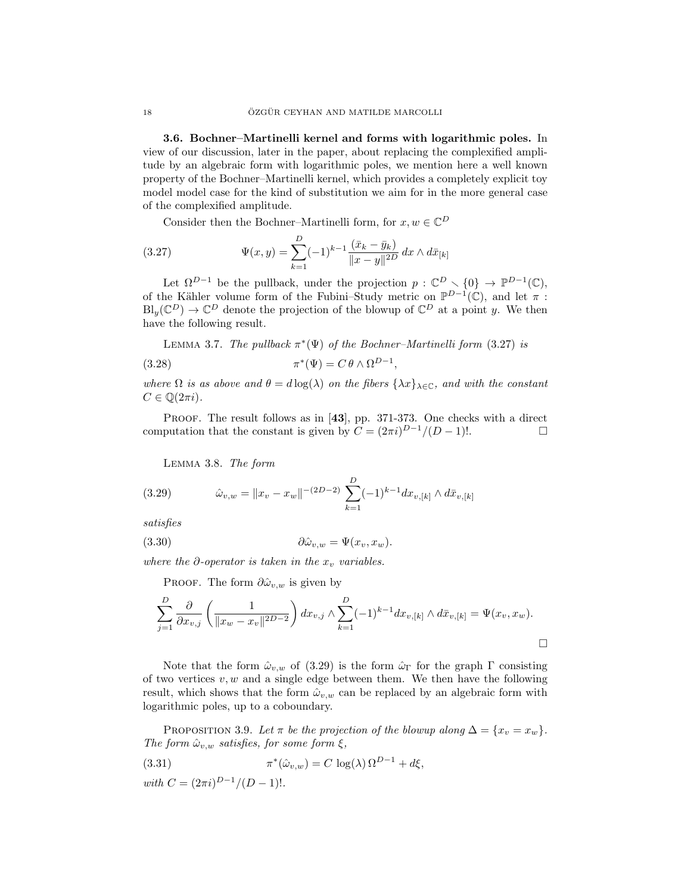3.6. Bochner–Martinelli kernel and forms with logarithmic poles. In view of our discussion, later in the paper, about replacing the complexified amplitude by an algebraic form with logarithmic poles, we mention here a well known property of the Bochner–Martinelli kernel, which provides a completely explicit toy model model case for the kind of substitution we aim for in the more general case of the complexified amplitude.

Consider then the Bochner–Martinelli form, for  $x, w \in \mathbb{C}^D$ 

(3.27) 
$$
\Psi(x,y) = \sum_{k=1}^{D} (-1)^{k-1} \frac{(\bar{x}_k - \bar{y}_k)}{\|x - y\|^{2D}} dx \wedge d\bar{x}_{[k]}
$$

Let  $\Omega^{D-1}$  be the pullback, under the projection  $p: \mathbb{C}^D \setminus \{0\} \to \mathbb{P}^{D-1}(\mathbb{C}),$ of the Kähler volume form of the Fubini–Study metric on  $\mathbb{P}^{D-1}(\mathbb{C})$ , and let  $\pi$ :  $\text{Bl}_y(\mathbb{C}^D) \to \mathbb{C}^D$  denote the projection of the blowup of  $\mathbb{C}^D$  at a point y. We then have the following result.

LEMMA 3.7. The pullback  $\pi^*(\Psi)$  of the Bochner-Martinelli form (3.27) is  $(3.28)$  $^*(\Psi) = C \theta \wedge \Omega^{D-1},$ 

where  $\Omega$  is as above and  $\theta = d \log(\lambda)$  on the fibers  $\{\lambda x\}_{\lambda \in \mathbb{C}}$ , and with the constant  $C \in \mathbb{Q}(2\pi i).$ 

PROOF. The result follows as in [43], pp. 371-373. One checks with a direct computation that the constant is given by  $C = (2\pi i)^{D-1}/(D-1)!$ .

Lemma 3.8. The form

(3.29) 
$$
\hat{\omega}_{v,w} = ||x_v - x_w||^{-(2D-2)} \sum_{k=1}^{D} (-1)^{k-1} dx_{v,[k]} \wedge d\bar{x}_{v,[k]}
$$

satisfies

$$
(3.30) \t\t \t\t \partial \hat{\omega}_{v,w} = \Psi(x_v, x_w).
$$

where the  $\partial$ -operator is taken in the  $x_v$  variables.

PROOF. The form  $\partial \hat{\omega}_{v,w}$  is given by

$$
\sum_{j=1}^{D} \frac{\partial}{\partial x_{v,j}} \left( \frac{1}{\|x_w - x_v\|^{2D-2}} \right) dx_{v,j} \wedge \sum_{k=1}^{D} (-1)^{k-1} dx_{v,[k]} \wedge d\bar{x}_{v,[k]} = \Psi(x_v, x_w).
$$

Note that the form  $\hat{\omega}_{v,w}$  of (3.29) is the form  $\hat{\omega}_{\Gamma}$  for the graph  $\Gamma$  consisting of two vertices  $v, w$  and a single edge between them. We then have the following result, which shows that the form  $\hat{\omega}_{v,w}$  can be replaced by an algebraic form with logarithmic poles, up to a coboundary.

PROPOSITION 3.9. Let  $\pi$  be the projection of the blowup along  $\Delta = \{x_v = x_w\}.$ The form  $\hat{\omega}_{v,w}$  satisfies, for some form  $\xi$ ,

(3.31) 
$$
\pi^*(\hat{\omega}_{v,w}) = C \log(\lambda) \Omega^{D-1} + d\xi,
$$

with  $C = (2\pi i)^{D-1}/(D-1)!$ .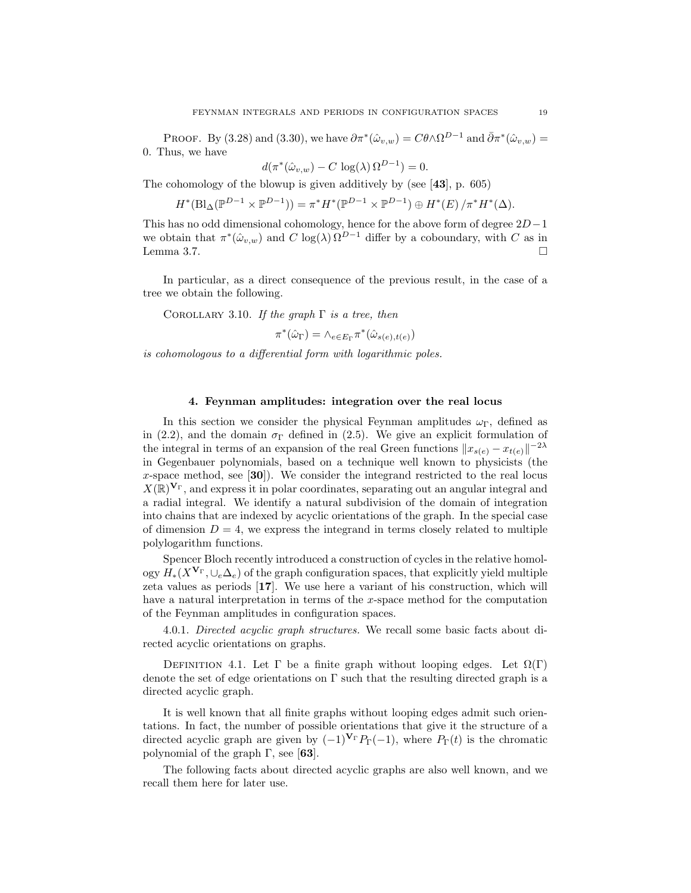PROOF. By (3.28) and (3.30), we have  $\partial \pi^*(\hat{\omega}_{v,w}) = C \theta \wedge \Omega^{D-1}$  and  $\bar{\partial} \pi^*(\hat{\omega}_{v,w}) =$ 0. Thus, we have

$$
d(\pi^*(\hat{\omega}_{v,w}) - C \log(\lambda) \Omega^{D-1}) = 0.
$$

The cohomology of the blowup is given additively by (see  $[43]$ , p. 605)

$$
H^*(\text{Bl}_{\Delta}(\mathbb{P}^{D-1}\times \mathbb{P}^{D-1}))=\pi^*H^*(\mathbb{P}^{D-1}\times \mathbb{P}^{D-1})\oplus H^*(E)/\pi^*H^*(\Delta).
$$

This has no odd dimensional cohomology, hence for the above form of degree  $2D-1$ we obtain that  $\pi^*(\hat{\omega}_{v,w})$  and  $C \log(\lambda) \Omega^{D-1}$  differ by a coboundary, with C as in Lemma 3.7.  $\Box$ 

In particular, as a direct consequence of the previous result, in the case of a tree we obtain the following.

COROLLARY 3.10. If the graph  $\Gamma$  is a tree, then

$$
\pi^*(\hat{\omega}_{\Gamma}) = \wedge_{e \in E_{\Gamma}} \pi^*(\hat{\omega}_{s(e), t(e)})
$$

is cohomologous to a differential form with logarithmic poles.

### 4. Feynman amplitudes: integration over the real locus

In this section we consider the physical Feynman amplitudes  $\omega_{\Gamma}$ , defined as in (2.2), and the domain  $\sigma_{\Gamma}$  defined in (2.5). We give an explicit formulation of the integral in terms of an expansion of the real Green functions  $||x_{s(e)} - x_{t(e)}||^{-2\lambda}$ in Gegenbauer polynomials, based on a technique well known to physicists (the x-space method, see  $[30]$ . We consider the integrand restricted to the real locus  $X(\mathbb{R})^{\mathbf{V}_{\Gamma}}$ , and express it in polar coordinates, separating out an angular integral and a radial integral. We identify a natural subdivision of the domain of integration into chains that are indexed by acyclic orientations of the graph. In the special case of dimension  $D = 4$ , we express the integrand in terms closely related to multiple polylogarithm functions.

Spencer Bloch recently introduced a construction of cycles in the relative homology  $H_*(X^{\mathbf{V}_{\Gamma}}, \cup_e \Delta_e)$  of the graph configuration spaces, that explicitly yield multiple zeta values as periods [17]. We use here a variant of his construction, which will have a natural interpretation in terms of the x-space method for the computation of the Feynman amplitudes in configuration spaces.

4.0.1. Directed acyclic graph structures. We recall some basic facts about directed acyclic orientations on graphs.

DEFINITION 4.1. Let  $\Gamma$  be a finite graph without looping edges. Let  $\Omega(\Gamma)$ denote the set of edge orientations on Γ such that the resulting directed graph is a directed acyclic graph.

It is well known that all finite graphs without looping edges admit such orientations. In fact, the number of possible orientations that give it the structure of a directed acyclic graph are given by  $(-1)^{V_{\Gamma}}P_{\Gamma}(-1)$ , where  $P_{\Gamma}(t)$  is the chromatic polynomial of the graph  $\Gamma$ , see [63].

The following facts about directed acyclic graphs are also well known, and we recall them here for later use.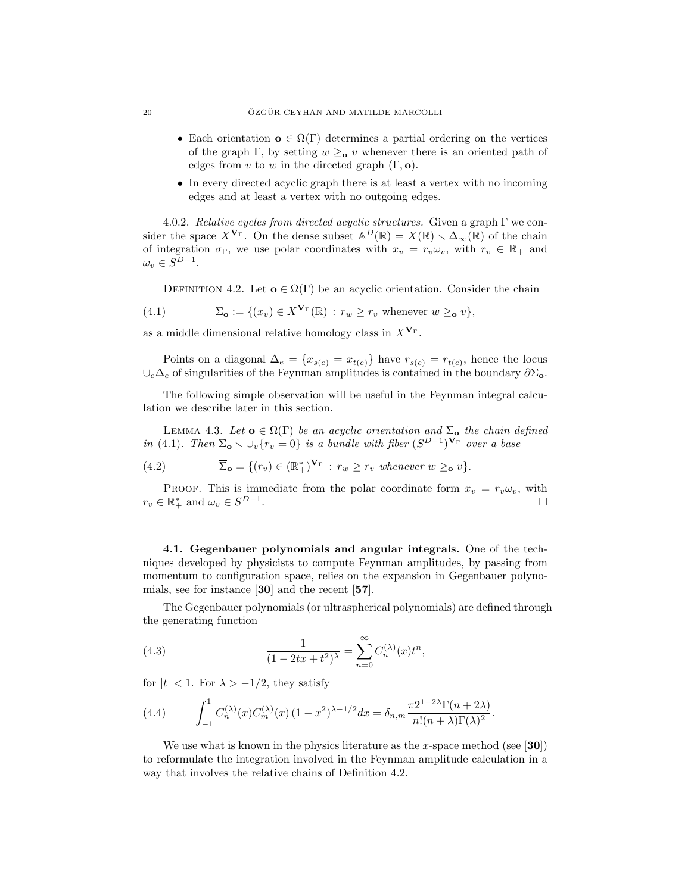- Each orientation  $\mathbf{o} \in \Omega(\Gamma)$  determines a partial ordering on the vertices of the graph Γ, by setting  $w \geq_0 v$  whenever there is an oriented path of edges from v to w in the directed graph  $(\Gamma, \mathbf{o})$ .
- In every directed acyclic graph there is at least a vertex with no incoming edges and at least a vertex with no outgoing edges.

4.0.2. Relative cycles from directed acyclic structures. Given a graph  $\Gamma$  we consider the space  $X^{\mathbf{V}_{\Gamma}}$ . On the dense subset  $\mathbb{A}^D(\mathbb{R}) = X(\mathbb{R}) \setminus \Delta_{\infty}(\mathbb{R})$  of the chain of integration  $\sigma_{\Gamma}$ , we use polar coordinates with  $x_v = r_v \omega_v$ , with  $r_v \in \mathbb{R}_+$  and  $\omega_v \in S^{D-1}.$ 

DEFINITION 4.2. Let  $\mathbf{o} \in \Omega(\Gamma)$  be an acyclic orientation. Consider the chain

(4.1) 
$$
\Sigma_{\mathbf{o}} := \{ (x_v) \in X^{\mathbf{V}_{\Gamma}}(\mathbb{R}) : r_w \ge r_v \text{ whenever } w \ge \mathbf{o} \ v \},
$$

as a middle dimensional relative homology class in  $X^{\mathbf{V}_{\Gamma}}$ .

Points on a diagonal  $\Delta_e = \{x_{s(e)} = x_{t(e)}\}\$  have  $r_{s(e)} = r_{t(e)}$ , hence the locus  $\cup_e\Delta_e$  of singularities of the Feynman amplitudes is contained in the boundary  $\partial\Sigma_o$ .

The following simple observation will be useful in the Feynman integral calculation we describe later in this section.

LEMMA 4.3. Let  $o \in \Omega(\Gamma)$  be an acyclic orientation and  $\Sigma_o$  the chain defined in (4.1). Then  $\Sigma_{\mathbf{o}} \setminus \bigcup_{v} \{r_v = 0\}$  is a bundle with fiber  $(S^{D-1})^{\mathbf{V}_{\Gamma}}$  over a base

(4.2) 
$$
\overline{\Sigma}_{\mathbf{o}} = \{ (r_v) \in (\mathbb{R}_+^*)^{\mathbf{V}_{\Gamma}} : r_w \ge r_v \text{ whenever } w \ge \mathbf{o} \text{ } v \}.
$$

PROOF. This is immediate from the polar coordinate form  $x_v = r_v \omega_v$ , with  $r_v \in \mathbb{R}_+^*$  and  $\omega_v \in S^{D-1}$ . В последните последните последните последните последните последните последните последните последните последн<br>В последните последните последните последните последните последните последните последните последните последнит

4.1. Gegenbauer polynomials and angular integrals. One of the techniques developed by physicists to compute Feynman amplitudes, by passing from momentum to configuration space, relies on the expansion in Gegenbauer polynomials, see for instance [30] and the recent [57].

The Gegenbauer polynomials (or ultraspherical polynomials) are defined through the generating function

(4.3) 
$$
\frac{1}{(1-2tx+t^2)^{\lambda}} = \sum_{n=0}^{\infty} C_n^{(\lambda)}(x)t^n,
$$

for  $|t| < 1$ . For  $\lambda > -1/2$ , they satisfy

(4.4) 
$$
\int_{-1}^{1} C_n^{(\lambda)}(x) C_m^{(\lambda)}(x) (1 - x^2)^{\lambda - 1/2} dx = \delta_{n,m} \frac{\pi 2^{1 - 2\lambda} \Gamma(n + 2\lambda)}{n! (n + \lambda) \Gamma(\lambda)^2}.
$$

We use what is known in the physics literature as the x-space method (see [30]) to reformulate the integration involved in the Feynman amplitude calculation in a way that involves the relative chains of Definition 4.2.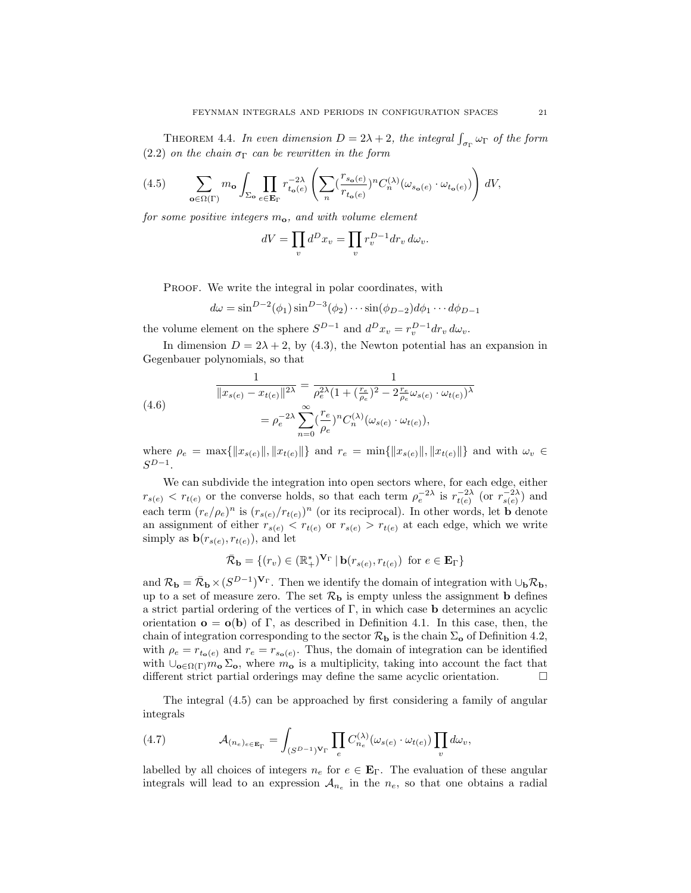THEOREM 4.4. In even dimension  $D = 2\lambda + 2$ , the integral  $\int_{\sigma_{\Gamma}} \omega_{\Gamma}$  of the form (2.2) on the chain  $\sigma_{\Gamma}$  can be rewritten in the form

$$
(4.5) \qquad \sum_{{\mathbf{o}} \in \Omega(\Gamma)} m_{{\mathbf{o}}} \int_{\Sigma_{{\mathbf{o}}}} \prod_{e \in {\mathbf{E}}_{\Gamma}} r_{t_{{\mathbf{o}}}(e)}^{-2\lambda} \left( \sum_{n} (\frac{r_{s_{{\mathbf{o}}}(e)}}{r_{t_{{\mathbf{o}}}(e)}})^n C_n^{(\lambda)}(\omega_{s_{{\mathbf{o}}}(e)} \cdot \omega_{t_{{\mathbf{o}}}(e)}) \right) dV,
$$

for some positive integers  $m<sub>o</sub>$ , and with volume element

$$
dV = \prod_v d^D x_v = \prod_v r_v^{D-1} dr_v d\omega_v.
$$

PROOF. We write the integral in polar coordinates, with

$$
d\omega = \sin^{D-2}(\phi_1)\sin^{D-3}(\phi_2)\cdots\sin(\phi_{D-2})d\phi_1\cdots d\phi_{D-1}
$$

the volume element on the sphere  $S^{D-1}$  and  $d^D x_v = r_v^{D-1} dr_v d\omega_v$ .

In dimension  $D = 2\lambda + 2$ , by (4.3), the Newton potential has an expansion in Gegenbauer polynomials, so that

(4.6)  

$$
\frac{1}{\|x_{s(e)} - x_{t(e)}\|^{2\lambda}} = \frac{1}{\rho_e^{2\lambda} (1 + (\frac{r_e}{\rho_e})^2 - 2\frac{r_e}{\rho_e} \omega_{s(e)} \cdot \omega_{t(e)})^{\lambda}}
$$

$$
= \rho_e^{-2\lambda} \sum_{n=0}^{\infty} (\frac{r_e}{\rho_e})^n C_n^{(\lambda)}(\omega_{s(e)} \cdot \omega_{t(e)}),
$$

where  $\rho_e = \max{\{\Vert x_{s(e)} \Vert, \Vert x_{t(e)} \Vert\}}$  and  $r_e = \min{\{\Vert x_{s(e)} \Vert, \Vert x_{t(e)} \Vert\}}$  and with  $\omega_v \in$  $S^{D-1}$ .

We can subdivide the integration into open sectors where, for each edge, either  $r_{s(e)} < r_{t(e)}$  or the converse holds, so that each term  $\rho_e^{-2\lambda}$  is  $r_{t(e)}^{-2\lambda}$  (or  $r_{s(e)}^{-2\lambda}$ ) and each term  $(r_e/\rho_e)^n$  is  $(r_{s(e)}/r_{t(e)})^n$  (or its reciprocal). In other words, let **b** denote an assignment of either  $r_{s(e)} < r_{t(e)}$  or  $r_{s(e)} > r_{t(e)}$  at each edge, which we write simply as  $\mathbf{b}(r_{s(e)}, r_{t(e)})$ , and let

$$
\bar{\mathcal{R}}_{\mathbf{b}} = \{ (r_v) \in (\mathbb{R}_+^*)^{\mathbf{V}_{\Gamma}} \mid \mathbf{b}(r_{s(e)}, r_{t(e)}) \text{ for } e \in \mathbf{E}_{\Gamma} \}
$$

and  $\mathcal{R}_{\bf b} = \bar{\mathcal{R}}_{\bf b} \times (S^{D-1})^{\mathbf{V}_{\Gamma}}$ . Then we identify the domain of integration with  $\cup_{\bf b} \mathcal{R}_{\bf b}$ , up to a set of measure zero. The set  $\mathcal{R}_{\mathbf{b}}$  is empty unless the assignment **b** defines a strict partial ordering of the vertices of  $\Gamma$ , in which case **b** determines an acyclic orientation  $\mathbf{o} = \mathbf{o}(\mathbf{b})$  of  $\Gamma$ , as described in Definition 4.1. In this case, then, the chain of integration corresponding to the sector  $\mathcal{R}_{\mathbf{b}}$  is the chain  $\Sigma_{\mathbf{o}}$  of Definition 4.2, with  $\rho_e = r_{t_o(e)}$  and  $r_e = r_{s_o(e)}$ . Thus, the domain of integration can be identified with  $\bigcup_{\mathbf{o}\in\Omega(\Gamma)}m_{\mathbf{o}}\Sigma_{\mathbf{o}}$ , where  $m_{\mathbf{o}}$  is a multiplicity, taking into account the fact that different strict partial orderings may define the same acyclic orientation.  $\Box$ 

The integral (4.5) can be approached by first considering a family of angular integrals

(4.7) 
$$
\mathcal{A}_{(n_e)_{e \in \mathbf{E}_{\Gamma}}} = \int_{(S^{D-1})\mathbf{V}_{\Gamma}} \prod_{e} C_{n_e}^{(\lambda)}(\omega_{s(e)} \cdot \omega_{t(e)}) \prod_{v} d\omega_v,
$$

labelled by all choices of integers  $n_e$  for  $e \in \mathbf{E}_\Gamma$ . The evaluation of these angular integrals will lead to an expression  $A_{n_e}$  in the  $n_e$ , so that one obtains a radial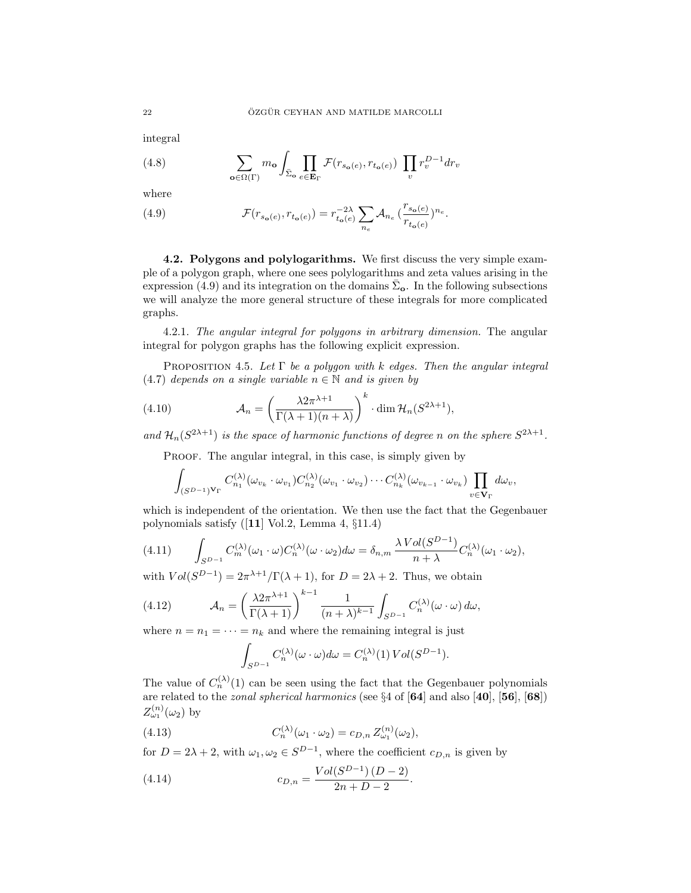integral

(4.8) 
$$
\sum_{\mathbf{o}\in\Omega(\Gamma)} m_{\mathbf{o}} \int_{\bar{\Sigma}_{\mathbf{o}}} \prod_{e\in\mathbf{E}_{\Gamma}} \mathcal{F}(r_{s_{\mathbf{o}}(e)}, r_{t_{\mathbf{o}}(e)}) \prod_{v} r_v^{D-1} dr_v
$$

where

(4.9) 
$$
\mathcal{F}(r_{s_{o}(e)}, r_{t_{o}(e)}) = r_{t_{o}(e)}^{-2\lambda} \sum_{n_{e}} \mathcal{A}_{n_{e}} \left(\frac{r_{s_{o}(e)}}{r_{t_{o}(e)}}\right)^{n_{e}}.
$$

4.2. Polygons and polylogarithms. We first discuss the very simple example of a polygon graph, where one sees polylogarithms and zeta values arising in the expression (4.9) and its integration on the domains  $\bar{\Sigma}_{\mathbf{o}}$ . In the following subsections we will analyze the more general structure of these integrals for more complicated graphs.

4.2.1. The angular integral for polygons in arbitrary dimension. The angular integral for polygon graphs has the following explicit expression.

PROPOSITION 4.5. Let  $\Gamma$  be a polygon with k edges. Then the angular integral (4.7) depends on a single variable  $n \in \mathbb{N}$  and is given by

(4.10) 
$$
\mathcal{A}_n = \left(\frac{\lambda 2\pi^{\lambda+1}}{\Gamma(\lambda+1)(n+\lambda)}\right)^k \cdot \dim \mathcal{H}_n(S^{2\lambda+1}),
$$

and  $\mathcal{H}_n(S^{2\lambda+1})$  is the space of harmonic functions of degree n on the sphere  $S^{2\lambda+1}$ .

PROOF. The angular integral, in this case, is simply given by

$$
\int_{(S^{D-1})^{\mathbf{V}_{\Gamma}}} C_{n_1}^{(\lambda)}(\omega_{v_k}\cdot\omega_{v_1}) C_{n_2}^{(\lambda)}(\omega_{v_1}\cdot\omega_{v_2})\cdots C_{n_k}^{(\lambda)}(\omega_{v_{k-1}}\cdot\omega_{v_k}) \prod_{v\in\mathbf{V}_{\Gamma}} d\omega_v,
$$

which is independent of the orientation. We then use the fact that the Gegenbauer polynomials satisfy ([11] Vol.2, Lemma 4, §11.4)

(4.11) 
$$
\int_{S^{D-1}} C_m^{(\lambda)}(\omega_1 \cdot \omega) C_n^{(\lambda)}(\omega \cdot \omega_2) d\omega = \delta_{n,m} \frac{\lambda \text{Vol}(S^{D-1})}{n + \lambda} C_n^{(\lambda)}(\omega_1 \cdot \omega_2),
$$

with  $Vol(S^{D-1}) = 2\pi^{\lambda+1}/\Gamma(\lambda+1)$ , for  $D = 2\lambda + 2$ . Thus, we obtain

(4.12) 
$$
\mathcal{A}_n = \left(\frac{\lambda 2\pi^{\lambda+1}}{\Gamma(\lambda+1)}\right)^{k-1} \frac{1}{(n+\lambda)^{k-1}} \int_{S^{D-1}} C_n^{(\lambda)}(\omega \cdot \omega) d\omega,
$$

where  $n = n_1 = \cdots = n_k$  and where the remaining integral is just

$$
\int_{S^{D-1}} C_n^{(\lambda)}(\omega \cdot \omega) d\omega = C_n^{(\lambda)}(1) Vol(S^{D-1}).
$$

The value of  $C_n^{(\lambda)}(1)$  can be seen using the fact that the Gegenbauer polynomials are related to the *zonal spherical harmonics* (see  $\S 4$  of  $\overline{64}$  and also  $\overline{40}$ ,  $\overline{56}$ ,  $\overline{68}$ )  $Z_{\omega_1}^{(n)}(\omega_2)$  by

(4.13) 
$$
C_n^{(\lambda)}(\omega_1 \cdot \omega_2) = c_{D,n} Z_{\omega_1}^{(n)}(\omega_2),
$$

for  $D = 2\lambda + 2$ , with  $\omega_1, \omega_2 \in S^{D-1}$ , where the coefficient  $c_{D,n}$  is given by

(4.14) 
$$
c_{D,n} = \frac{Vol(S^{D-1})(D-2)}{2n + D - 2}.
$$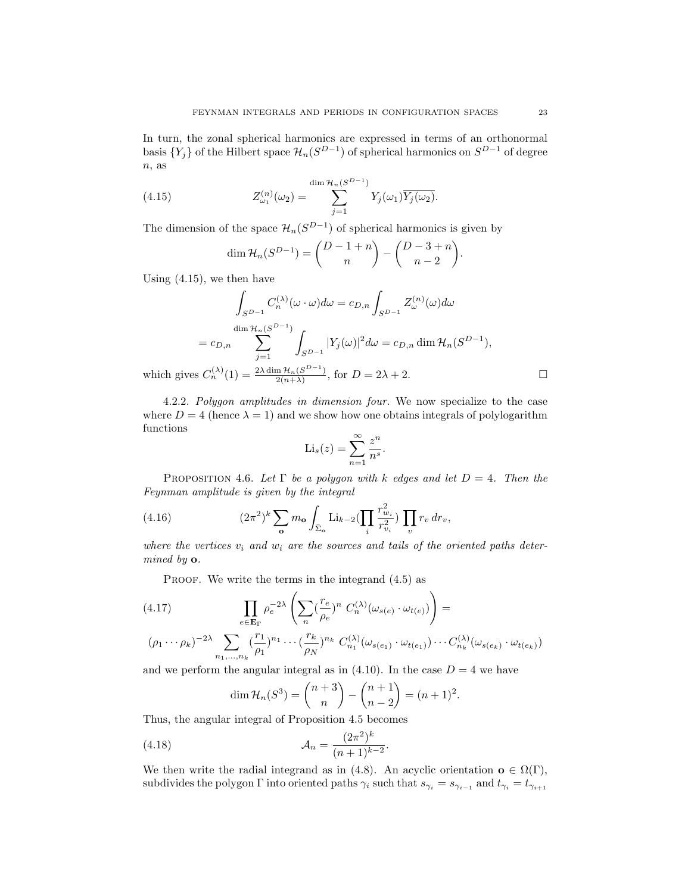In turn, the zonal spherical harmonics are expressed in terms of an orthonormal basis  $\{Y_j\}$  of the Hilbert space  $\mathcal{H}_n(S^{D-1})$  of spherical harmonics on  $S^{D-1}$  of degree  $n$ , as

(4.15) 
$$
Z_{\omega_1}^{(n)}(\omega_2) = \sum_{j=1}^{\dim \mathcal{H}_n(S^{D-1})} Y_j(\omega_1) \overline{Y_j(\omega_2)}.
$$

The dimension of the space  $\mathcal{H}_n(S^{D-1})$  of spherical harmonics is given by

$$
\dim \mathcal{H}_n(S^{D-1}) = \binom{D-1+n}{n} - \binom{D-3+n}{n-2}.
$$

Using (4.15), we then have

$$
\int_{S^{D-1}} C_n^{(\lambda)}(\omega \cdot \omega) d\omega = c_{D,n} \int_{S^{D-1}} Z_{\omega}^{(n)}(\omega) d\omega
$$

$$
= c_{D,n} \sum_{j=1}^{\dim \mathcal{H}_n(S^{D-1})} \int_{S^{D-1}} |Y_j(\omega)|^2 d\omega = c_{D,n} \dim \mathcal{H}_n(S^{D-1}),
$$
which gives  $C_n^{(\lambda)}(1) = \frac{2\lambda \dim \mathcal{H}_n(S^{D-1})}{2(n+\lambda)}$ , for  $D = 2\lambda + 2$ .

4.2.2. Polygon amplitudes in dimension four. We now specialize to the case where  $D = 4$  (hence  $\lambda = 1$ ) and we show how one obtains integrals of polylogarithm functions

$$
\mathrm{Li}_s(z) = \sum_{n=1}^{\infty} \frac{z^n}{n^s}.
$$

PROPOSITION 4.6. Let  $\Gamma$  be a polygon with k edges and let  $D = 4$ . Then the Feynman amplitude is given by the integral

(4.16) 
$$
(2\pi^2)^k \sum_{\mathbf{o}} m_{\mathbf{o}} \int_{\bar{\Sigma}_{\mathbf{o}}} \text{Li}_{k-2}(\prod_i \frac{r_{w_i}^2}{r_{v_i}^2}) \prod_v r_v dr_v,
$$

where the vertices  $v_i$  and  $w_i$  are the sources and tails of the oriented paths determined by o.

PROOF. We write the terms in the integrand  $(4.5)$  as

(4.17) 
$$
\prod_{e \in \mathbf{E}_{\Gamma}} \rho_e^{-2\lambda} \left( \sum_n \left( \frac{r_e}{\rho_e} \right)^n C_n^{(\lambda)}(\omega_{s(e)} \cdot \omega_{t(e)}) \right) =
$$

$$
(\rho_1 \cdots \rho_k)^{-2\lambda} \sum_{n_1, \ldots, n_k} \left(\frac{r_1}{\rho_1}\right)^{n_1} \cdots \left(\frac{r_k}{\rho_N}\right)^{n_k} C_{n_1}^{(\lambda)}(\omega_{s(e_1)} \cdot \omega_{t(e_1)}) \cdots C_{n_k}^{(\lambda)}(\omega_{s(e_k)} \cdot \omega_{t(e_k)})
$$

and we perform the angular integral as in  $(4.10)$ . In the case  $D = 4$  we have

$$
\dim \mathcal{H}_n(S^3) = \binom{n+3}{n} - \binom{n+1}{n-2} = (n+1)^2.
$$

Thus, the angular integral of Proposition 4.5 becomes

(4.18) 
$$
\mathcal{A}_n = \frac{(2\pi^2)^k}{(n+1)^{k-2}}.
$$

We then write the radial integrand as in (4.8). An acyclic orientation  $\mathbf{o} \in \Omega(\Gamma)$ , subdivides the polygon  $\Gamma$  into oriented paths  $\gamma_i$  such that  $s_{\gamma_i} = s_{\gamma_{i-1}}$  and  $t_{\gamma_i} = t_{\gamma_{i+1}}$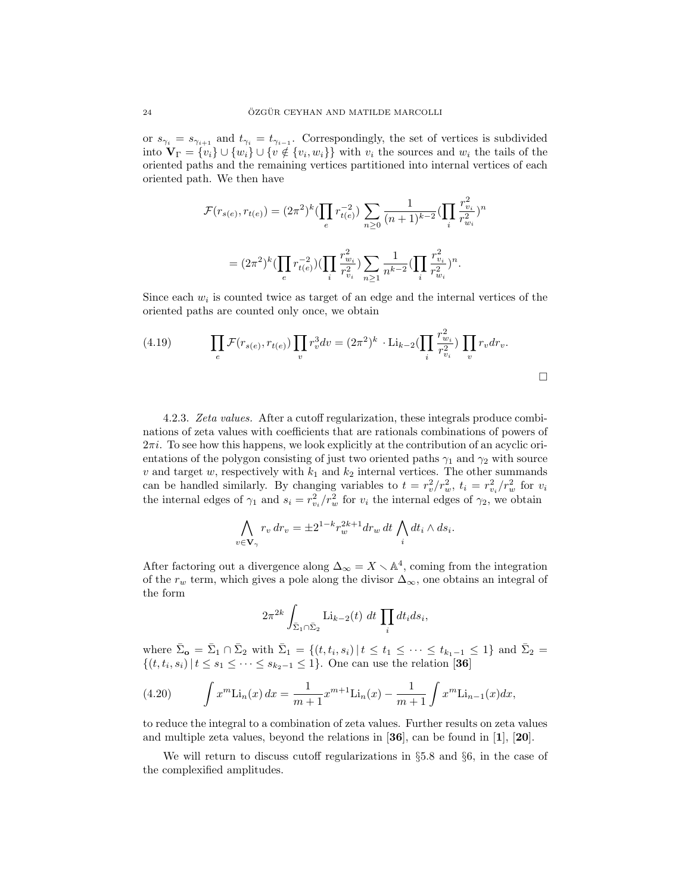or  $s_{\gamma_i} = s_{\gamma_{i+1}}$  and  $t_{\gamma_i} = t_{\gamma_{i-1}}$ . Correspondingly, the set of vertices is subdivided into  $\mathbf{V}_{\Gamma} = \{v_i\} \cup \{w_i\} \cup \{v \notin \{v_i, w_i\}\}\$  with  $v_i$  the sources and  $w_i$  the tails of the oriented paths and the remaining vertices partitioned into internal vertices of each oriented path. We then have

$$
\mathcal{F}(r_{s(e)}, r_{t(e)}) = (2\pi^2)^k \left(\prod_e r_{t(e)}^{-2}\right) \sum_{n\geq 0} \frac{1}{(n+1)^{k-2}} \left(\prod_i \frac{r_{v_i}^2}{r_{w_i}^2}\right)^n
$$

$$
= (2\pi^2)^k \left(\prod_e r_{t(e)}^{-2}\right) \left(\prod_i \frac{r_{v_i}^2}{r_{v_i}^2}\right) \sum_{n\geq 1} \frac{1}{n^{k-2}} \left(\prod_i \frac{r_{v_i}^2}{r_{w_i}^2}\right)^n.
$$

Since each  $w_i$  is counted twice as target of an edge and the internal vertices of the oriented paths are counted only once, we obtain

(4.19) 
$$
\prod_{e} \mathcal{F}(r_{s(e)}, r_{t(e)}) \prod_{v} r_v^3 dv = (2\pi^2)^k \cdot \text{Li}_{k-2}(\prod_{i} \frac{r_{w_i}^2}{r_{v_i}^2}) \prod_{v} r_v dr_v.
$$

4.2.3. Zeta values. After a cutoff regularization, these integrals produce combinations of zeta values with coefficients that are rationals combinations of powers of  $2\pi i$ . To see how this happens, we look explicitly at the contribution of an acyclic orientations of the polygon consisting of just two oriented paths  $\gamma_1$  and  $\gamma_2$  with source v and target w, respectively with  $k_1$  and  $k_2$  internal vertices. The other summands can be handled similarly. By changing variables to  $t = r_v^2/r_w^2$ ,  $t_i = r_{v_i}^2/r_w^2$  for  $v_i$ the internal edges of  $\gamma_1$  and  $s_i = r_{v_i}^2/r_w^2$  for  $v_i$  the internal edges of  $\gamma_2$ , we obtain

$$
\bigwedge_{v \in \mathbf{V}_{\gamma}} r_v dr_v = \pm 2^{1-k} r_w^{2k+1} dr_w dt \bigwedge_i dt_i \wedge ds_i.
$$

After factoring out a divergence along  $\Delta_{\infty} = X \setminus \mathbb{A}^4$ , coming from the integration of the  $r_w$  term, which gives a pole along the divisor  $\Delta_{\infty}$ , one obtains an integral of the form

$$
2\pi^{2k}\int_{\bar{\Sigma}_1\cap\bar{\Sigma}_2} \mathrm{Li}_{k-2}(t) dt \prod_i dt_i ds_i,
$$

where  $\bar{\Sigma}_{\mathbf{o}} = \bar{\Sigma}_1 \cap \bar{\Sigma}_2$  with  $\bar{\Sigma}_1 = \{(t, t_i, s_i) | t \leq t_1 \leq \cdots \leq t_{k_1-1} \leq 1\}$  and  $\bar{\Sigma}_2 =$  $\{(t, t_i, s_i) | t \leq s_1 \leq \cdots \leq s_{k_2-1} \leq 1\}$ . One can use the relation [36]

(4.20) 
$$
\int x^m \text{Li}_n(x) dx = \frac{1}{m+1} x^{m+1} \text{Li}_n(x) - \frac{1}{m+1} \int x^m \text{Li}_{n-1}(x) dx,
$$

to reduce the integral to a combination of zeta values. Further results on zeta values and multiple zeta values, beyond the relations in  $\mathbf{36}$ , can be found in  $\mathbf{11}$ ,  $\mathbf{20}$ .

We will return to discuss cutoff regularizations in §5.8 and §6, in the case of the complexified amplitudes.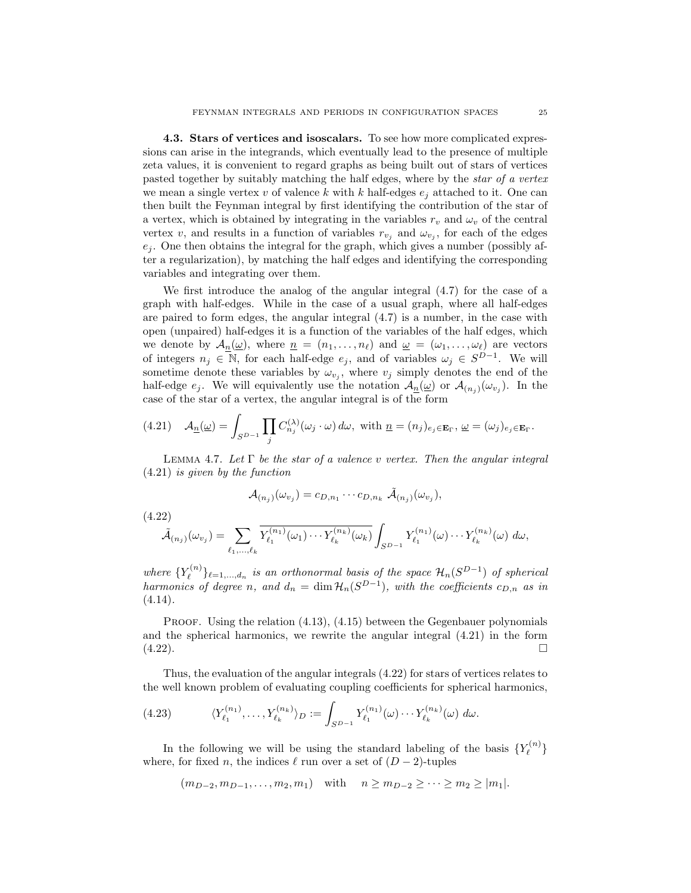4.3. Stars of vertices and isoscalars. To see how more complicated expressions can arise in the integrands, which eventually lead to the presence of multiple zeta values, it is convenient to regard graphs as being built out of stars of vertices pasted together by suitably matching the half edges, where by the star of a vertex we mean a single vertex v of valence k with k half-edges  $e_i$  attached to it. One can then built the Feynman integral by first identifying the contribution of the star of a vertex, which is obtained by integrating in the variables  $r_v$  and  $\omega_v$  of the central vertex v, and results in a function of variables  $r_{v_j}$  and  $\omega_{v_j}$ , for each of the edges  $e_j$ . One then obtains the integral for the graph, which gives a number (possibly after a regularization), by matching the half edges and identifying the corresponding variables and integrating over them.

We first introduce the analog of the angular integral (4.7) for the case of a graph with half-edges. While in the case of a usual graph, where all half-edges are paired to form edges, the angular integral (4.7) is a number, in the case with open (unpaired) half-edges it is a function of the variables of the half edges, which we denote by  $\mathcal{A}_{\underline{n}}(\underline{\omega})$ , where  $\underline{n} = (n_1, \ldots, n_\ell)$  and  $\underline{\omega} = (\omega_1, \ldots, \omega_\ell)$  are vectors of integers  $n_j \in \mathbb{N}$ , for each half-edge  $e_j$ , and of variables  $\omega_j \in S^{D-1}$ . We will sometime denote these variables by  $\omega_{v_j}$ , where  $v_j$  simply denotes the end of the half-edge  $e_j$ . We will equivalently use the notation  $\mathcal{A}_{\underline{n}}(\underline{\omega})$  or  $\mathcal{A}_{(n_j)}(\omega_{v_j})$ . In the case of the star of a vertex, the angular integral is of the form

(4.21) 
$$
\mathcal{A}_{\underline{n}}(\underline{\omega}) = \int_{S^{D-1}} \prod_j C_{n_j}^{(\lambda)}(\omega_j \cdot \omega) d\omega, \text{ with } \underline{n} = (n_j)_{e_j \in \mathbf{E}_{\Gamma}}, \underline{\omega} = (\omega_j)_{e_j \in \mathbf{E}_{\Gamma}}.
$$

LEMMA 4.7. Let  $\Gamma$  be the star of a valence v vertex. Then the angular integral (4.21) is given by the function

$$
\mathcal{A}_{(n_j)}(\omega_{v_j}) = c_{D,n_1} \cdots c_{D,n_k} \tilde{\mathcal{A}}_{(n_j)}(\omega_{v_j}),
$$

(4.22)

$$
\widetilde{\mathcal{A}}_{(n_j)}(\omega_{v_j}) = \sum_{\ell_1,\ldots,\ell_k} \overline{Y_{\ell_1}^{(n_1)}(\omega_1)\cdots Y_{\ell_k}^{(n_k)}(\omega_k)} \int_{S^{D-1}} Y_{\ell_1}^{(n_1)}(\omega) \cdots Y_{\ell_k}^{(n_k)}(\omega) d\omega,
$$

where  $\{Y_{\ell}^{(n)}\}$  $\{\epsilon_n^{(n)}\}_{\ell=1,\dots,d_n}$  is an orthonormal basis of the space  $\mathcal{H}_n(S^{D-1})$  of spherical harmonics of degree n, and  $d_n = \dim \mathcal{H}_n(S^{D-1})$ , with the coefficients  $c_{D,n}$  as in  $(4.14).$ 

**PROOF.** Using the relation  $(4.13)$ ,  $(4.15)$  between the Gegenbauer polynomials and the spherical harmonics, we rewrite the angular integral (4.21) in the form  $(4.22)$ .

Thus, the evaluation of the angular integrals (4.22) for stars of vertices relates to the well known problem of evaluating coupling coefficients for spherical harmonics,

(4.23) 
$$
\langle Y_{\ell_1}^{(n_1)}, \ldots, Y_{\ell_k}^{(n_k)} \rangle_D := \int_{S^{D-1}} Y_{\ell_1}^{(n_1)}(\omega) \cdots Y_{\ell_k}^{(n_k)}(\omega) d\omega.
$$

In the following we will be using the standard labeling of the basis  ${Y_{\ell}^{(n)}}$  $\left\{ \ell^{\left( n\right) }\right\}$ where, for fixed n, the indices  $\ell$  run over a set of  $(D - 2)$ -tuples

$$
(m_{D-2}, m_{D-1}, \ldots, m_2, m_1)
$$
 with  $n \ge m_{D-2} \ge \cdots \ge m_2 \ge |m_1|$ .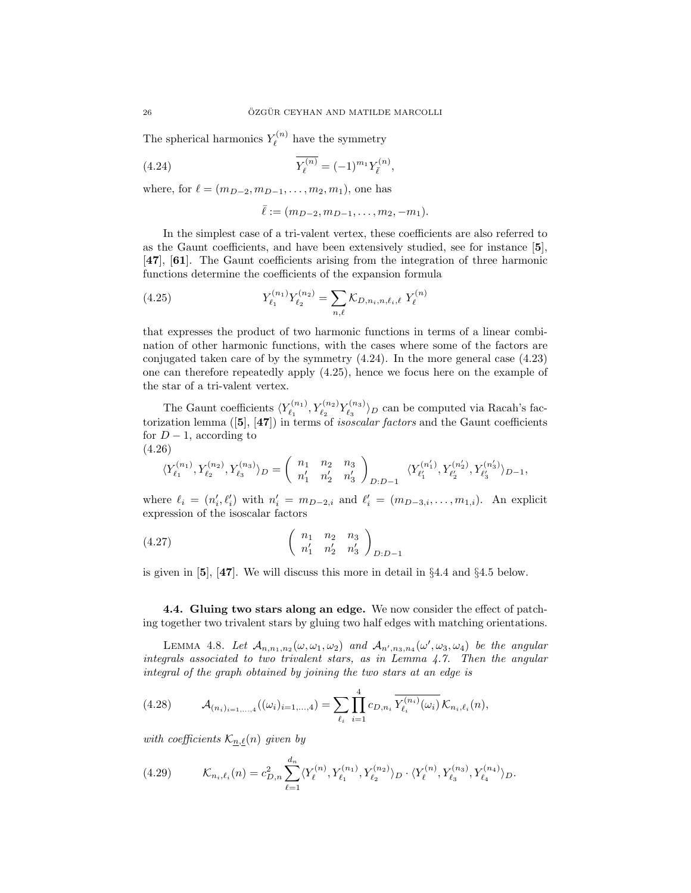The spherical harmonics  $Y_{\ell}^{(n)}$  $\zeta_{\ell}^{(n)}$  have the symmetry

(4.24) 
$$
\overline{Y_{\ell}^{(n)}} = (-1)^{m_1} Y_{\overline{\ell}}^{(n)},
$$

where, for  $\ell = (m_{D-2}, m_{D-1}, \ldots, m_2, m_1)$ , one has

$$
\bar{\ell} := (m_{D-2}, m_{D-1}, \ldots, m_2, -m_1).
$$

In the simplest case of a tri-valent vertex, these coefficients are also referred to as the Gaunt coefficients, and have been extensively studied, see for instance [5], [47], [61]. The Gaunt coefficients arising from the integration of three harmonic functions determine the coefficients of the expansion formula

(4.25) 
$$
Y_{\ell_1}^{(n_1)} Y_{\ell_2}^{(n_2)} = \sum_{n,\ell} \mathcal{K}_{D,n_i,n,\ell_i,\ell} Y_{\ell}^{(n)}
$$

that expresses the product of two harmonic functions in terms of a linear combination of other harmonic functions, with the cases where some of the factors are conjugated taken care of by the symmetry (4.24). In the more general case (4.23) one can therefore repeatedly apply (4.25), hence we focus here on the example of the star of a tri-valent vertex.

The Gaunt coefficients  $\langle Y_{\ell_1}^{(n_1)} \rangle$  $Y_{\ell_1}^{(n_1)}, Y_{\ell_2}^{(n_2)} Y_{\ell_3}^{(n_3)}$  $\langle \begin{array}{c} \mathfrak{p}_{3} \\ \ell_3 \end{array} \rangle_D$  can be computed via Racah's factorization lemma  $([5], [47])$  in terms of *isoscalar factors* and the Gaunt coefficients for  $D-1$ , according to (4.26)

$$
\langle Y_{\ell_1}^{(n_1)},Y_{\ell_2}^{(n_2)},Y_{\ell_3}^{(n_3)} \rangle_D = \left( \begin{array}{cc} n_1 & n_2 & n_3 \\ n'_1 & n'_2 & n'_3 \end{array} \right)_{D:D-1} \ \ \langle Y_{\ell_1'}^{(n'_1)},Y_{\ell_2'}^{(n'_2)},Y_{\ell_3'}^{(n'_3)} \rangle_{D-1},
$$

where  $\ell_i = (n'_i, \ell'_i)$  with  $n'_i = m_{D-2,i}$  and  $\ell'_i = (m_{D-3,i}, \ldots, m_{1,i})$ . An explicit expression of the isoscalar factors

$$
(4.27) \qquad \qquad \begin{pmatrix} n_1 & n_2 & n_3 \\ n'_1 & n'_2 & n'_3 \end{pmatrix}_{D:D-1}
$$

is given in [5], [47]. We will discuss this more in detail in §4.4 and §4.5 below.

4.4. Gluing two stars along an edge. We now consider the effect of patching together two trivalent stars by gluing two half edges with matching orientations.

LEMMA 4.8. Let  $\mathcal{A}_{n,n_1,n_2}(\omega,\omega_1,\omega_2)$  and  $\mathcal{A}_{n',n_3,n_4}(\omega',\omega_3,\omega_4)$  be the angular integrals associated to two trivalent stars, as in Lemma 4.7. Then the angular integral of the graph obtained by joining the two stars at an edge is

(4.28) 
$$
\mathcal{A}_{(n_i)_{i=1,\ldots,4}}((\omega_i)_{i=1,\ldots,4})=\sum_{\ell_i}\prod_{i=1}^4 c_{D,n_i}\overline{Y_{\ell_i}^{(n_i)}(\omega_i)}\,\mathcal{K}_{n_i,\ell_i}(n),
$$

with coefficients  $\mathcal{K}_{n,\ell}(n)$  given by

$$
(4.29) \t\t\t\mathcal{K}_{n_i,\ell_i}(n) = c_{D,n}^2 \sum_{\ell=1}^{d_n} \langle Y_{\ell}^{(n)}, Y_{\ell_1}^{(n_1)}, Y_{\ell_2}^{(n_2)} \rangle_D \cdot \langle Y_{\ell}^{(n)}, Y_{\ell_3}^{(n_3)}, Y_{\ell_4}^{(n_4)} \rangle_D.
$$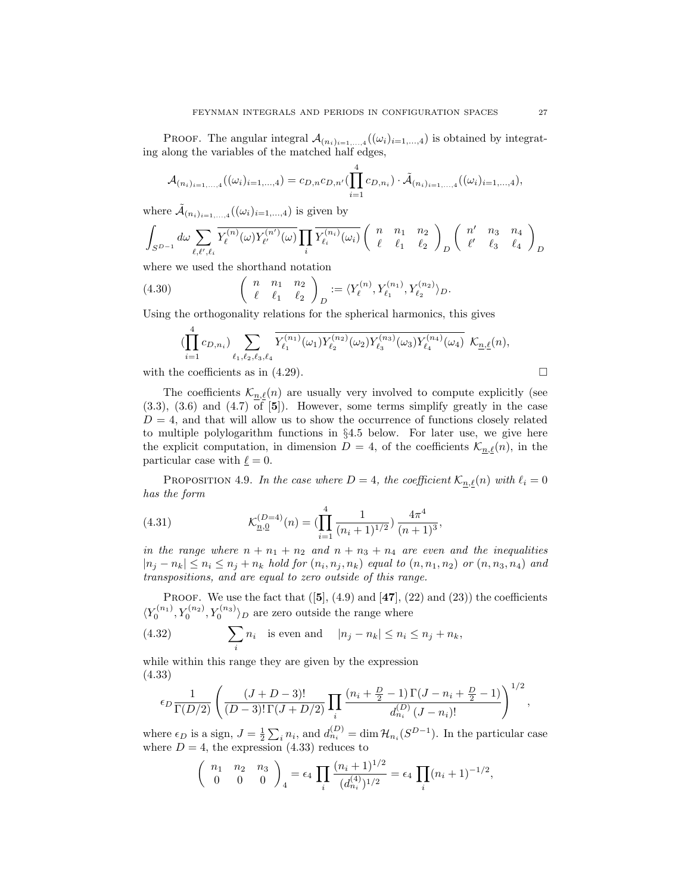PROOF. The angular integral  $\mathcal{A}_{(n_i)_{i=1,\ldots,4}}((\omega_i)_{i=1,\ldots,4})$  is obtained by integrating along the variables of the matched half edges,

$$
\mathcal{A}_{(n_i)_{i=1,\ldots,4}}((\omega_i)_{i=1,\ldots,4})=c_{D,n}c_{D,n'}(\prod_{i=1}^4 c_{D,n_i})\cdot \tilde{\mathcal{A}}_{(n_i)_{i=1,\ldots,4}}((\omega_i)_{i=1,\ldots,4}),
$$

where  $\tilde{A}_{(n_i)_{i=1,\dots,4}}((\omega_i)_{i=1,\dots,4})$  is given by

$$
\int_{S^{D-1}} d\omega \sum_{\ell,\ell',\ell_i} \overline{Y_{\ell}^{(n)}(\omega) Y_{\ell'}^{(n')}(\omega)} \prod_i \overline{Y_{\ell_i}^{(n_i)}(\omega_i)} \left( \begin{array}{ccc} n & n_1 & n_2 \\ \ell & \ell_1 & \ell_2 \end{array} \right)_D \left( \begin{array}{ccc} n' & n_3 & n_4 \\ \ell' & \ell_3 & \ell_4 \end{array} \right)_D
$$

where we used the shorthand notation

(4.30) 
$$
\begin{pmatrix} n & n_1 & n_2 \ \ell & \ell_1 & \ell_2 \end{pmatrix}_D := \langle Y^{(n)}_{\ell}, Y^{(n_1)}_{\ell_1}, Y^{(n_2)}_{\ell_2} \rangle_D.
$$

Using the orthogonality relations for the spherical harmonics, this gives

$$
\left(\prod_{i=1}^{4}c_{D,n_{i}}\right) \sum_{\ell_{1},\ell_{2},\ell_{3},\ell_{4}} \overline{Y_{\ell_{1}}^{(n_{1})}(\omega_{1})Y_{\ell_{2}}^{(n_{2})}(\omega_{2})Y_{\ell_{3}}^{(n_{3})}(\omega_{3})Y_{\ell_{4}}^{(n_{4})}(\omega_{4})} \mathcal{K}_{\underline{n},\ell}(n),
$$

with the coefficients as in (4.29).  $\Box$ 

The coefficients  $\mathcal{K}_{n,\ell}(n)$  are usually very involved to compute explicitly (see  $(3.3)$ ,  $(3.6)$  and  $(4.7)$  of  $[5]$ ). However, some terms simplify greatly in the case  $D = 4$ , and that will allow us to show the occurrence of functions closely related to multiple polylogarithm functions in §4.5 below. For later use, we give here the explicit computation, in dimension  $D = 4$ , of the coefficients  $\mathcal{K}_{n,\ell}(n)$ , in the particular case with  $\underline{\ell} = 0$ .

PROPOSITION 4.9. In the case where  $D = 4$ , the coefficient  $\mathcal{K}_{n,\ell}(n)$  with  $\ell_i = 0$ has the form

(4.31) 
$$
\mathcal{K}_{\underline{n},\underline{0}}^{(D=4)}(n) = \left(\prod_{i=1}^{4} \frac{1}{(n_i+1)^{1/2}}\right) \frac{4\pi^4}{(n+1)^3},
$$

in the range where  $n + n_1 + n_2$  and  $n + n_3 + n_4$  are even and the inequalities  $|n_j - n_k| \leq n_i \leq n_j + n_k$  hold for  $(n_i, n_j, n_k)$  equal to  $(n, n_1, n_2)$  or  $(n, n_3, n_4)$  and transpositions, and are equal to zero outside of this range.

PROOF. We use the fact that  $([5], (4.9)$  and  $[47], (22)$  and  $(23)$ ) the coefficients  $\langle Y_0^{(n_1)}, Y_0^{(n_2)}, Y_0^{(n_3)} \rangle_D$  are zero outside the range where

(4.32) 
$$
\sum_{i} n_i \text{ is even and } |n_j - n_k| \le n_i \le n_j + n_k,
$$

while within this range they are given by the expression (4.33)

$$
\epsilon_D \frac{1}{\Gamma(D/2)} \left( \frac{(J+D-3)!}{(D-3)! \Gamma(J+D/2)} \prod_i \frac{(n_i+\frac{D}{2}-1) \Gamma(J-n_i+\frac{D}{2}-1)}{d_{n_i}^{(D)} (J-n_i)!} \right)^{1/2},
$$

where  $\epsilon_D$  is a sign,  $J = \frac{1}{2} \sum_i n_i$ , and  $d_{n_i}^{(D)} = \dim \mathcal{H}_{n_i}(S^{D-1})$ . In the particular case where  $D = 4$ , the expression (4.33) reduces to

$$
\begin{pmatrix} n_1 & n_2 & n_3 \ 0 & 0 & 0 \end{pmatrix}_4 = \epsilon_4 \prod_i \frac{(n_i+1)^{1/2}}{(d_{n_i}^{(4)})^{1/2}} = \epsilon_4 \prod_i (n_i+1)^{-1/2},
$$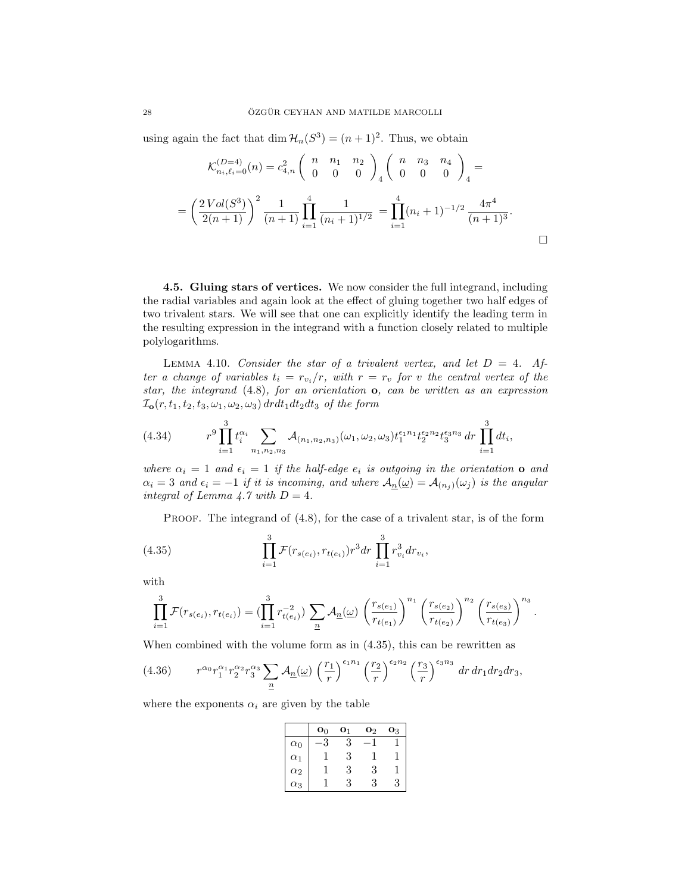using again the fact that dim  $\mathcal{H}_n(S^3) = (n+1)^2$ . Thus, we obtain

$$
\mathcal{K}_{n_i,\ell_i=0}^{(D=4)}(n) = c_{4,n}^2 \begin{pmatrix} n & n_1 & n_2 \\ 0 & 0 & 0 \end{pmatrix}_4 \begin{pmatrix} n & n_3 & n_4 \\ 0 & 0 & 0 \end{pmatrix}_4 =
$$
  
=  $\left(\frac{2\operatorname{Vol}(S^3)}{2(n+1)}\right)^2 \frac{1}{(n+1)} \prod_{i=1}^4 \frac{1}{(n_i+1)^{1/2}} = \prod_{i=1}^4 (n_i+1)^{-1/2} \frac{4\pi^4}{(n+1)^3}.$ 

4.5. Gluing stars of vertices. We now consider the full integrand, including the radial variables and again look at the effect of gluing together two half edges of two trivalent stars. We will see that one can explicitly identify the leading term in the resulting expression in the integrand with a function closely related to multiple polylogarithms.

LEMMA 4.10. Consider the star of a trivalent vertex, and let  $D = 4$ . After a change of variables  $t_i = r_{v_i}/r$ , with  $r = r_v$  for v the central vertex of the star, the integrand  $(4.8)$ , for an orientation  $\mathbf{o}$ , can be written as an expression  $\mathcal{I}_{\mathbf{0}}(r, t_1, t_2, t_3, \omega_1, \omega_2, \omega_3) d r dt_1 dt_2 dt_3$  of the form

(4.34) 
$$
r^{9} \prod_{i=1}^{3} t_i^{\alpha_i} \sum_{n_1, n_2, n_3} A_{(n_1, n_2, n_3)}(\omega_1, \omega_2, \omega_3) t_1^{\epsilon_1 n_1} t_2^{\epsilon_2 n_2} t_3^{\epsilon_3 n_3} dr \prod_{i=1}^{3} dt_i,
$$

where  $\alpha_i = 1$  and  $\epsilon_i = 1$  if the half-edge  $e_i$  is outgoing in the orientation **o** and  $\alpha_i = 3$  and  $\epsilon_i = -1$  if it is incoming, and where  $\mathcal{A}_{n}(\omega) = \mathcal{A}_{(n_i)}(\omega_j)$  is the angular integral of Lemma 4.7 with  $D = 4$ .

PROOF. The integrand of  $(4.8)$ , for the case of a trivalent star, is of the form

(4.35) 
$$
\prod_{i=1}^{3} \mathcal{F}(r_{s(e_i)}, r_{t(e_i)}) r^3 dr \prod_{i=1}^{3} r_{v_i}^3 dr_{v_i},
$$

with

$$
\prod_{i=1}^{3} \mathcal{F}(r_{s(e_i)}, r_{t(e_i)}) = \left(\prod_{i=1}^{3} r_{t(e_i)}^{-2}\right) \sum_{\underline{n}} \mathcal{A}_{\underline{n}}(\underline{\omega}) \left(\frac{r_{s(e_1)}}{r_{t(e_1)}}\right)^{n_1} \left(\frac{r_{s(e_2)}}{r_{t(e_2)}}\right)^{n_2} \left(\frac{r_{s(e_3)}}{r_{t(e_3)}}\right)^{n_3}.
$$

When combined with the volume form as in (4.35), this can be rewritten as

$$
(4.36) \t r^{\alpha_0} r_1^{\alpha_1} r_2^{\alpha_2} r_3^{\alpha_3} \sum_{n} A_{\underline{n}}(\underline{\omega}) \left(\frac{r_1}{r}\right)^{\epsilon_1 n_1} \left(\frac{r_2}{r}\right)^{\epsilon_2 n_2} \left(\frac{r_3}{r}\right)^{\epsilon_3 n_3} dr dr_1 dr_2 dr_3,
$$

where the exponents  $\alpha_i$  are given by the table

|            | $\mathbf{o}_0$ | $\mathbf{O}_1$ | $\mathbf{0}_2$ | Oз |
|------------|----------------|----------------|----------------|----|
| $\alpha_0$ |                | 3              |                |    |
| $\alpha_1$ |                | 3              |                |    |
| $\alpha_2$ |                | 3              | 3              |    |
| $\alpha_3$ |                | 3              | .,             | ு  |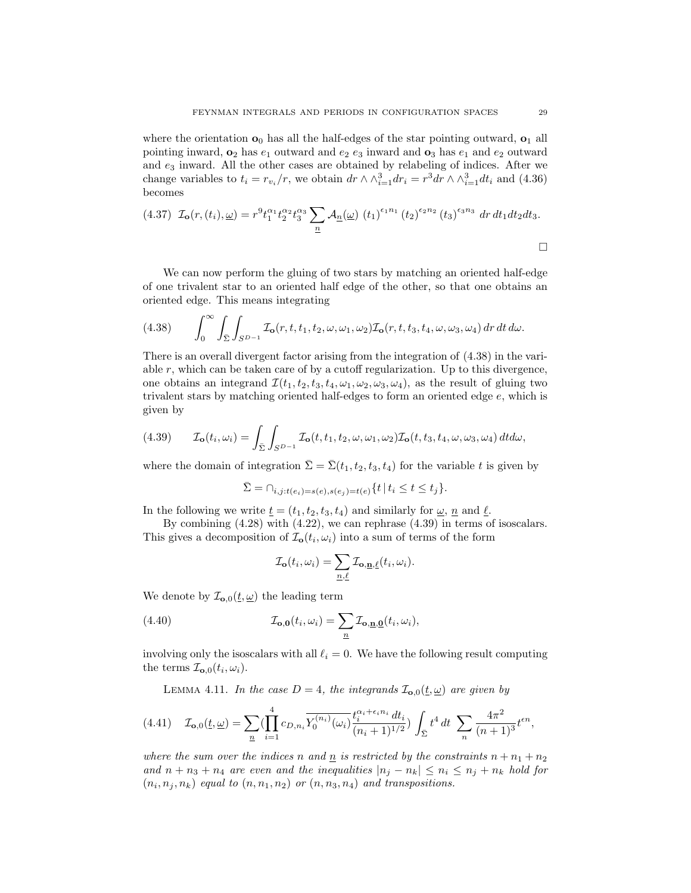where the orientation  $\mathbf{o}_0$  has all the half-edges of the star pointing outward,  $\mathbf{o}_1$  all pointing inward,  $\mathbf{o}_2$  has  $e_1$  outward and  $e_2$  e<sub>3</sub> inward and  $\mathbf{o}_3$  has  $e_1$  and  $e_2$  outward and  $e_3$  inward. All the other cases are obtained by relabeling of indices. After we change variables to  $t_i = r_{v_i}/r$ , we obtain  $dr \wedge \wedge_{i=1}^3 dr_i = r^3 dr \wedge \wedge_{i=1}^3 dt_i$  and (4.36) becomes

$$
(4.37) \mathcal{I}_{\mathbf{o}}(r,(t_i),\underline{\omega}) = r^9 t_1^{\alpha_1} t_2^{\alpha_2} t_3^{\alpha_3} \sum_{\underline{n}} \mathcal{A}_{\underline{n}}(\underline{\omega}) (t_1)^{\epsilon_1 n_1} (t_2)^{\epsilon_2 n_2} (t_3)^{\epsilon_3 n_3} dr dt_1 dt_2 dt_3.
$$

We can now perform the gluing of two stars by matching an oriented half-edge of one trivalent star to an oriented half edge of the other, so that one obtains an oriented edge. This means integrating

(4.38) 
$$
\int_0^\infty \int_{\bar{\Sigma}} \int_{S^{D-1}} \mathcal{I}_o(r,t,t_1,t_2,\omega,\omega_1,\omega_2) \mathcal{I}_o(r,t,t_3,t_4,\omega,\omega_3,\omega_4) dr dt d\omega.
$$

There is an overall divergent factor arising from the integration of (4.38) in the variable  $r$ , which can be taken care of by a cutoff regularization. Up to this divergence, one obtains an integrand  $\mathcal{I}(t_1, t_2, t_3, t_4, \omega_1, \omega_2, \omega_3, \omega_4)$ , as the result of gluing two trivalent stars by matching oriented half-edges to form an oriented edge e, which is given by

(4.39) 
$$
\mathcal{I}_{\mathbf{o}}(t_i,\omega_i) = \int_{\Sigma} \int_{S^{D-1}} \mathcal{I}_{\mathbf{o}}(t,t_1,t_2,\omega,\omega_1,\omega_2) \mathcal{I}_{\mathbf{o}}(t,t_3,t_4,\omega,\omega_3,\omega_4) dt d\omega,
$$

where the domain of integration  $\bar{\Sigma} = \bar{\Sigma}(t_1, t_2, t_3, t_4)$  for the variable t is given by

$$
\bar{\Sigma} = \cap_{i,j:t(e_i) = s(e), s(e_j) = t(e)} \{ t \mid t_i \le t \le t_j \}.
$$

In the following we write  $\underline{t} = (t_1, t_2, t_3, t_4)$  and similarly for  $\underline{\omega}$ ,  $\underline{n}$  and  $\underline{\ell}$ .

By combining (4.28) with (4.22), we can rephrase (4.39) in terms of isoscalars. This gives a decomposition of  $\mathcal{I}_{o}(t_i, \omega_i)$  into a sum of terms of the form

$$
\mathcal{I}_{\mathbf{o}}(t_i, \omega_i) = \sum_{\underline{n}, \underline{\ell}} \mathcal{I}_{\mathbf{o}, \underline{\mathbf{n}}, \underline{\ell}}(t_i, \omega_i).
$$

We denote by  $\mathcal{I}_{\mathbf{o},0}(\underline{t}, \underline{\omega})$  the leading term

(4.40) 
$$
\mathcal{I}_{\mathbf{o},\mathbf{0}}(t_i,\omega_i) = \sum_{\underline{n}} \mathcal{I}_{\mathbf{o},\underline{\mathbf{n}},\underline{\mathbf{0}}}(t_i,\omega_i),
$$

involving only the isoscalars with all  $\ell_i = 0$ . We have the following result computing the terms  $\mathcal{I}_{\mathbf{o},0}(t_i,\omega_i)$ .

LEMMA 4.11. In the case  $D = 4$ , the integrands  $\mathcal{I}_{\mathbf{0},0}(\underline{t}, \underline{\omega})$  are given by

$$
(4.41)\quad \mathcal{I}_{\mathbf{0},0}(\underline{t},\underline{\omega}) = \sum_{\underline{n}} \left( \prod_{i=1}^{4} c_{D,n_i} \overline{Y_0^{(n_i)}(\omega_i)} \frac{t_i^{\alpha_i + \epsilon_i n_i} dt_i}{(n_i + 1)^{1/2}} \right) \int_{\bar{\Sigma}} t^4 dt \sum_{n} \frac{4\pi^2}{(n+1)^3} t^{\epsilon n},
$$

where the sum over the indices n and  $\underline{n}$  is restricted by the constraints  $n + n_1 + n_2$ and  $n + n_3 + n_4$  are even and the inequalities  $|n_j - n_k| \leq n_i \leq n_j + n_k$  hold for  $(n_i, n_j, n_k)$  equal to  $(n, n_1, n_2)$  or  $(n, n_3, n_4)$  and transpositions.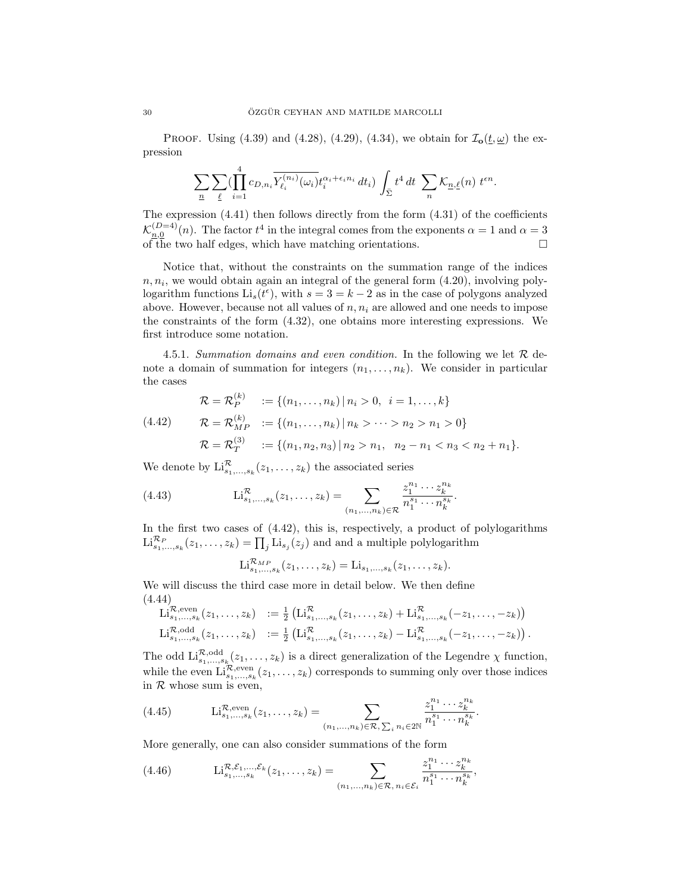PROOF. Using (4.39) and (4.28), (4.29), (4.34), we obtain for  $\mathcal{I}_{o}(t, \underline{\omega})$  the expression

$$
\sum_{\underline{n}} \sum_{\underline{\ell}} (\prod_{i=1}^4 c_{D,n_i} \overline{Y_{\ell_i}^{(n_i)}(\omega_i)} t_i^{\alpha_i + \epsilon_i n_i} dt_i) \int_{\Sigma} t^4 dt \sum_{n} \mathcal{K}_{\underline{n},\underline{\ell}}(n) t^{\epsilon n}.
$$

The expression (4.41) then follows directly from the form (4.31) of the coefficients  $\mathcal{K}_{n,0}^{(D=4)}(n)$ . The factor  $t^4$  in the integral comes from the exponents  $\alpha = 1$  and  $\alpha = 3$ of the two half edges, which have matching orientations.  $\square$ 

Notice that, without the constraints on the summation range of the indices  $n, n_i$ , we would obtain again an integral of the general form  $(4.20)$ , involving polylogarithm functions  $\text{Li}_s(t^{\epsilon})$ , with  $s = 3 = k - 2$  as in the case of polygons analyzed above. However, because not all values of  $n, n_i$  are allowed and one needs to impose the constraints of the form (4.32), one obtains more interesting expressions. We first introduce some notation.

4.5.1. Summation domains and even condition. In the following we let  $\mathcal R$  denote a domain of summation for integers  $(n_1, \ldots, n_k)$ . We consider in particular the cases

$$
\mathcal{R} = \mathcal{R}_P^{(k)} := \{(n_1, \dots, n_k) | n_i > 0, i = 1, \dots, k\}
$$
  
(4.42) 
$$
\mathcal{R} = \mathcal{R}_{MP}^{(k)} := \{(n_1, \dots, n_k) | n_k > \dots > n_2 > n_1 > 0\}
$$
  

$$
\mathcal{R} = \mathcal{R}_T^{(3)} := \{(n_1, n_2, n_3) | n_2 > n_1, n_2 - n_1 < n_3 < n_2 + n_1\}.
$$

We denote by  $\mathrm{Li}_{s_1,\ldots,s_k}^{\mathcal{R}}(z_1,\ldots,z_k)$  the associated series

(4.43) 
$$
\mathrm{Li}_{s_1,\ldots,s_k}^{\mathcal{R}}(z_1,\ldots,z_k) = \sum_{(n_1,\ldots,n_k)\in\mathcal{R}} \frac{z_1^{n_1}\cdots z_k^{n_k}}{n_1^{s_1}\cdots n_k^{s_k}}.
$$

In the first two cases of (4.42), this is, respectively, a product of polylogarithms  $\text{Li}_{s_1,\ldots,s_k}^{\mathcal{R}_P}(z_1,\ldots,z_k) = \prod_j \text{Li}_{s_j}(z_j)$  and and a multiple polylogarithm

$$
\mathrm{Li}_{s_1,\ldots,s_k}^{\mathcal{R}_{MP}}(z_1,\ldots,z_k)=\mathrm{Li}_{s_1,\ldots,s_k}(z_1,\ldots,z_k).
$$

We will discuss the third case more in detail below. We then define (4.44)

$$
\mathrm{Li}_{s_1,...,s_k}^{\mathcal{R},\mathrm{even}}(z_1,...,z_k) := \frac{1}{2} \left( \mathrm{Li}_{s_1,...,s_k}^{\mathcal{R}}(z_1,...,z_k) + \mathrm{Li}_{s_1,...,s_k}^{\mathcal{R}}(-z_1,..., -z_k) \right)
$$
  
\n
$$
\mathrm{Li}_{s_1,...,s_k}^{\mathcal{R},\mathrm{odd}}(z_1,...,z_k) := \frac{1}{2} \left( \mathrm{Li}_{s_1,...,s_k}^{\mathcal{R}}(z_1,...,z_k) - \mathrm{Li}_{s_1,...,s_k}^{\mathcal{R}}(-z_1,..., -z_k) \right).
$$

The odd  $\text{Li}_{s_1,\ldots,s_k}^{\mathcal{R},\text{odd}}(z_1,\ldots,z_k)$  is a direct generalization of the Legendre  $\chi$  function, while the even  $\text{Li}_{s_1,\dots,s_k}^{\mathcal{R},\text{even}}(z_1,\dots,z_k)$  corresponds to summing only over those indices in  $R$  whose sum is even,

(4.45) 
$$
\text{Li}_{s_1,\dots,s_k}^{\mathcal{R},\text{even}}(z_1,\dots,z_k) = \sum_{(n_1,\dots,n_k)\in\mathcal{R},\ \sum_i n_i\in 2\mathbb{N}} \frac{z_1^{n_1}\cdots z_k^{n_k}}{n_1^{s_1}\cdots n_k^{s_k}}.
$$

More generally, one can also consider summations of the form

(4.46) 
$$
\text{Li}_{s_1,...,s_k}^{\mathcal{R},\mathcal{E}_1,...,\mathcal{E}_k}(z_1,...,z_k) = \sum_{(n_1,...,n_k)\in\mathcal{R}, n_i\in\mathcal{E}_i} \frac{z_1^{n_1}\cdots z_k^{n_k}}{n_1^{s_1}\cdots n_k^{s_k}},
$$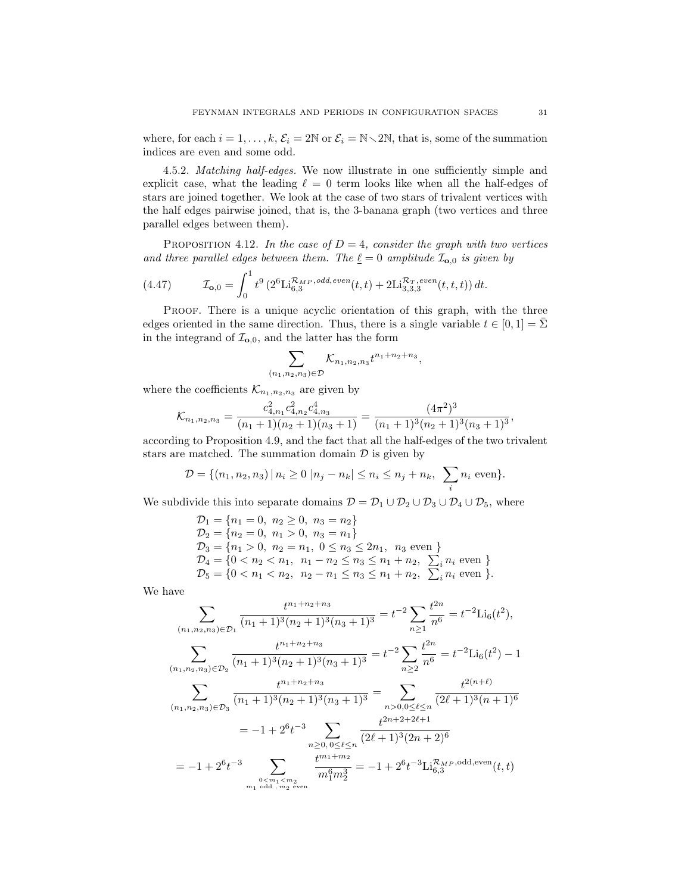where, for each  $i = 1, ..., k$ ,  $\mathcal{E}_i = 2\mathbb{N}$  or  $\mathcal{E}_i = \mathbb{N} \setminus 2\mathbb{N}$ , that is, some of the summation indices are even and some odd.

4.5.2. Matching half-edges. We now illustrate in one sufficiently simple and explicit case, what the leading  $\ell = 0$  term looks like when all the half-edges of stars are joined together. We look at the case of two stars of trivalent vertices with the half edges pairwise joined, that is, the 3-banana graph (two vertices and three parallel edges between them).

PROPOSITION 4.12. In the case of  $D = 4$ , consider the graph with two vertices and three parallel edges between them. The  $\underline{\ell} = 0$  amplitude  $\mathcal{I}_{\mathbf{o},0}$  is given by

(4.47) 
$$
\mathcal{I}_{\mathbf{0},0} = \int_0^1 t^9 \left( 2^6 \text{Li}_{6,3}^{\mathcal{R}_{MP},odd,even}(t,t) + 2 \text{Li}_{3,3,3}^{\mathcal{R}_T,even}(t,t,t) \right) dt.
$$

PROOF. There is a unique acyclic orientation of this graph, with the three edges oriented in the same direction. Thus, there is a single variable  $t \in [0, 1] = \Sigma$ in the integrand of  $\mathcal{I}_{\mathbf{0},0}$ , and the latter has the form

$$
\sum_{(n_1,n_2,n_3)\in\mathcal{D}}\mathcal{K}_{n_1,n_2,n_3}t^{n_1+n_2+n_3},
$$

where the coefficients  $\mathcal{K}_{n_1,n_2,n_3}$  are given by

$$
\mathcal{K}_{n_1,n_2,n_3} = \frac{c_{4,n_1}^2 c_{4,n_2}^2 c_{4,n_3}^4}{(n_1+1)(n_2+1)(n_3+1)} = \frac{(4\pi^2)^3}{(n_1+1)^3(n_2+1)^3(n_3+1)^3},
$$

according to Proposition 4.9, and the fact that all the half-edges of the two trivalent stars are matched. The summation domain  $\mathcal D$  is given by

$$
\mathcal{D} = \{(n_1, n_2, n_3) | n_i \ge 0 | n_j - n_k| \le n_i \le n_j + n_k, \sum_i n_i \text{ even}\}.
$$

We subdivide this into separate domains  $\mathcal{D} = \mathcal{D}_1 \cup \mathcal{D}_2 \cup \mathcal{D}_3 \cup \mathcal{D}_4 \cup \mathcal{D}_5$ , where

$$
D_1 = \{n_1 = 0, n_2 \ge 0, n_3 = n_2\}
$$
  
\n
$$
D_2 = \{n_2 = 0, n_1 > 0, n_3 = n_1\}
$$
  
\n
$$
D_3 = \{n_1 > 0, n_2 = n_1, 0 \le n_3 \le 2n_1, n_3 \text{ even }\}
$$
  
\n
$$
D_4 = \{0 < n_2 < n_1, n_1 - n_2 \le n_3 \le n_1 + n_2, \sum_i n_i \text{ even }\}
$$
  
\n
$$
D_5 = \{0 < n_1 < n_2, n_2 - n_1 \le n_3 \le n_1 + n_2, \sum_i n_i \text{ even }\}.
$$

We have

$$
\sum_{(n_1, n_2, n_3) \in \mathcal{D}_1} \frac{t^{n_1 + n_2 + n_3}}{(n_1 + 1)^3 (n_2 + 1)^3 (n_3 + 1)^3} = t^{-2} \sum_{n \ge 1} \frac{t^{2n}}{n^6} = t^{-2} \text{Li}_6(t^2),
$$
\n
$$
\sum_{(n_1, n_2, n_3) \in \mathcal{D}_2} \frac{t^{n_1 + n_2 + n_3}}{(n_1 + 1)^3 (n_2 + 1)^3 (n_3 + 1)^3} = t^{-2} \sum_{n \ge 2} \frac{t^{2n}}{n^6} = t^{-2} \text{Li}_6(t^2) - 1
$$
\n
$$
\sum_{(n_1, n_2, n_3) \in \mathcal{D}_3} \frac{t^{n_1 + n_2 + n_3}}{(n_1 + 1)^3 (n_2 + 1)^3 (n_3 + 1)^3} = \sum_{n > 0, 0 \le \ell \le n} \frac{t^{2(n + \ell)}}{(2\ell + 1)^3 (n + 1)^6}
$$
\n
$$
= -1 + 2^6 t^{-3} \sum_{\substack{n \ge 0, 0 \le \ell \le n \\ n \ge 0, 0 \le \ell \le n}} \frac{t^{2n + 2 + 2\ell + 1}}{(2\ell + 1)^3 (2n + 2)^6}
$$
\n
$$
= -1 + 2^6 t^{-3} \sum_{\substack{n \ge 0, n_1 \le n_2 \\ m_1 \text{ odd}, m_2 \text{ even}}} \frac{t^{m_1 + m_2}}{m_1^6 m_2^3} = -1 + 2^6 t^{-3} \text{Li}_{6,3}^{\mathcal{R}_{MP}, \text{odd,even}}(t, t)
$$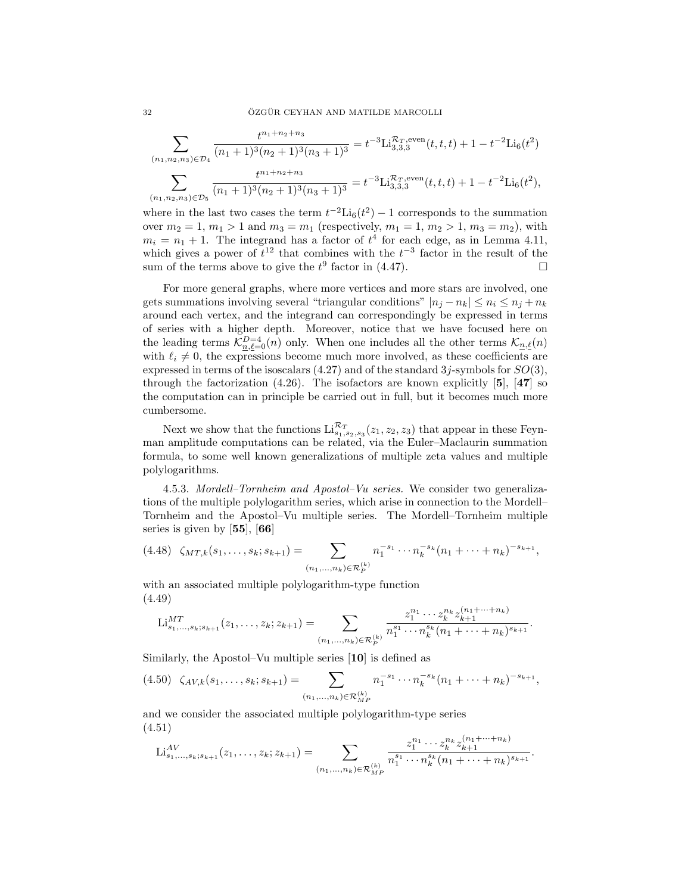$$
\sum_{(n_1, n_2, n_3) \in \mathcal{D}_4} \frac{t^{n_1 + n_2 + n_3}}{(n_1 + 1)^3 (n_2 + 1)^3 (n_3 + 1)^3} = t^{-3} \text{Li}_{3,3,3}^{\mathcal{R}_T, \text{even}}(t, t, t) + 1 - t^{-2} \text{Li}_6(t^2)
$$

$$
\sum_{(n_1, n_2, n_3) \in \mathcal{D}_5} \frac{t^{n_1 + n_2 + n_3}}{(n_1 + 1)^3 (n_2 + 1)^3 (n_3 + 1)^3} = t^{-3} \text{Li}_{3,3,3}^{\mathcal{R}_T, \text{even}}(t, t, t) + 1 - t^{-2} \text{Li}_6(t^2),
$$

where in the last two cases the term  $t^{-2}$ Li<sub>6</sub>( $t^2$ ) – 1 corresponds to the summation over  $m_2 = 1, m_1 > 1$  and  $m_3 = m_1$  (respectively,  $m_1 = 1, m_2 > 1, m_3 = m_2$ ), with  $m_i = n_1 + 1$ . The integrand has a factor of  $t^4$  for each edge, as in Lemma 4.11, which gives a power of  $t^{12}$  that combines with the  $t^{-3}$  factor in the result of the sum of the terms above to give the  $t^9$  factor in (4.47).

For more general graphs, where more vertices and more stars are involved, one gets summations involving several "triangular conditions"  $|n_i - n_k| \leq n_i \leq n_j + n_k$ around each vertex, and the integrand can correspondingly be expressed in terms of series with a higher depth. Moreover, notice that we have focused here on the leading terms  $\mathcal{K}_{n,\ell=0}^{D=4}(n)$  only. When one includes all the other terms  $\mathcal{K}_{n,\ell}(n)$ with  $\ell_i \neq 0$ , the expressions become much more involved, as these coefficients are expressed in terms of the isoscalars  $(4.27)$  and of the standard 3j-symbols for  $SO(3)$ , through the factorization  $(4.26)$ . The isofactors are known explicitly [5], [47] so the computation can in principle be carried out in full, but it becomes much more cumbersome.

Next we show that the functions  $\text{Li}_{s_1,s_2,s_3}^{R_T}(z_1,z_2,z_3)$  that appear in these Feynman amplitude computations can be related, via the Euler–Maclaurin summation formula, to some well known generalizations of multiple zeta values and multiple polylogarithms.

4.5.3. Mordell–Tornheim and Apostol–Vu series. We consider two generalizations of the multiple polylogarithm series, which arise in connection to the Mordell– Tornheim and the Apostol–Vu multiple series. The Mordell–Tornheim multiple series is given by [55], [66]

$$
(4.48)\ \zeta_{MT,k}(s_1,\ldots,s_k;s_{k+1})=\sum_{(n_1,\ldots,n_k)\in\mathcal{R}_P^{(k)}}n_1^{-s_1}\cdots n_k^{-s_k}(n_1+\cdots+n_k)^{-s_{k+1}},
$$

with an associated multiple polylogarithm-type function (4.49)

$$
\mathrm{Li}_{s_1,\ldots,s_k;s_{k+1}}^{MT}(z_1,\ldots,z_k;z_{k+1})=\sum_{(n_1,\ldots,n_k)\in\mathcal{R}_P^{(k)}}\frac{z_1^{n_1}\cdots z_k^{n_k}z_{k+1}^{(n_1+\cdots+n_k)}}{n_1^{s_1}\cdots n_k^{s_k}(n_1+\cdots+n_k)^{s_{k+1}}}.
$$

Similarly, the Apostol–Vu multiple series [10] is defined as

$$
(4.50) \zeta_{AV,k}(s_1,\ldots,s_k;s_{k+1}) = \sum_{(n_1,\ldots,n_k)\in\mathcal{R}_{MP}^{(k)}} n_1^{-s_1}\cdots n_k^{-s_k}(n_1+\cdots+n_k)^{-s_{k+1}},
$$

and we consider the associated multiple polylogarithm-type series (4.51)

$$
\mathrm{Li}_{s_1,\ldots,s_k;s_{k+1}}^{AV}(z_1,\ldots,z_k;z_{k+1})=\sum_{(n_1,\ldots,n_k)\in\mathcal{R}_{MP}^{(k)}}\frac{z_1^{n_1}\cdots z_k^{n_k}z_{k+1}^{(n_1+\cdots+n_k)}}{n_1^{s_1}\cdots n_k^{s_k}(n_1+\cdots+n_k)^{s_{k+1}}}.
$$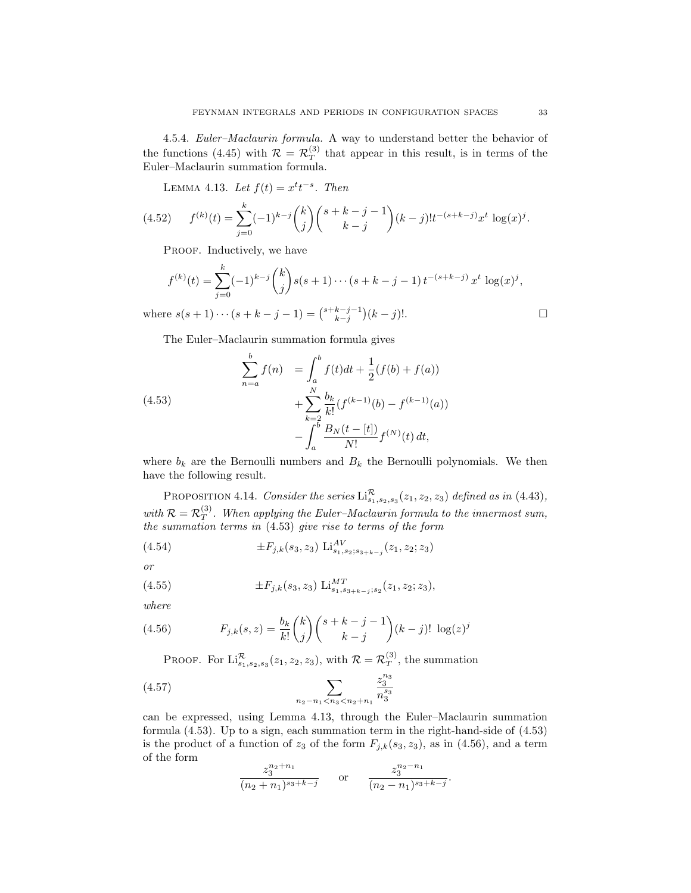4.5.4. Euler–Maclaurin formula. A way to understand better the behavior of the functions (4.45) with  $\mathcal{R} = \mathcal{R}_T^{(3)}$  $T<sup>(3)</sup>$  that appear in this result, is in terms of the Euler–Maclaurin summation formula.

LEMMA 4.13. Let  $f(t) = x^t t^{-s}$ . Then

$$
(4.52) \t f(k)(t) = \sum_{j=0}^{k} (-1)^{k-j} {k \choose j} {s+k-j-1 \choose k-j} (k-j)! t^{-(s+k-j)} x^t \log(x)^j.
$$

PROOF. Inductively, we have

$$
f^{(k)}(t) = \sum_{j=0}^{k} (-1)^{k-j} {k \choose j} s(s+1) \cdots (s+k-j-1) t^{-(s+k-j)} x^t \log(x)^j,
$$

where  $s(s + 1) \cdots (s + k - j - 1) = {s + k - j - 1 \choose k - j} (k - j)!$ .

The Euler–Maclaurin summation formula gives

(4.53)  

$$
\sum_{n=a}^{b} f(n) = \int_{a}^{b} f(t)dt + \frac{1}{2}(f(b) + f(a)) + \sum_{k=2}^{N} \frac{b_k}{k!} (f^{(k-1)}(b) - f^{(k-1)}(a)) - \int_{a}^{b} \frac{B_N(t - [t])}{N!} f^{(N)}(t) dt,
$$

where  $b_k$  are the Bernoulli numbers and  $B_k$  the Bernoulli polynomials. We then have the following result.

PROPOSITION 4.14. Consider the series  $\text{Li}_{s_1,s_2,s_3}^{\mathcal{R}}(z_1,z_2,z_3)$  defined as in (4.43), with  $\mathcal{R} = \mathcal{R}_T^{(3)}$  $T^{(3)}$ . When applying the Euler-Maclaurin formula to the innermost sum, the summation terms in (4.53) give rise to terms of the form

(4.54) 
$$
\pm F_{j,k}(s_3, z_3) \operatorname{Li}_{s_1, s_2; s_{3+k-j}}^{AV}(z_1, z_2; z_3)
$$

or

(4.55) 
$$
\pm F_{j,k}(s_3, z_3) \operatorname{Li}_{s_1, s_3 + k - j; s_2}^{MT}(z_1, z_2; z_3),
$$

where

(4.56) 
$$
F_{j,k}(s,z) = \frac{b_k}{k!} {k \choose j} {s+k-j-1 \choose k-j} (k-j)! \log(z)^j
$$

PROOF. For  $\mathrm{Li}_{s_1,s_2,s_3}^{\mathcal{R}}(z_1,z_2,z_3)$ , with  $\mathcal{R} = \mathcal{R}_T^{(3)}$  $T<sup>(3)</sup>$ , the summation

$$
(4.57) \qquad \sum_{n_2 - n_1 < n_3 < n_2 + n_1} \frac{z_3^{n_3}}{n_3^{s_3}}
$$

can be expressed, using Lemma 4.13, through the Euler–Maclaurin summation formula (4.53). Up to a sign, each summation term in the right-hand-side of (4.53) is the product of a function of  $z_3$  of the form  $F_{j,k}(s_3, z_3)$ , as in (4.56), and a term of the form

$$
\frac{z_3^{n_2+n_1}}{(n_2+n_1)^{s_3+k-j}} \qquad \text{or} \qquad \frac{z_3^{n_2-n_1}}{(n_2-n_1)^{s_3+k-j}}.
$$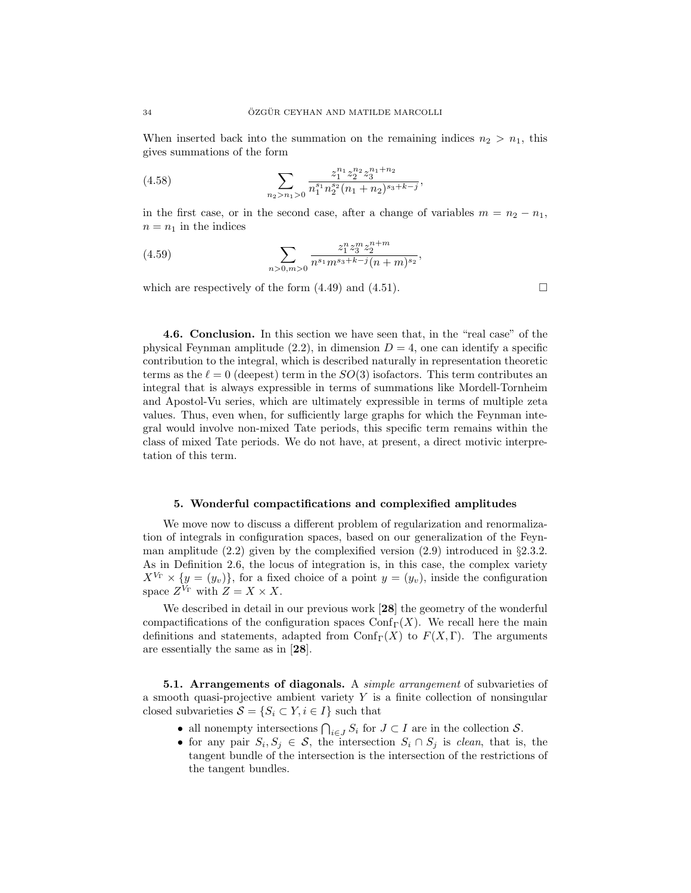When inserted back into the summation on the remaining indices  $n_2 > n_1$ , this gives summations of the form

(4.58) 
$$
\sum_{n_2 > n_1 > 0} \frac{z_1^{n_1} z_2^{n_2} z_3^{n_1 + n_2}}{n_1^{s_1} n_2^{s_2} (n_1 + n_2)^{s_3 + k - j}}
$$

in the first case, or in the second case, after a change of variables  $m = n<sub>2</sub> - n<sub>1</sub>$ ,  $n = n_1$  in the indices

,

,

(4.59) 
$$
\sum_{n>0,m>0} \frac{z_1^n z_3^m z_2^{n+m}}{n^{s_1} m^{s_3+k-j} (n+m)^{s_2}}
$$

which are respectively of the form  $(4.49)$  and  $(4.51)$ .

4.6. Conclusion. In this section we have seen that, in the "real case" of the physical Feynman amplitude  $(2.2)$ , in dimension  $D = 4$ , one can identify a specific contribution to the integral, which is described naturally in representation theoretic terms as the  $\ell = 0$  (deepest) term in the  $SO(3)$  isofactors. This term contributes an integral that is always expressible in terms of summations like Mordell-Tornheim and Apostol-Vu series, which are ultimately expressible in terms of multiple zeta values. Thus, even when, for sufficiently large graphs for which the Feynman integral would involve non-mixed Tate periods, this specific term remains within the class of mixed Tate periods. We do not have, at present, a direct motivic interpretation of this term.

### 5. Wonderful compactifications and complexified amplitudes

We move now to discuss a different problem of regularization and renormalization of integrals in configuration spaces, based on our generalization of the Feynman amplitude  $(2.2)$  given by the complexified version  $(2.9)$  introduced in §2.3.2. As in Definition 2.6, the locus of integration is, in this case, the complex variety  $X^{V_{\Gamma}} \times \{y = (y_v)\}\,$  for a fixed choice of a point  $y = (y_v)$ , inside the configuration space  $Z^{V_{\Gamma}}$  with  $Z = X \times X$ .

We described in detail in our previous work [28] the geometry of the wonderful compactifications of the configuration spaces  $Conf_{\Gamma}(X)$ . We recall here the main definitions and statements, adapted from  $\text{Conf}_{\Gamma}(X)$  to  $F(X, \Gamma)$ . The arguments are essentially the same as in [28].

**5.1. Arrangements of diagonals.** A *simple arrangement* of subvarieties of a smooth quasi-projective ambient variety  $Y$  is a finite collection of nonsingular closed subvarieties  $S = \{S_i \subset Y, i \in I\}$  such that

- all nonempty intersections  $\bigcap_{i\in J} S_i$  for  $J\subset I$  are in the collection  $S$ .
- for any pair  $S_i, S_j \in \mathcal{S}$ , the intersection  $S_i \cap S_j$  is *clean*, that is, the tangent bundle of the intersection is the intersection of the restrictions of the tangent bundles.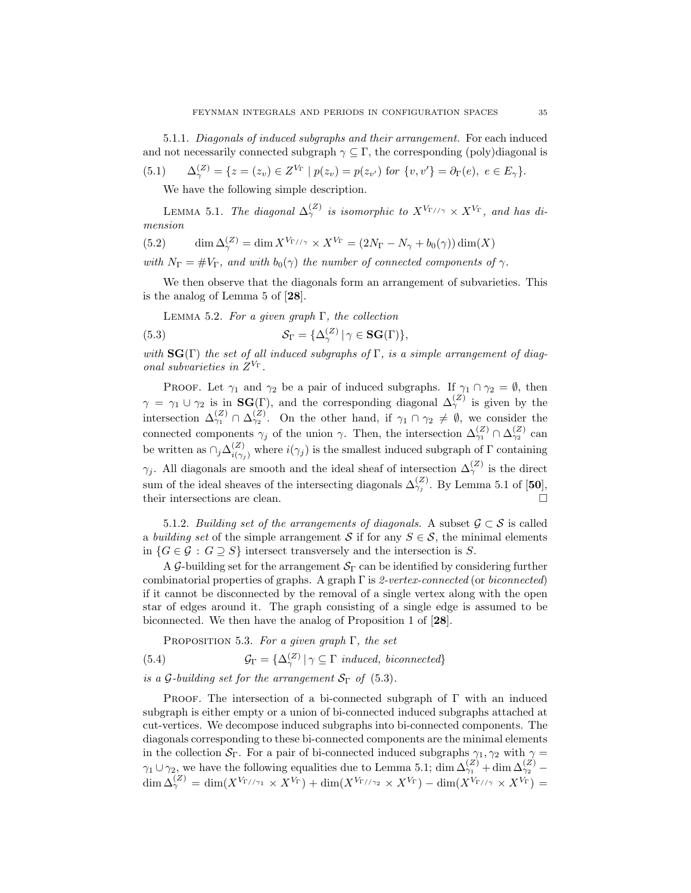5.1.1. Diagonals of induced subgraphs and their arrangement. For each induced and not necessarily connected subgraph  $\gamma \subseteq \Gamma$ , the corresponding (poly)diagonal is  $\mathbf{v}$ 

(5.1) 
$$
\Delta_{\gamma}^{(Z)} = \{ z = (z_v) \in Z^{V_{\Gamma}} \mid p(z_v) = p(z_{v'}) \text{ for } \{v, v'\} = \partial_{\Gamma}(e), e \in E_{\gamma} \}.
$$

We have the following simple description.

LEMMA 5.1. The diagonal  $\Delta_{\gamma}^{(Z)}$  is isomorphic to  $X^{V_{\Gamma//\gamma}} \times X^{V_{\Gamma}}$ , and has dimension

(5.2) 
$$
\dim \Delta_{\gamma}^{(Z)} = \dim X^{V_{\Gamma//\gamma}} \times X^{V_{\Gamma}} = (2N_{\Gamma} - N_{\gamma} + b_0(\gamma)) \dim(X)
$$

with  $N_{\Gamma} = \#V_{\Gamma}$ , and with  $b_0(\gamma)$  the number of connected components of  $\gamma$ .

We then observe that the diagonals form an arrangement of subvarieties. This is the analog of Lemma 5 of [28].

LEMMA 5.2. For a given graph  $\Gamma$ , the collection

(5.3) 
$$
\mathcal{S}_{\Gamma} = {\Delta_{\gamma}^{(Z)} | \gamma \in \mathbf{SG}(\Gamma) },
$$

with  $\text{SG}(\Gamma)$  the set of all induced subgraphs of  $\Gamma$ , is a simple arrangement of diagonal subvarieties in  $Z^{V_{\Gamma}}$ .

PROOF. Let  $\gamma_1$  and  $\gamma_2$  be a pair of induced subgraphs. If  $\gamma_1 \cap \gamma_2 = \emptyset$ , then  $\gamma = \gamma_1 \cup \gamma_2$  is in **SG**(Γ), and the corresponding diagonal  $\Delta_{\gamma}^{(Z)}$  is given by the intersection  $\Delta_{\gamma_1}^{(Z)} \cap \Delta_{\gamma_2}^{(Z)}$ . On the other hand, if  $\gamma_1 \cap \gamma_2 \neq \emptyset$ , we consider the connected components  $\gamma_j$  of the union  $\gamma$ . Then, the intersection  $\Delta_{\gamma_1}^{(Z)} \cap \Delta_{\gamma_2}^{(Z)}$  can be written as  $\cap_j \Delta_{i(\gamma_j)}^{(Z)}$  where  $i(\gamma_j)$  is the smallest induced subgraph of  $\Gamma$  containing  $\gamma_j$ . All diagonals are smooth and the ideal sheaf of intersection  $\Delta_\gamma^{(Z)}$  is the direct sum of the ideal sheaves of the intersecting diagonals  $\Delta_{\gamma_j}^{(Z)}$ . By Lemma 5.1 of [50], their intersections are clean.  $\hfill \square$ 

5.1.2. Building set of the arrangements of diagonals. A subset  $\mathcal{G} \subset \mathcal{S}$  is called a building set of the simple arrangement S if for any  $S \in \mathcal{S}$ , the minimal elements in  $\{G \in \mathcal{G} : G \supseteq S\}$  intersect transversely and the intersection is S.

A G-building set for the arrangement  $S_{\Gamma}$  can be identified by considering further combinatorial properties of graphs. A graph  $\Gamma$  is 2-vertex-connected (or biconnected) if it cannot be disconnected by the removal of a single vertex along with the open star of edges around it. The graph consisting of a single edge is assumed to be biconnected. We then have the analog of Proposition 1 of [28].

PROPOSITION 5.3. For a given graph  $\Gamma$ , the set

(5.4) 
$$
\mathcal{G}_{\Gamma} = {\Delta_{\gamma}^{(Z)} | \gamma \subseteq \Gamma \; induced, \; biconnected}
$$

is a G-building set for the arrangement  $S_{\Gamma}$  of (5.3).

PROOF. The intersection of a bi-connected subgraph of  $\Gamma$  with an induced subgraph is either empty or a union of bi-connected induced subgraphs attached at cut-vertices. We decompose induced subgraphs into bi-connected components. The diagonals corresponding to these bi-connected components are the minimal elements in the collection  $S_{\Gamma}$ . For a pair of bi-connected induced subgraphs  $\gamma_1, \gamma_2$  with  $\gamma =$  $\gamma_1 \cup \gamma_2$ , we have the following equalities due to Lemma 5.1; dim  $\Delta_{\gamma_1}^{(Z)} + \dim \Delta_{\gamma_2}^{(Z)}$  $\dim \Delta_\gamma^{(Z)} = \dim (X^{V_{\Gamma//\gamma_1}} \times X^{V_{\Gamma}}) + \dim (X^{V_{\Gamma//\gamma_2}} \times X^{V_{\Gamma}}) - \dim (X^{V_{\Gamma//\gamma}} \times X^{V_{\Gamma}}) =$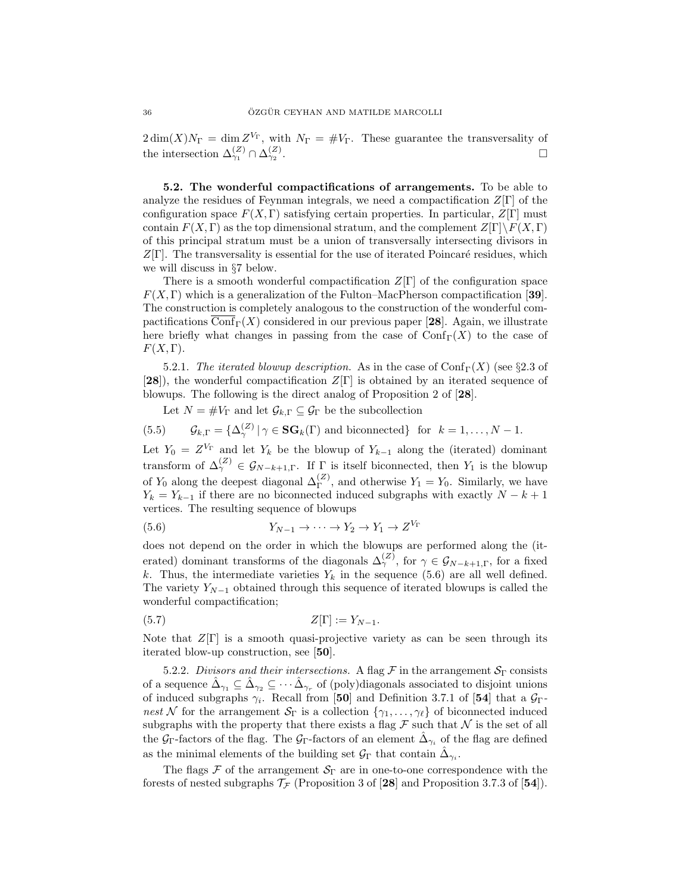$2\dim(X)N_{\Gamma} = \dim Z^{V_{\Gamma}}$ , with  $N_{\Gamma} = \#V_{\Gamma}$ . These guarantee the transversality of the intersection  $\Delta_{\gamma_1}^{(Z)} \cap \Delta_{\gamma_2}^{(Z)}$ .

5.2. The wonderful compactifications of arrangements. To be able to analyze the residues of Feynman integrals, we need a compactification  $Z[\Gamma]$  of the configuration space  $F(X, \Gamma)$  satisfying certain properties. In particular,  $Z[\Gamma]$  must contain  $F(X, \Gamma)$  as the top dimensional stratum, and the complement  $Z[\Gamma]\backslash F(X, \Gamma)$ of this principal stratum must be a union of transversally intersecting divisors in  $Z[\Gamma]$ . The transversality is essential for the use of iterated Poincaré residues, which we will discuss in §7 below.

There is a smooth wonderful compactification  $Z[\Gamma]$  of the configuration space  $F(X, \Gamma)$  which is a generalization of the Fulton–MacPherson compactification [39]. The construction is completely analogous to the construction of the wonderful compactifications  $\text{Conf}_{\Gamma}(X)$  considered in our previous paper [28]. Again, we illustrate here briefly what changes in passing from the case of  $\mathrm{Conf}_{\Gamma}(X)$  to the case of  $F(X,\Gamma).$ 

5.2.1. The iterated blowup description. As in the case of  $\text{Conf}_{\Gamma}(X)$  (see §2.3 of  $[28]$ , the wonderful compactification  $Z[\Gamma]$  is obtained by an iterated sequence of blowups. The following is the direct analog of Proposition 2 of [28].

Let  $N = \#V_{\Gamma}$  and let  $\mathcal{G}_{k,\Gamma} \subseteq \mathcal{G}_{\Gamma}$  be the subcollection

(5.5) 
$$
\mathcal{G}_{k,\Gamma} = \{ \Delta_{\gamma}^{(Z)} \mid \gamma \in \mathbf{SG}_k(\Gamma) \text{ and biconnected} \} \text{ for } k = 1, \dots, N-1.
$$

Let  $Y_0 = Z^{V_{\Gamma}}$  and let  $Y_k$  be the blowup of  $Y_{k-1}$  along the (iterated) dominant transform of  $\Delta_{\gamma}^{(Z)} \in \mathcal{G}_{N-k+1,\Gamma}$ . If  $\Gamma$  is itself biconnected, then  $Y_1$  is the blowup of  $Y_0$  along the deepest diagonal  $\Delta_{\Gamma}^{(Z)}$ , and otherwise  $Y_1 = Y_0$ . Similarly, we have  $Y_k = Y_{k-1}$  if there are no biconnected induced subgraphs with exactly  $N - k + 1$ vertices. The resulting sequence of blowups

$$
(5.6) \t\t Y_{N-1} \to \cdots \to Y_2 \to Y_1 \to Z^{V_{\Gamma}}
$$

does not depend on the order in which the blowups are performed along the (iterated) dominant transforms of the diagonals  $\Delta_{\gamma}^{(Z)}$ , for  $\gamma \in \mathcal{G}_{N-k+1,\Gamma}$ , for a fixed k. Thus, the intermediate varieties  $Y_k$  in the sequence (5.6) are all well defined. The variety  $Y_{N-1}$  obtained through this sequence of iterated blowups is called the wonderful compactification;

$$
(5.7) \t\t Z[\Gamma] := Y_{N-1}.
$$

Note that  $Z[\Gamma]$  is a smooth quasi-projective variety as can be seen through its iterated blow-up construction, see [50].

5.2.2. Divisors and their intersections. A flag  $\mathcal F$  in the arrangement  $\mathcal S_{\Gamma}$  consists of a sequence  $\hat{\Delta}_{\gamma_1} \subseteq \hat{\Delta}_{\gamma_2} \subseteq \cdots \hat{\Delta}_{\gamma_r}$  of (poly)diagonals associated to disjoint unions of induced subgraphs  $\gamma_i$ . Recall from [50] and Definition 3.7.1 of [54] that a  $\mathcal{G}_{\Gamma}$ nest N for the arrangement  $S_{\Gamma}$  is a collection  $\{\gamma_1, \ldots, \gamma_{\ell}\}\$  of biconnected induced subgraphs with the property that there exists a flag  $\mathcal F$  such that  $\mathcal N$  is the set of all the  $\mathcal{G}_{\Gamma}$ -factors of the flag. The  $\mathcal{G}_{\Gamma}$ -factors of an element  $\hat{\Delta}_{\gamma_i}$  of the flag are defined as the minimal elements of the building set  $\mathcal{G}_{\Gamma}$  that contain  $\hat{\Delta}_{\gamma_i}$ .

The flags  $\mathcal F$  of the arrangement  $\mathcal S_\Gamma$  are in one-to-one correspondence with the forests of nested subgraphs  $\mathcal{T}_{\mathcal{F}}$  (Proposition 3 of [28] and Proposition 3.7.3 of [54]).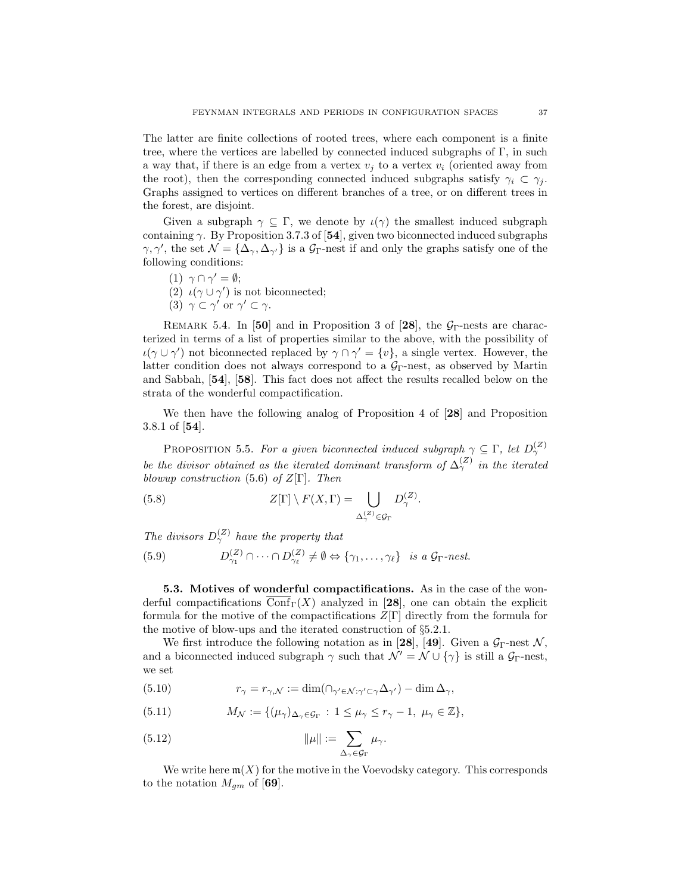The latter are finite collections of rooted trees, where each component is a finite tree, where the vertices are labelled by connected induced subgraphs of  $\Gamma$ , in such a way that, if there is an edge from a vertex  $v_i$  to a vertex  $v_i$  (oriented away from the root), then the corresponding connected induced subgraphs satisfy  $\gamma_i \subset \gamma_i$ . Graphs assigned to vertices on different branches of a tree, or on different trees in the forest, are disjoint.

Given a subgraph  $\gamma \subseteq \Gamma$ , we denote by  $\iota(\gamma)$  the smallest induced subgraph containing  $\gamma$ . By Proposition 3.7.3 of [54], given two biconnected induced subgraphs  $\gamma, \gamma'$ , the set  $\mathcal{N} = {\Delta_{\gamma}, \Delta_{\gamma'}}$  is a  $\mathcal{G}_{\Gamma}$ -nest if and only the graphs satisfy one of the following conditions:

- (1)  $\gamma \cap \gamma' = \emptyset;$
- (2)  $\iota(\gamma \cup \gamma')$  is not biconnected;
- (3)  $\gamma \subset \gamma'$  or  $\gamma' \subset \gamma$ .

REMARK 5.4. In [50] and in Proposition 3 of [28], the  $G_{\Gamma}$ -nests are characterized in terms of a list of properties similar to the above, with the possibility of  $\iota(\gamma \cup \gamma')$  not biconnected replaced by  $\gamma \cap \gamma' = \{v\}$ , a single vertex. However, the latter condition does not always correspond to a  $\mathcal{G}_{\Gamma}$ -nest, as observed by Martin and Sabbah, [54], [58]. This fact does not affect the results recalled below on the strata of the wonderful compactification.

We then have the following analog of Proposition 4 of [28] and Proposition 3.8.1 of [54].

PROPOSITION 5.5. For a given biconnected induced subgraph  $\gamma \subseteq \Gamma$ , let  $D_{\gamma}^{(Z)}$ be the divisor obtained as the iterated dominant transform of  $\Delta_{\gamma}^{(Z)}$  in the iterated blowup construction (5.6) of  $Z[\Gamma]$ . Then

(5.8) 
$$
Z[\Gamma] \setminus F(X,\Gamma) = \bigcup_{\Delta_{\gamma}^{(Z)} \in \mathcal{G}_{\Gamma}} D_{\gamma}^{(Z)}.
$$

The divisors  $D_{\gamma}^{(Z)}$  have the property that

(5.9) 
$$
D_{\gamma_1}^{(Z)} \cap \cdots \cap D_{\gamma_\ell}^{(Z)} \neq \emptyset \Leftrightarrow \{\gamma_1, \ldots, \gamma_\ell\} \text{ is a } \mathcal{G}_{\Gamma}\text{-\textit{nest.}}
$$

5.3. Motives of wonderful compactifications. As in the case of the wonderful compactifications  $\text{Conf}_{\Gamma}(X)$  analyzed in [28], one can obtain the explicit formula for the motive of the compactifications  $Z[\Gamma]$  directly from the formula for the motive of blow-ups and the iterated construction of §5.2.1.

We first introduce the following notation as in [28], [49]. Given a  $\mathcal{G}_{\Gamma}$ -nest  $\mathcal{N}$ , and a biconnected induced subgraph  $\gamma$  such that  $\mathcal{N}' = \mathcal{N} \cup {\gamma}$  is still a  $\mathcal{G}_{\Gamma}$ -nest, we set

(5.10) 
$$
r_{\gamma} = r_{\gamma,\mathcal{N}} := \dim(\cap_{\gamma' \in \mathcal{N} : \gamma' \subset \gamma} \Delta_{\gamma'}) - \dim \Delta_{\gamma},
$$

(5.11) 
$$
M_{\mathcal{N}} := \{(\mu_{\gamma})_{\Delta_{\gamma} \in \mathcal{G}_{\Gamma}} : 1 \leq \mu_{\gamma} \leq r_{\gamma} - 1, \ \mu_{\gamma} \in \mathbb{Z}\},
$$

(5.12) 
$$
\|\mu\| := \sum_{\Delta_{\gamma} \in \mathcal{G}_{\Gamma}} \mu_{\gamma}.
$$

We write here  $\mathfrak{m}(X)$  for the motive in the Voevodsky category. This corresponds to the notation  $M_{qm}$  of [69].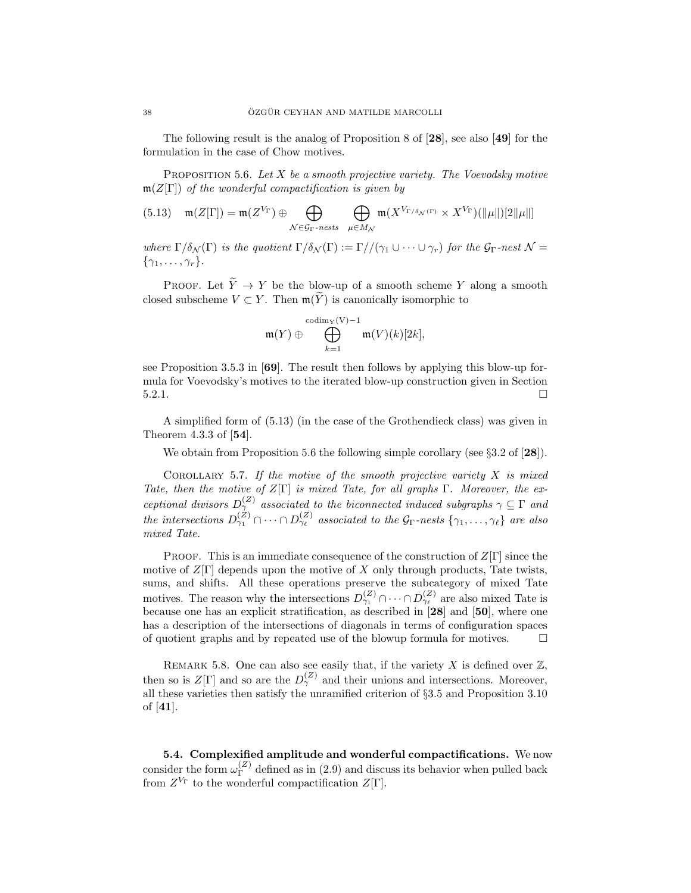The following result is the analog of Proposition 8 of  $[28]$ , see also  $[49]$  for the formulation in the case of Chow motives.

PROPOSITION 5.6. Let  $X$  be a smooth projective variety. The Voevodsky motive  $m(Z[\Gamma])$  of the wonderful compactification is given by

(5.13) 
$$
\mathfrak{m}(Z[\Gamma]) = \mathfrak{m}(Z^{V_{\Gamma}}) \oplus \bigoplus_{\mathcal{N} \in \mathcal{G}_{\Gamma} \text{-}\nness} \bigoplus_{\mu \in M_{\mathcal{N}}} \mathfrak{m}(X^{V_{\Gamma/\delta_{\mathcal{N}}(\Gamma)}} \times X^{V_{\Gamma}})(\|\mu\|)[2\|\mu\|]
$$

where  $\Gamma/\delta_{\mathcal{N}}(\Gamma)$  is the quotient  $\Gamma/\delta_{\mathcal{N}}(\Gamma) := \Gamma//(\gamma_1 \cup \cdots \cup \gamma_r)$  for the  $\mathcal{G}_{\Gamma}$ -nest  $\mathcal{N} =$  $\{\gamma_1,\ldots,\gamma_r\}.$ 

PROOF. Let  $\widetilde{Y} \to Y$  be the blow-up of a smooth scheme Y along a smooth closed subscheme  $V \subset Y$ . Then  $\mathfrak{m}(\widetilde{Y})$  is canonically isomorphic to

$$
\mathfrak{m}(Y) \oplus \bigoplus_{k=1}^{\mathrm{codim}_\mathbf{V}(\mathbf{V})-1} \mathfrak{m}(V)(k)[2k],
$$

see Proposition 3.5.3 in [69]. The result then follows by applying this blow-up formula for Voevodsky's motives to the iterated blow-up construction given in Section  $5.2.1.$ 

A simplified form of (5.13) (in the case of the Grothendieck class) was given in Theorem 4.3.3 of [54].

We obtain from Proposition 5.6 the following simple corollary (see  $\S 3.2$  of  $[28]$ ).

COROLLARY 5.7. If the motive of the smooth projective variety  $X$  is mixed Tate, then the motive of  $Z[\Gamma]$  is mixed Tate, for all graphs  $\Gamma$ . Moreover, the exceptional divisors  $D_{\gamma}^{(Z)}$  associated to the biconnected induced subgraphs  $\gamma \subseteq \Gamma$  and the intersections  $D_{\gamma_1}^{(Z)} \cap \cdots \cap D_{\gamma_\ell}^{(Z)}$  associated to the  $\mathcal{G}_{\Gamma}$ -nests  $\{\gamma_1, \ldots, \gamma_\ell\}$  are also mixed Tate.

**PROOF.** This is an immediate consequence of the construction of  $Z[\Gamma]$  since the motive of  $Z[\Gamma]$  depends upon the motive of X only through products, Tate twists, sums, and shifts. All these operations preserve the subcategory of mixed Tate motives. The reason why the intersections  $D_{\gamma_1}^{(Z)} \cap \cdots \cap D_{\gamma_\ell}^{(Z)}$  are also mixed Tate is because one has an explicit stratification, as described in [28] and [50], where one has a description of the intersections of diagonals in terms of configuration spaces of quotient graphs and by repeated use of the blowup formula for motives.  $\Box$ 

REMARK 5.8. One can also see easily that, if the variety  $X$  is defined over  $\mathbb{Z}$ , then so is  $Z[\Gamma]$  and so are the  $D_{\gamma}^{(Z)}$  and their unions and intersections. Moreover, all these varieties then satisfy the unramified criterion of §3.5 and Proposition 3.10 of [41].

5.4. Complexified amplitude and wonderful compactifications. We now consider the form  $\omega_{\Gamma}^{(Z)}$  $\Gamma$ <sup>(2)</sup> defined as in (2.9) and discuss its behavior when pulled back from  $Z^{V_{\Gamma}}$  to the wonderful compactification  $Z[\Gamma]$ .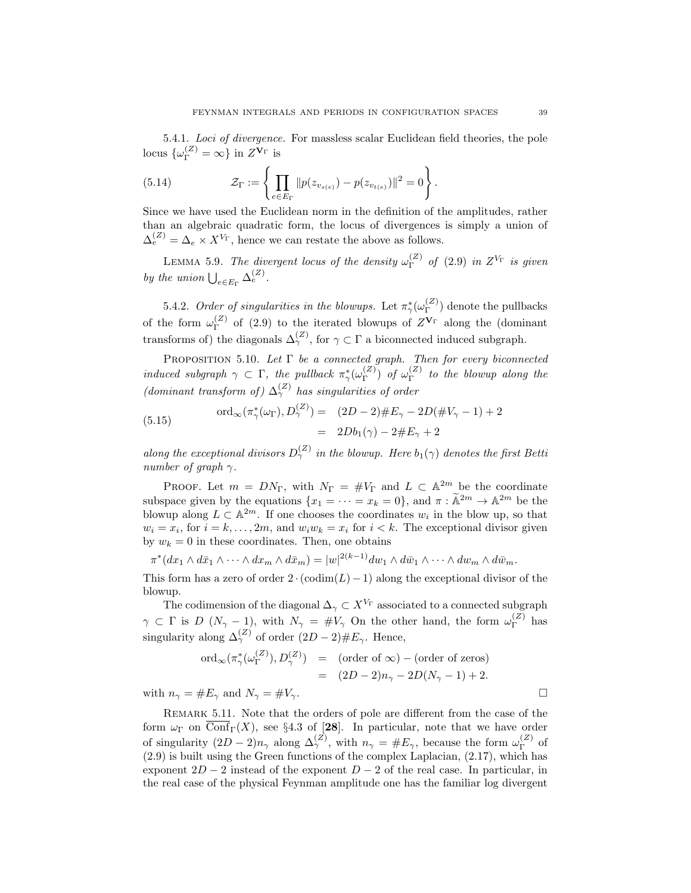5.4.1. Loci of divergence. For massless scalar Euclidean field theories, the pole locus  $\{\omega_{\Gamma}^{(Z)} = \infty\}$  in  $Z^{\mathbf{V}_{\Gamma}}$  is

(5.14) 
$$
\mathcal{Z}_{\Gamma} := \left\{ \prod_{e \in E_{\Gamma}} \| p(z_{v_{s(e)}}) - p(z_{v_{t(e)}}) \|^2 = 0 \right\}.
$$

Since we have used the Euclidean norm in the definition of the amplitudes, rather than an algebraic quadratic form, the locus of divergences is simply a union of  $\Delta_e^{(Z)} = \Delta_e \times X^{V_{\Gamma}}$ , hence we can restate the above as follows.

LEMMA 5.9. The divergent locus of the density  $\omega_{\Gamma}^{(Z)}$  $\Gamma^{(Z)}$  of (2.9) in  $Z^{V_{\Gamma}}$  is given by the union  $\bigcup_{e \in E_{\Gamma}} \Delta_e^{(Z)}$ .

5.4.2. Order of singularities in the blowups. Let  $\pi_{\gamma}^*(\omega_{\Gamma}^{(Z)})$  $\binom{Z}{\Gamma}$  denote the pullbacks of the form  $\omega_{\Gamma}^{(Z)}$  $\Gamma$ <sup>(2)</sup> of (2.9) to the iterated blowups of  $Z^{\mathbf{V}_{\Gamma}}$  along the (dominant transforms of) the diagonals  $\Delta_{\gamma}^{(Z)}$ , for  $\gamma \subset \Gamma$  a biconnected induced subgraph.

PROPOSITION 5.10. Let  $\Gamma$  be a connected graph. Then for every biconnected induced subgraph  $\gamma \subset \Gamma$ , the pullback  $\pi_{\gamma}^{\ast}(\omega_{\Gamma}^{(Z)})$  $\binom{Z}{\Gamma}$  of  $\omega_{\Gamma}^{(Z)}$  $\int_{\Gamma}^{(2)}$  to the blowup along the (dominant transform of)  $\Delta_{\gamma}^{(Z)}$  has singularities of order

(5.15) 
$$
\text{ord}_{\infty}(\pi_{\gamma}^{*}(\omega_{\Gamma}), D_{\gamma}^{(Z)}) = (2D - 2) \# E_{\gamma} - 2D(\# V_{\gamma} - 1) + 2 = 2Db_{1}(\gamma) - 2 \# E_{\gamma} + 2
$$

along the exceptional divisors  $D_{\gamma}^{(Z)}$  in the blowup. Here  $b_1(\gamma)$  denotes the first Betti number of graph  $\gamma$ .

PROOF. Let  $m = DN_{\Gamma}$ , with  $N_{\Gamma} = \#V_{\Gamma}$  and  $L \subset \mathbb{A}^{2m}$  be the coordinate subspace given by the equations  $\{x_1 = \cdots = x_k = 0\}$ , and  $\pi : \widetilde{\mathbb{A}}^{2m} \to \mathbb{A}^{2m}$  be the blowup along  $L \subset \mathbb{A}^{2m}$ . If one chooses the coordinates  $w_i$  in the blow up, so that  $w_i = x_i$ , for  $i = k, ..., 2m$ , and  $w_i w_k = x_i$  for  $i < k$ . The exceptional divisor given by  $w_k = 0$  in these coordinates. Then, one obtains

$$
\pi^*(dx_1 \wedge d\bar{x}_1 \wedge \cdots \wedge dx_m \wedge d\bar{x}_m) = |w|^{2(k-1)}dw_1 \wedge d\bar{w}_1 \wedge \cdots \wedge dw_m \wedge d\bar{w}_m.
$$

This form has a zero of order  $2 \cdot (codim(L)-1)$  along the exceptional divisor of the blowup.

The codimension of the diagonal  $\Delta_{\gamma} \subset X^{V_{\Gamma}}$  associated to a connected subgraph  $\gamma \subset \Gamma$  is D  $(N_{\gamma}-1)$ , with  $N_{\gamma} = \#V_{\gamma}$  On the other hand, the form  $\omega_{\Gamma}^{(Z)}$  $\int_{\Gamma}^{(\mathcal{L})}$  has singularity along  $\Delta_{\gamma}^{(Z)}$  of order  $(2D-2)\#E_{\gamma}$ . Hence,

$$
\text{ord}_{\infty}(\pi_{\gamma}^{*}(\omega_{\Gamma}^{(Z)}), D_{\gamma}^{(Z)}) = (\text{order of } \infty) - (\text{order of zeros})
$$

$$
= (2D - 2)n_{\gamma} - 2D(N_{\gamma} - 1) + 2.
$$
  
with  $n_{\gamma} = \#E_{\gamma}$  and  $N_{\gamma} = \#V_{\gamma}$ .

Remark 5.11. Note that the orders of pole are different from the case of the form  $\omega_{\Gamma}$  on  $\overline{\text{Conf}}_{\Gamma}(X)$ , see §4.3 of [28]. In particular, note that we have order of singularity  $(2D-2)n_\gamma$  along  $\Delta_\gamma^{(Z)}$ , with  $n_\gamma = \#E_\gamma$ , because the form  $\omega_\Gamma^{(Z)}$  $\Gamma^{(2)}$  of (2.9) is built using the Green functions of the complex Laplacian, (2.17), which has exponent  $2D-2$  instead of the exponent  $D-2$  of the real case. In particular, in the real case of the physical Feynman amplitude one has the familiar log divergent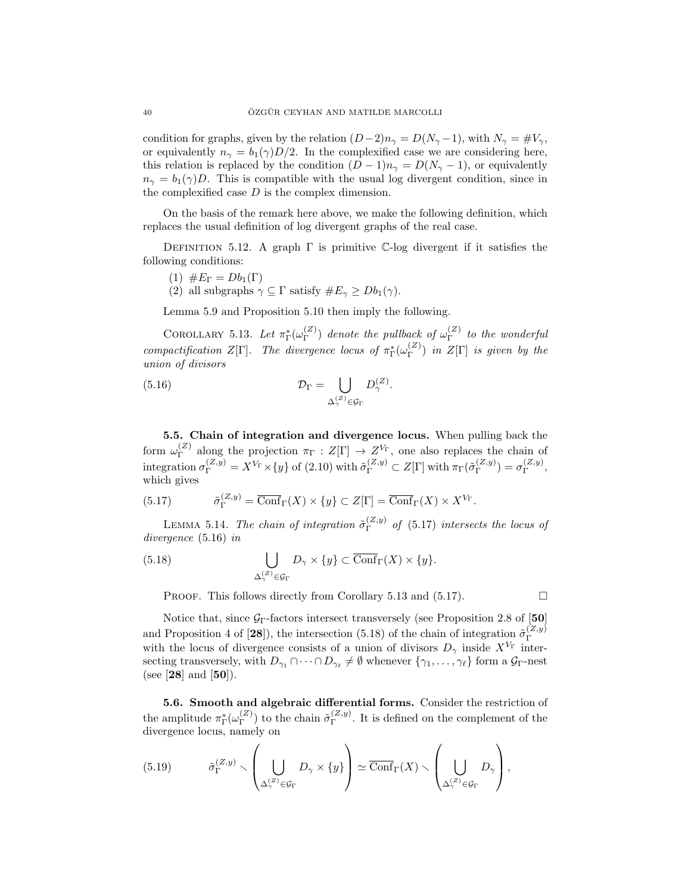condition for graphs, given by the relation  $(D-2)n_{\gamma} = D(N_{\gamma}-1)$ , with  $N_{\gamma} = \#V_{\gamma}$ , or equivalently  $n_{\gamma} = b_1(\gamma)D/2$ . In the complexified case we are considering here, this relation is replaced by the condition  $(D-1)n_{\gamma} = D(N_{\gamma}-1)$ , or equivalently  $n_{\gamma} = b_1(\gamma)D$ . This is compatible with the usual log divergent condition, since in the complexified case  $D$  is the complex dimension.

On the basis of the remark here above, we make the following definition, which replaces the usual definition of log divergent graphs of the real case.

DEFINITION 5.12. A graph  $\Gamma$  is primitive C-log divergent if it satisfies the following conditions:

- (1)  $\#E_{\Gamma} = Db_1(\Gamma)$
- (2) all subgraphs  $\gamma \subseteq \Gamma$  satisfy  $\#E_{\gamma} \geq Db_1(\gamma)$ .

Lemma 5.9 and Proposition 5.10 then imply the following.

COROLLARY 5.13. Let  $\pi_{\Gamma}^*(\omega_{\Gamma}^{(Z)})$  $_{\Gamma}^{(Z)}$ ) denote the pullback of  $\omega_{\Gamma}^{(Z)}$  $\int_{\Gamma}^{(2)}$  to the wonderful compactification  $Z[\Gamma]$ . The divergence locus of  $\pi_{\Gamma}^*(\omega_{\Gamma}^{(Z)})$  $\Gamma^{(2)}$ ) in  $Z[\Gamma]$  is given by the union of divisors

(5.16) 
$$
\mathcal{D}_{\Gamma} = \bigcup_{\Delta_{\gamma}^{(Z)} \in \mathcal{G}_{\Gamma}} D_{\gamma}^{(Z)}.
$$

5.5. Chain of integration and divergence locus. When pulling back the form  $\omega_{\Gamma}^{(Z)}$  $\Gamma_{\Gamma}^{(Z)}$  along the projection  $\pi_{\Gamma}: Z[\Gamma] \to Z^{V_{\Gamma}}$ , one also replaces the chain of integration  $\sigma_{\Gamma}^{(Z,y)} = X^{V_{\Gamma}} \times \{y\}$  of (2.10) with  $\tilde{\sigma}_{\Gamma}^{(Z,y)} \subset Z[\Gamma]$  with  $\pi_{\Gamma}(\tilde{\sigma}_{\Gamma}^{(Z,y)})$  $\binom{(Z,y)}{\Gamma} = \sigma_{\Gamma}^{(Z,y)}$  $\mathop{\Gamma}\limits^{(\mathcal{Z}, y)}$ which gives

(5.17) 
$$
\tilde{\sigma}_{\Gamma}^{(Z,y)} = \overline{\text{Conf}}_{\Gamma}(X) \times \{y\} \subset Z[\Gamma] = \overline{\text{Conf}}_{\Gamma}(X) \times X^{V_{\Gamma}}
$$

LEMMA 5.14. The chain of integration  $\tilde{\sigma}_{\Gamma}^{(Z,y)}$  $T<sup>(2,y)</sup>$  of (5.17) intersects the locus of divergence (5.16) in

(5.18) 
$$
\bigcup_{\Delta_{\gamma}^{(Z)} \in \mathcal{G}_{\Gamma}} D_{\gamma} \times \{y\} \subset \overline{\text{Conf}}_{\Gamma}(X) \times \{y\}.
$$

PROOF. This follows directly from Corollary 5.13 and (5.17).  $\Box$ 

.

Notice that, since  $G_\Gamma$ -factors intersect transversely (see Proposition 2.8 of [50] and Proposition 4 of [28]), the intersection (5.18) of the chain of integration  $\tilde{\sigma}_{\Gamma}^{(Z,y)}$ with the locus of divergence consists of a union of divisors  $D_{\gamma}$  inside  $X^{V_{\Gamma}}$  intersecting transversely, with  $D_{\gamma_1} \cap \cdots \cap D_{\gamma_\ell} \neq \emptyset$  whenever  $\{\gamma_1, \ldots, \gamma_\ell\}$  form a  $\mathcal{G}_{\Gamma}$ -nest (see [28] and [50]).

5.6. Smooth and algebraic differential forms. Consider the restriction of the amplitude  $\pi_{\Gamma}^*(\omega_{\Gamma}^{(Z)})$  $\binom{Z}{\Gamma}$  to the chain  $\tilde{\sigma}_{\Gamma}^{(Z,y)}$  $(\mathcal{L}, y)$ . It is defined on the complement of the divergence locus, namely on

(5.19) 
$$
\tilde{\sigma}_{\Gamma}^{(Z,y)} \setminus \left(\bigcup_{\Delta_{\gamma}^{(Z)} \in \mathcal{G}_{\Gamma}} D_{\gamma} \times \{y\}\right) \simeq \overline{\text{Conf}}_{\Gamma}(X) \setminus \left(\bigcup_{\Delta_{\gamma}^{(Z)} \in \mathcal{G}_{\Gamma}} D_{\gamma}\right),
$$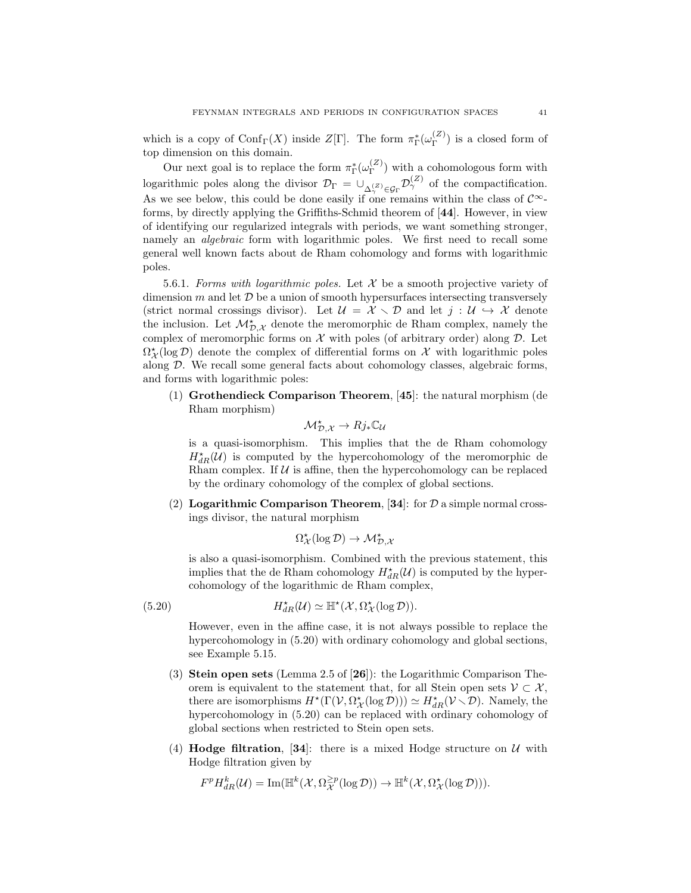which is a copy of  $\mathrm{Conf}_{\Gamma}(X)$  inside  $Z[\Gamma]$ . The form  $\pi_{\Gamma}^*(\omega_{\Gamma}^{(Z)})$  $\binom{2}{\Gamma}$  is a closed form of top dimension on this domain.

Our next goal is to replace the form  $\pi_{\Gamma}^{\ast}(\omega_{\Gamma}^{(Z)})$  $\binom{2}{r}$  with a cohomologous form with logarithmic poles along the divisor  $\mathcal{D}_{\Gamma} = \cup_{\Delta_{\gamma}^{(Z)} \in \mathcal{G}_{\Gamma}} \mathcal{D}_{\gamma}^{(Z)}$  of the compactification. As we see below, this could be done easily if one remains within the class of  $\mathcal{C}^{\infty}$ forms, by directly applying the Griffiths-Schmid theorem of [44]. However, in view of identifying our regularized integrals with periods, we want something stronger, namely an *algebraic* form with logarithmic poles. We first need to recall some general well known facts about de Rham cohomology and forms with logarithmic poles.

5.6.1. Forms with logarithmic poles. Let  $\mathcal X$  be a smooth projective variety of dimension m and let  $\mathcal D$  be a union of smooth hypersurfaces intersecting transversely (strict normal crossings divisor). Let  $\mathcal{U} = \mathcal{X} \setminus \mathcal{D}$  and let  $j : \mathcal{U} \hookrightarrow \mathcal{X}$  denote the inclusion. Let  $\mathcal{M}_{\mathcal{D},\mathcal{X}}^{\star}$  denote the meromorphic de Rham complex, namely the complex of meromorphic forms on  $\mathcal X$  with poles (of arbitrary order) along  $\mathcal D$ . Let  $\Omega^*_{\mathcal{X}}(\log \mathcal{D})$  denote the complex of differential forms on  $\mathcal{X}$  with logarithmic poles along D. We recall some general facts about cohomology classes, algebraic forms, and forms with logarithmic poles:

(1) Grothendieck Comparison Theorem, [45]: the natural morphism (de Rham morphism)

$$
\mathcal{M}_{\mathcal{D},\mathcal{X}}^{\star} \to Rj_{*}\mathbb{C}_{\mathcal{U}}
$$

is a quasi-isomorphism. This implies that the de Rham cohomology  $H^{\star}_{dR}(\mathcal{U})$  is computed by the hypercohomology of the meromorphic de Rham complex. If  $U$  is affine, then the hypercohomology can be replaced by the ordinary cohomology of the complex of global sections.

(2) Logarithmic Comparison Theorem, [34]: for  $\mathcal D$  a simple normal crossings divisor, the natural morphism

$$
\Omega^\star_{\mathcal{X}}(\log \mathcal{D}) \to \mathcal{M}_{\mathcal{D},\mathcal{X}}^\star
$$

is also a quasi-isomorphism. Combined with the previous statement, this implies that the de Rham cohomology  $H^{\star}_{dR}(\mathcal{U})$  is computed by the hypercohomology of the logarithmic de Rham complex,

$$
H_{dR}^{\star}(\mathcal{U}) \simeq \mathbb{H}^{\star}(\mathcal{X}, \Omega_{\mathcal{X}}^{\star}(\log \mathcal{D})).
$$

 $(5.20)$ 

However, even in the affine case, it is not always possible to replace the hypercohomology in  $(5.20)$  with ordinary cohomology and global sections, see Example 5.15.

- (3) Stein open sets (Lemma 2.5 of [26]): the Logarithmic Comparison Theorem is equivalent to the statement that, for all Stein open sets  $\mathcal{V} \subset \mathcal{X}$ , there are isomorphisms  $H^*(\Gamma(\mathcal{V}, \Omega^*_{\mathcal{X}}(\log \mathcal{D}))) \simeq H^*_{dR}(\mathcal{V} \setminus \mathcal{D})$ . Namely, the hypercohomology in (5.20) can be replaced with ordinary cohomology of global sections when restricted to Stein open sets.
- (4) Hodge filtration, [34]: there is a mixed Hodge structure on  $U$  with Hodge filtration given by

 $F^p H_{dR}^k(\mathcal{U}) = \text{Im}(\mathbb{H}^k(\mathcal{X}, \Omega_{\mathcal{X}}^{\geq p}(\log \mathcal{D})) \to \mathbb{H}^k(\mathcal{X}, \Omega_{\mathcal{X}}^{\star}(\log \mathcal{D}))).$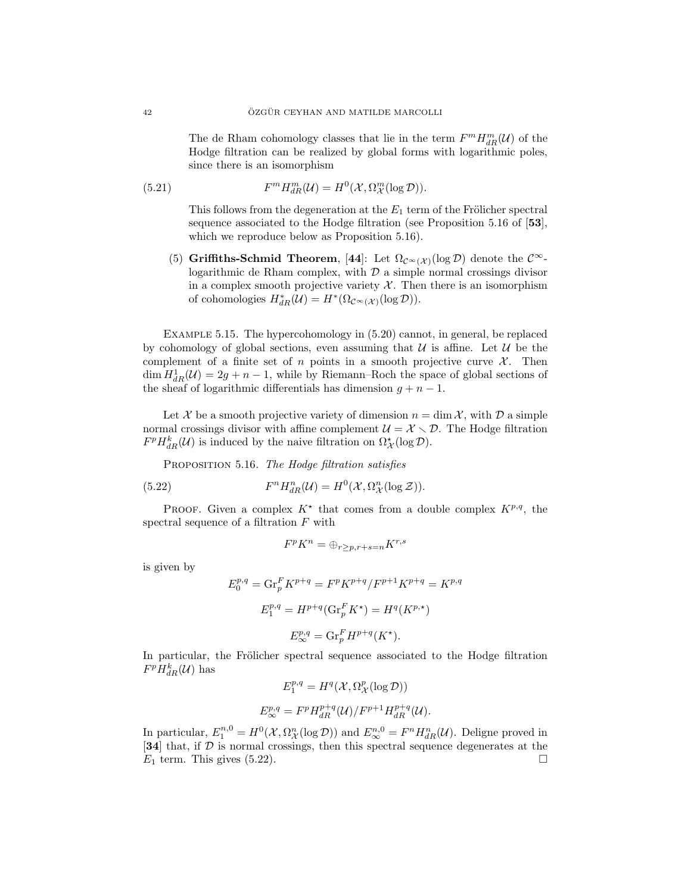The de Rham cohomology classes that lie in the term  $F^m H_{dR}^m(\mathcal{U})$  of the Hodge filtration can be realized by global forms with logarithmic poles, since there is an isomorphism

(5.21) 
$$
F^m H_{dR}^m(\mathcal{U}) = H^0(\mathcal{X}, \Omega_{\mathcal{X}}^m(\log \mathcal{D})).
$$

This follows from the degeneration at the  $E_1$  term of the Frölicher spectral sequence associated to the Hodge filtration (see Proposition 5.16 of [53], which we reproduce below as Proposition 5.16).

(5) Griffiths-Schmid Theorem, [44]: Let  $\Omega_{\mathcal{C}^{\infty}(\mathcal{X})}(\log \mathcal{D})$  denote the  $\mathcal{C}^{\infty}$ logarithmic de Rham complex, with  $D$  a simple normal crossings divisor in a complex smooth projective variety  $\mathcal{X}$ . Then there is an isomorphism of cohomologies  $H^*_{dR}(\mathcal{U}) = H^*(\Omega_{\mathcal{C}^\infty(\mathcal{X})}(\log \mathcal{D})).$ 

Example 5.15. The hypercohomology in (5.20) cannot, in general, be replaced by cohomology of global sections, even assuming that  $U$  is affine. Let  $U$  be the complement of a finite set of n points in a smooth projective curve  $\mathcal{X}$ . Then  $\dim H_{dR}^1(\mathcal{U}) = 2g + n - 1$ , while by Riemann–Roch the space of global sections of the sheaf of logarithmic differentials has dimension  $g + n - 1$ .

Let X be a smooth projective variety of dimension  $n = \dim \mathcal{X}$ , with  $\mathcal{D}$  a simple normal crossings divisor with affine complement  $\mathcal{U} = \mathcal{X} \setminus \mathcal{D}$ . The Hodge filtration  $F^p H_{dR}^k(\mathcal{U})$  is induced by the naive filtration on  $\Omega^*_{\mathcal{X}}(\log \mathcal{D})$ .

PROPOSITION 5.16. The Hodge filtration satisfies

(5.22) 
$$
F^n H^n_{dR}(\mathcal{U}) = H^0(\mathcal{X}, \Omega^n_{\mathcal{X}}(\log \mathcal{Z})).
$$

PROOF. Given a complex  $K^*$  that comes from a double complex  $K^{p,q}$ , the spectral sequence of a filtration F with

$$
F^p K^n = \oplus_{r \ge p, r+s=n} K^{r,s}
$$

is given by

$$
E_0^{p,q} = \text{Gr}_p^F K^{p+q} = F^p K^{p+q} / F^{p+1} K^{p+q} = K^{p,q}
$$
  

$$
E_1^{p,q} = H^{p+q} (\text{Gr}_p^F K^*) = H^q (K^{p,*})
$$
  

$$
E_{\infty}^{p,q} = \text{Gr}_p^F H^{p+q} (K^*).
$$

In particular, the Frölicher spectral sequence associated to the Hodge filtration  $F^p H_{dR}^k(\mathcal{U})$  has

$$
E_1^{p,q} = H^q(\mathcal{X}, \Omega_{\mathcal{X}}^p(\log \mathcal{D}))
$$
  

$$
E_{\infty}^{p,q} = F^p H_{dR}^{p+q}(\mathcal{U}) / F^{p+1} H_{dR}^{p+q}(\mathcal{U}).
$$

In particular,  $E_1^{n,0} = H^0(\mathcal{X}, \Omega^n_{\mathcal{X}}(\log \mathcal{D}))$  and  $E_{\infty}^{n,0} = F^n H_{dR}^n(\mathcal{U})$ . Deligne proved in [34] that, if D is normal crossings, then this spectral sequence degenerates at the  $E_1$  term. This gives (5.22).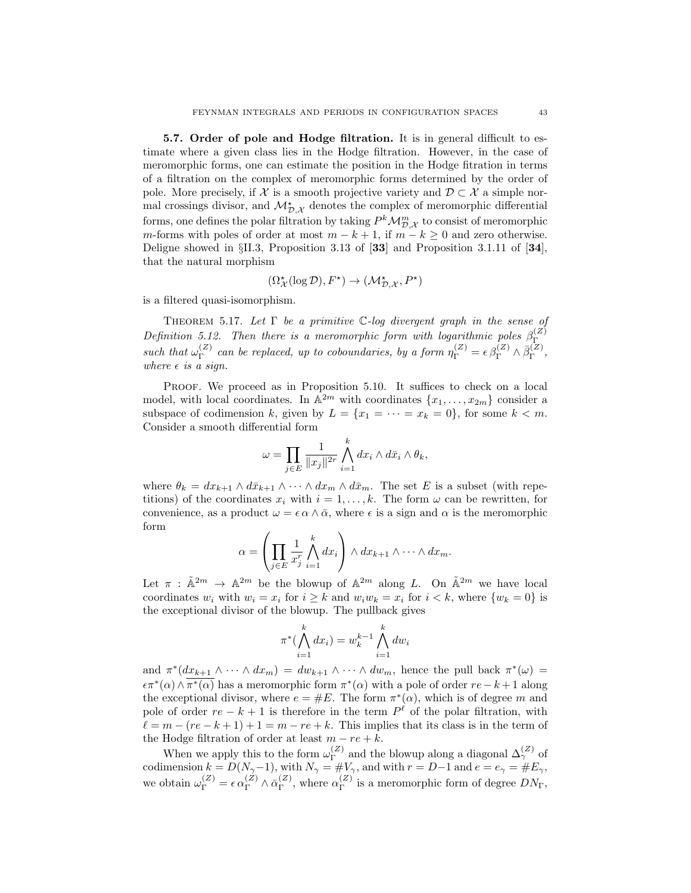5.7. Order of pole and Hodge filtration. It is in general difficult to estimate where a given class lies in the Hodge filtration. However, in the case of meromorphic forms, one can estimate the position in the Hodge fitration in terms of a filtration on the complex of meromorphic forms determined by the order of pole. More precisely, if X is a smooth projective variety and  $\mathcal{D} \subset \mathcal{X}$  a simple normal crossings divisor, and  $\mathcal{M}_{\mathcal{D},\mathcal{X}}^*$  denotes the complex of meromorphic differential forms, one defines the polar filtration by taking  $P^k \mathcal{M}_{\mathcal{D},\mathcal{X}}^m$  to consist of meromorphic m-forms with poles of order at most  $m - k + 1$ , if  $m - k \geq 0$  and zero otherwise. Deligne showed in §II.3, Proposition 3.13 of [33] and Proposition 3.1.11 of [34], that the natural morphism

$$
(\Omega_{\mathcal{X}}^{\star}(\log\mathcal{D}),F^{\star}) \to (\mathcal{M}_{\mathcal{D},\mathcal{X}}^{\star},P^{\star})
$$

is a filtered quasi-isomorphism.

THEOREM 5.17. Let  $\Gamma$  be a primitive C-log divergent graph in the sense of Definition 5.12. Then there is a meromorphic form with logarithmic poles  $\beta_{\Gamma}^{(Z)}$ Γ such that  $\omega_{\Gamma}^{(Z)}$  $\Gamma_F^{(Z)}$  can be replaced, up to coboundaries, by a form  $\eta_{\Gamma}^{(Z)} = \epsilon \beta_{\Gamma}^{(Z)} \wedge \bar{\beta}_{\Gamma}^{(Z)}$  $\mathop{\Gamma}\limits^{(\mathcal{Z})},$ where  $\epsilon$  is a sign.

PROOF. We proceed as in Proposition 5.10. It suffices to check on a local model, with local coordinates. In  $\mathbb{A}^{2m}$  with coordinates  $\{x_1, \ldots, x_{2m}\}$  consider a subspace of codimension k, given by  $L = \{x_1 = \cdots = x_k = 0\}$ , for some  $k < m$ . Consider a smooth differential form

$$
\omega = \prod_{j \in E} \frac{1}{\|x_j\|^{2r}} \bigwedge_{i=1}^k dx_i \wedge d\bar{x}_i \wedge \theta_k,
$$

where  $\theta_k = dx_{k+1} \wedge d\bar{x}_{k+1} \wedge \cdots \wedge dx_m \wedge d\bar{x}_m$ . The set E is a subset (with repetitions) of the coordinates  $x_i$  with  $i = 1, \ldots, k$ . The form  $\omega$  can be rewritten, for convenience, as a product  $\omega = \epsilon \alpha \wedge \bar{\alpha}$ , where  $\epsilon$  is a sign and  $\alpha$  is the meromorphic form

$$
\alpha = \left(\prod_{j\in E} \frac{1}{x_j^r} \bigwedge_{i=1}^k dx_i\right) \wedge dx_{k+1} \wedge \cdots \wedge dx_m.
$$

Let  $\pi$ :  $\tilde{\mathbb{A}}^{2m} \to \mathbb{A}^{2m}$  be the blowup of  $\mathbb{A}^{2m}$  along L. On  $\tilde{\mathbb{A}}^{2m}$  we have local coordinates  $w_i$  with  $w_i = x_i$  for  $i \geq k$  and  $w_i w_k = x_i$  for  $i \leq k$ , where  $\{w_k = 0\}$  is the exceptional divisor of the blowup. The pullback gives

$$
\pi^*(\bigwedge_{i=1}^k dx_i) = w_k^{k-1} \bigwedge_{i=1}^k dw_i
$$

and  $\pi^*(dx_{k+1} \wedge \cdots \wedge dx_m) = dw_{k+1} \wedge \cdots \wedge dw_m$ , hence the pull back  $\pi^*(\omega) =$  $\epsilon \pi^*(\alpha) \wedge \overline{\pi^*(\alpha)}$  has a meromorphic form  $\pi^*(\alpha)$  with a pole of order  $re - k + 1$  along the exceptional divisor, where  $e = \#E$ . The form  $\pi^*(\alpha)$ , which is of degree m and pole of order  $re - k + 1$  is therefore in the term  $P^{\ell}$  of the polar filtration, with  $\ell = m - (re - k + 1) + 1 = m - re + k$ . This implies that its class is in the term of the Hodge filtration of order at least  $m - re + k$ .

When we apply this to the form  $\omega_{\Gamma}^{(Z)}$  and the blowup along a diagonal  $\Delta_{\gamma}^{(Z)}$  of When we apply this to the form  $\omega_{\Gamma}$  and the blowup along a diagonal  $\Delta \gamma$  of codimension  $k = D(N_{\gamma}-1)$ , with  $N_{\gamma} = \#V_{\gamma}$ , and with  $r = D-1$  and  $e = e_{\gamma} = \#E_{\gamma}$ , we obtain  $\omega_{\Gamma}^{(Z)} = \epsilon \alpha_{\Gamma}^{(Z)} \wedge \bar{\alpha}_{\Gamma}^{(Z)}$  $_{\Gamma}^{(Z)}$ , where  $\alpha_{\Gamma}^{(Z)}$  $I_{\Gamma}^{(2)}$  is a meromorphic form of degree  $DN_{\Gamma}$ ,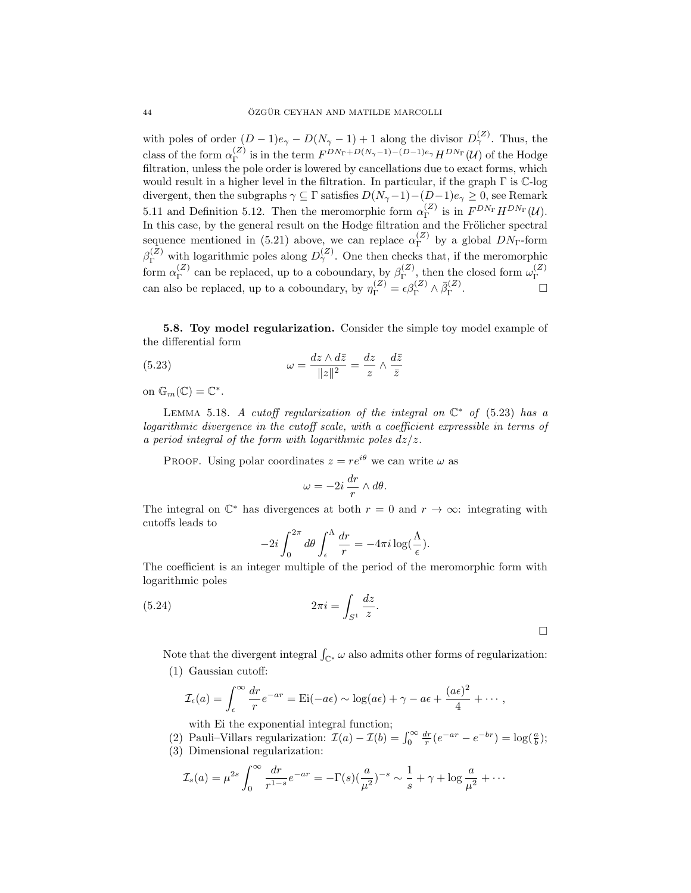with poles of order  $(D-1)e_{\gamma} - D(N_{\gamma}-1) + 1$  along the divisor  $D_{\gamma}^{(Z)}$ . Thus, the class of the form  $\alpha_{\Gamma}^{(Z)}$  $\int_{\Gamma}^{(Z)}$  is in the term  $F^{DN_{\Gamma}+D(N_{\gamma}-1)-(D-1)e_{\gamma}}H^{DN_{\Gamma}}(\mathcal{U})$  of the Hodge filtration, unless the pole order is lowered by cancellations due to exact forms, which would result in a higher level in the filtration. In particular, if the graph Γ is C-log divergent, then the subgraphs  $\gamma \subseteq \Gamma$  satisfies  $D(N_{\gamma}-1)-(D-1)e_{\gamma} \geq 0$ , see Remark 5.11 and Definition 5.12. Then the meromorphic form  $\alpha_{\Gamma}^{(Z)}$  is in  $F^{DN_{\Gamma}}H^{DN_{\Gamma}}(\mathcal{U})$ . In this case, by the general result on the Hodge filtration and the Frölicher spectral sequence mentioned in (5.21) above, we can replace  $\alpha_{\Gamma}^{(Z)}$  $\Gamma^{(2)}$  by a global  $DN_{\Gamma}$ -form  $\beta_{\Gamma}^{(Z)}$  with logarithmic poles along  $D_{\gamma}^{(Z)}$ . One then checks that, if the meromorphic form  $\alpha_{\Gamma}^{(Z)}$  $\mathcal{C}_{\Gamma}^{(Z)}$  can be replaced, up to a coboundary, by  $\beta_{\Gamma}^{(Z)}$  $\mathcal{L}_{\Gamma}^{(Z)}$ , then the closed form  $\omega_{\Gamma}^{(Z)}$ Γ can also be replaced, up to a coboundary, by  $\eta_{\Gamma}^{(Z)} = \epsilon \beta_{\Gamma}^{(Z)} \wedge \overline{\beta}_{\Gamma}^{(Z)}$  $\Gamma$  .  $\qquad \qquad \Box$ 

5.8. Toy model regularization. Consider the simple toy model example of the differential form

(5.23) 
$$
\omega = \frac{dz \wedge d\bar{z}}{\|z\|^2} = \frac{dz}{z} \wedge \frac{d\bar{z}}{\bar{z}}
$$

on  $\mathbb{G}_m(\mathbb{C}) = \mathbb{C}^*$ .

LEMMA 5.18. A cutoff regularization of the integral on  $\mathbb{C}^*$  of (5.23) has a logarithmic divergence in the cutoff scale, with a coefficient expressible in terms of a period integral of the form with logarithmic poles  $dz/z$ .

PROOF. Using polar coordinates  $z = re^{i\theta}$  we can write  $\omega$  as

$$
\omega = -2i \, \frac{dr}{r} \wedge d\theta.
$$

The integral on  $\mathbb{C}^*$  has divergences at both  $r = 0$  and  $r \to \infty$ : integrating with cutoffs leads to

$$
-2i\int_0^{2\pi} d\theta \int_{\epsilon}^{\Lambda} \frac{dr}{r} = -4\pi i \log(\frac{\Lambda}{\epsilon}).
$$

The coefficient is an integer multiple of the period of the meromorphic form with logarithmic poles

$$
(5.24) \t 2\pi i = \int_{S^1} \frac{dz}{z}.
$$

Note that the divergent integral  $\int_{\mathbb{C}^*} \omega$  also admits other forms of regularization: (1) Gaussian cutoff:

$$
\mathcal{I}_{\epsilon}(a) = \int_{\epsilon}^{\infty} \frac{dr}{r} e^{-ar} = \mathrm{Ei}(-a\epsilon) \sim \log(a\epsilon) + \gamma - a\epsilon + \frac{(a\epsilon)^2}{4} + \cdots,
$$

with Ei the exponential integral function;

(2) Pauli–Villars regularization:  $\mathcal{I}(a) - \mathcal{I}(b) = \int_0^\infty \frac{dr}{r} (e^{-ar} - e^{-br}) = \log(\frac{a}{b});$ 

(3) Dimensional regularization:

$$
\mathcal{I}_s(a) = \mu^{2s} \int_0^{\infty} \frac{dr}{r^{1-s}} e^{-ar} = -\Gamma(s) (\frac{a}{\mu^2})^{-s} \sim \frac{1}{s} + \gamma + \log \frac{a}{\mu^2} + \cdots
$$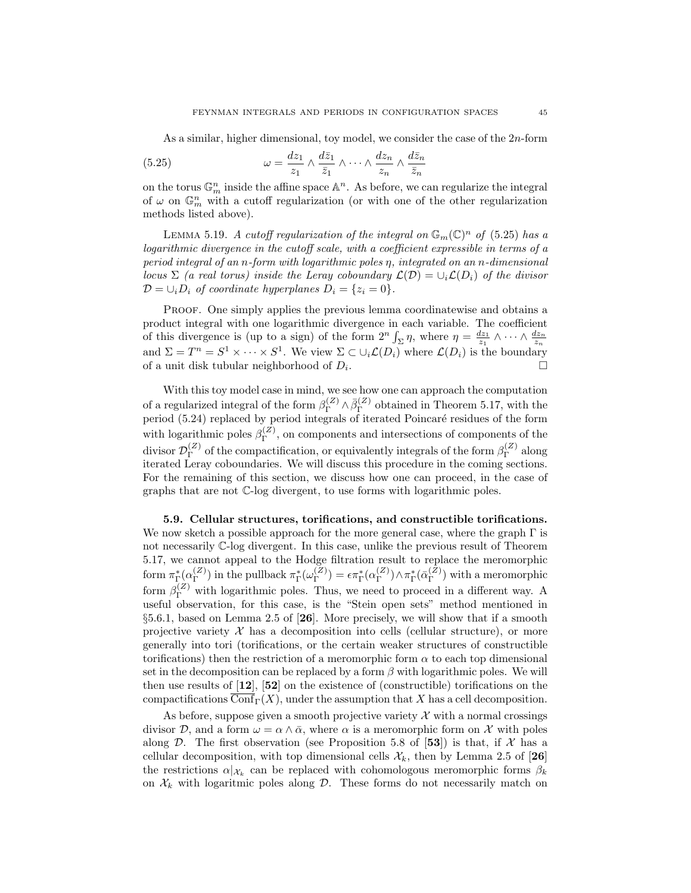As a similar, higher dimensional, toy model, we consider the case of the 2n-form

(5.25) 
$$
\omega = \frac{dz_1}{z_1} \wedge \frac{d\bar{z}_1}{\bar{z}_1} \wedge \cdots \wedge \frac{dz_n}{z_n} \wedge \frac{d\bar{z}_n}{\bar{z}_n}
$$

on the torus  $\mathbb{G}_m^n$  inside the affine space  $\mathbb{A}^n$ . As before, we can regularize the integral of  $\omega$  on  $\mathbb{G}_m^n$  with a cutoff regularization (or with one of the other regularization methods listed above).

LEMMA 5.19. A cutoff regularization of the integral on  $\mathbb{G}_m(\mathbb{C})^n$  of (5.25) has a logarithmic divergence in the cutoff scale, with a coefficient expressible in terms of a period integral of an n-form with logarithmic poles η, integrated on an n-dimensional locus  $\Sigma$  (a real torus) inside the Leray coboundary  $\mathcal{L}(\mathcal{D}) = \cup_i \mathcal{L}(D_i)$  of the divisor  $\mathcal{D} = \bigcup_i D_i$  of coordinate hyperplanes  $D_i = \{z_i = 0\}.$ 

PROOF. One simply applies the previous lemma coordinatewise and obtains a product integral with one logarithmic divergence in each variable. The coefficient of this divergence is (up to a sign) of the form  $2^n \int_{\Sigma} \eta$ , where  $\eta = \frac{dz_1}{z_1} \wedge \cdots \wedge \frac{dz_n}{z_n}$ and  $\Sigma = T^n = S^1 \times \cdots \times S^1$ . We view  $\Sigma \subset \cup_i \mathcal{L}(D_i)$  where  $\mathcal{L}(D_i)$  is the boundary of a unit disk tubular neighborhood of  $D_i$ . .

With this toy model case in mind, we see how one can approach the computation of a regularized integral of the form  $\beta_{\Gamma}^{(Z)} \wedge \bar{\beta}_{\Gamma}^{(Z)}$  $\Gamma$ <sup>( $\angle$ )</sup> obtained in Theorem 5.17, with the period  $(5.24)$  replaced by period integrals of iterated Poincaré residues of the form with logarithmic poles  $\beta_{\Gamma}^{(Z)}$  $\Gamma$ <sup>(2)</sup>, on components and intersections of components of the divisor  $\mathcal{D}_{\Gamma}^{(Z)}$  $\Gamma_{\Gamma}^{(Z)}$  of the compactification, or equivalently integrals of the form  $\beta_{\Gamma}^{(Z)}$  $\Gamma^{(2)}$  along iterated Leray coboundaries. We will discuss this procedure in the coming sections. For the remaining of this section, we discuss how one can proceed, in the case of graphs that are not C-log divergent, to use forms with logarithmic poles.

5.9. Cellular structures, torifications, and constructible torifications. We now sketch a possible approach for the more general case, where the graph  $\Gamma$  is not necessarily C-log divergent. In this case, unlike the previous result of Theorem 5.17, we cannot appeal to the Hodge filtration result to replace the meromorphic form  $\pi_{\Gamma}^*(\alpha_{\Gamma}^{(Z)}$  $\binom{Z}{\Gamma}$ ) in the pullback  $\pi_{\Gamma}^*(\omega_{\Gamma}^{(Z)})$  $\binom{Z}{\Gamma}$  =  $\epsilon \pi_{\Gamma}^*(\alpha_{\Gamma}^{(Z)})$  $\binom{Z}{\Gamma}$ )  $\wedge \pi_{\Gamma}^*(\bar{\alpha}_{\Gamma}^{(Z)})$  $\binom{Z}{\Gamma}$  with a meromorphic form  $\beta_{\Gamma}^{(Z)}$  with logarithmic poles. Thus, we need to proceed in a different way. A useful observation, for this case, is the "Stein open sets" method mentioned in §5.6.1, based on Lemma 2.5 of [26]. More precisely, we will show that if a smooth projective variety  $\mathcal X$  has a decomposition into cells (cellular structure), or more generally into tori (torifications, or the certain weaker structures of constructible torifications) then the restriction of a meromorphic form  $\alpha$  to each top dimensional set in the decomposition can be replaced by a form  $\beta$  with logarithmic poles. We will then use results of  $[12]$ ,  $[52]$  on the existence of (constructible) torifications on the compactifications  $\overline{\text{Conf}}_{\Gamma}(X)$ , under the assumption that X has a cell decomposition.

As before, suppose given a smooth projective variety  $\mathcal X$  with a normal crossings divisor D, and a form  $\omega = \alpha \wedge \bar{\alpha}$ , where  $\alpha$  is a meromorphic form on X with poles along  $D$ . The first observation (see Proposition 5.8 of [53]) is that, if  $\mathcal X$  has a cellular decomposition, with top dimensional cells  $\mathcal{X}_k$ , then by Lemma 2.5 of [26] the restrictions  $\alpha|_{\mathcal{X}_k}$  can be replaced with cohomologous meromorphic forms  $\beta_k$ on  $X_k$  with logaritmic poles along  $D$ . These forms do not necessarily match on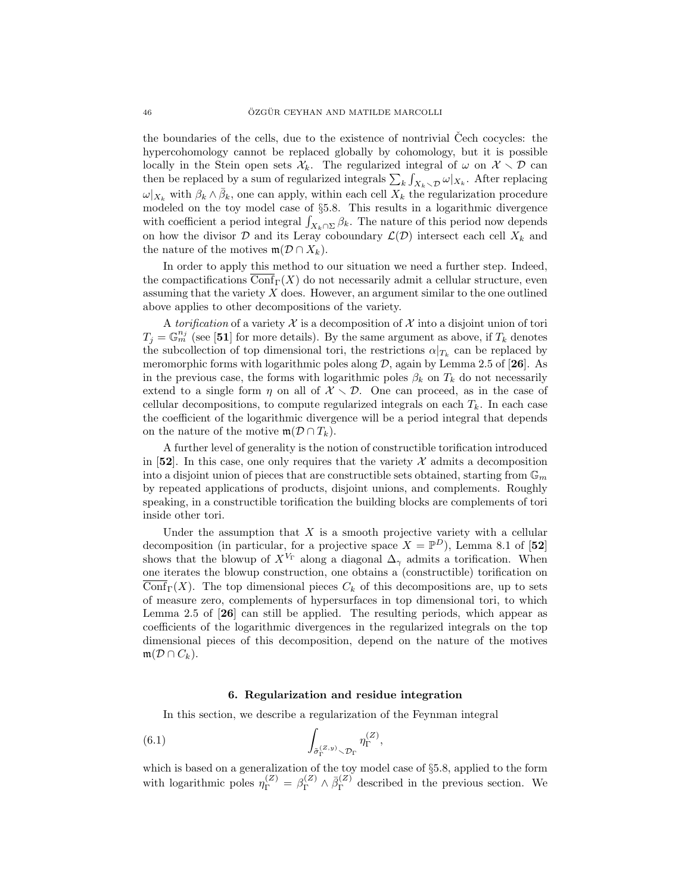the boundaries of the cells, due to the existence of nontrivial Cech cocycles: the hypercohomology cannot be replaced globally by cohomology, but it is possible locally in the Stein open sets  $\mathcal{X}_k$ . The regularized integral of  $\omega$  on  $\mathcal{X} \setminus \mathcal{D}$  can then be replaced by a sum of regularized integrals  $\sum_{k} \int_{X_k \setminus \mathcal{D}} \omega|_{X_k}$ . After replacing  $\omega|_{X_k}$  with  $\beta_k \wedge \bar{\beta}_k$ , one can apply, within each cell  $X_k$  the regularization procedure modeled on the toy model case of §5.8. This results in a logarithmic divergence with coefficient a period integral  $\int_{X_k \cap \Sigma} \beta_k$ . The nature of this period now depends on how the divisor  $D$  and its Leray coboundary  $\mathcal{L}(D)$  intersect each cell  $X_k$  and the nature of the motives  $\mathfrak{m}(\mathcal{D} \cap X_k)$ .

In order to apply this method to our situation we need a further step. Indeed, the compactifications  $\overline{\text{Conf}}_{\Gamma}(X)$  do not necessarily admit a cellular structure, even assuming that the variety  $X$  does. However, an argument similar to the one outlined above applies to other decompositions of the variety.

A torification of a variety X is a decomposition of X into a disjoint union of tori  $T_j = \mathbb{G}_m^{n_j}$  (see [51] for more details). By the same argument as above, if  $T_k$  denotes the subcollection of top dimensional tori, the restrictions  $\alpha|_{T_k}$  can be replaced by meromorphic forms with logarithmic poles along  $D$ , again by Lemma 2.5 of [26]. As in the previous case, the forms with logarithmic poles  $\beta_k$  on  $T_k$  do not necessarily extend to a single form  $\eta$  on all of  $\mathcal{X} \setminus \mathcal{D}$ . One can proceed, as in the case of cellular decompositions, to compute regularized integrals on each  $T_k$ . In each case the coefficient of the logarithmic divergence will be a period integral that depends on the nature of the motive  $\mathfrak{m}(\mathcal{D} \cap T_k)$ .

A further level of generality is the notion of constructible torification introduced in [52]. In this case, one only requires that the variety  $\mathcal X$  admits a decomposition into a disjoint union of pieces that are constructible sets obtained, starting from  $\mathbb{G}_m$ by repeated applications of products, disjoint unions, and complements. Roughly speaking, in a constructible torification the building blocks are complements of tori inside other tori.

Under the assumption that  $X$  is a smooth projective variety with a cellular decomposition (in particular, for a projective space  $X = \mathbb{P}^D$ ), Lemma 8.1 of [52] shows that the blowup of  $X^{V_{\Gamma}}$  along a diagonal  $\Delta_{\gamma}$  admits a torification. When one iterates the blowup construction, one obtains a (constructible) torification on Conf<sub>Γ</sub>(X). The top dimensional pieces  $C_k$  of this decompositions are, up to sets of measure zero, complements of hypersurfaces in top dimensional tori, to which Lemma 2.5 of [26] can still be applied. The resulting periods, which appear as coefficients of the logarithmic divergences in the regularized integrals on the top dimensional pieces of this decomposition, depend on the nature of the motives  $\mathfrak{m}(\mathcal{D} \cap C_k)$ .

## 6. Regularization and residue integration

In this section, we describe a regularization of the Feynman integral

(6.1) 
$$
\int_{\tilde{\sigma}_{\Gamma}^{(Z,y)} \smallsetminus \mathcal{D}_{\Gamma}} \eta_{\Gamma}^{(Z)},
$$

which is based on a generalization of the toy model case of §5.8, applied to the form with logarithmic poles  $\eta_{\Gamma}^{(Z)} = \beta_{\Gamma}^{(Z)} \wedge \bar{\beta}_{\Gamma}^{(Z)}$  $\Gamma$ <sup>( $\angle$ )</sup> described in the previous section. We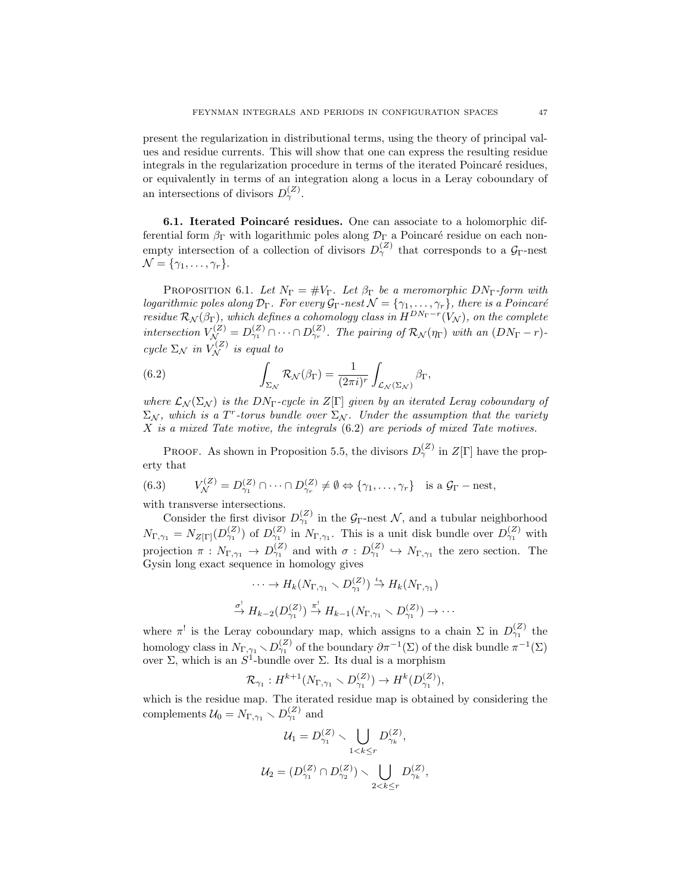present the regularization in distributional terms, using the theory of principal values and residue currents. This will show that one can express the resulting residue integrals in the regularization procedure in terms of the iterated Poincaré residues, or equivalently in terms of an integration along a locus in a Leray coboundary of an intersections of divisors  $D_{\gamma}^{(Z)}$ .

6.1. Iterated Poincaré residues. One can associate to a holomorphic differential form  $\beta_{\Gamma}$  with logarithmic poles along  $\mathcal{D}_{\Gamma}$  a Poincaré residue on each nonempty intersection of a collection of divisors  $D_{\gamma}^{(Z)}$  that corresponds to a  $\mathcal{G}_{\Gamma}$ -nest  $\mathcal{N} = \{\gamma_1, \ldots, \gamma_r\}.$ 

PROPOSITION 6.1. Let  $N_{\Gamma} = \# V_{\Gamma}$ . Let  $\beta_{\Gamma}$  be a meromorphic DN<sub>Γ</sub>-form with logarithmic poles along  $\mathcal{D}_{\Gamma}$ . For every  $\mathcal{G}_{\Gamma}$ -nest  $\mathcal{N} = \{\gamma_1,\ldots,\gamma_r\}$ , there is a Poincaré residue  $\mathcal{R}_{\mathcal{N}}(\beta_{\Gamma})$ , which defines a cohomology class in  $H^{DN_{\Gamma}-r}(V_{\mathcal{N}})$ , on the complete intersection  $V_{\mathcal{N}}^{(Z)} = D_{\gamma_1}^{(Z)} \cap \cdots \cap D_{\gamma_r}^{(Z)}$ . The pairing of  $\mathcal{R}_{\mathcal{N}}(\eta_{\Gamma})$  with an  $(DN_{\Gamma} - r)$ cycle  $\Sigma_{\mathcal{N}}$  in  $V_{\mathcal{N}}^{(Z)}$  is equal to

(6.2) 
$$
\int_{\Sigma_{\mathcal{N}}} \mathcal{R}_{\mathcal{N}}(\beta_{\Gamma}) = \frac{1}{(2\pi i)^r} \int_{\mathcal{L}_{\mathcal{N}}(\Sigma_{\mathcal{N}})} \beta_{\Gamma},
$$

where  $\mathcal{L}_{\mathcal{N}}(\Sigma_{\mathcal{N}})$  is the  $DN_{\Gamma}$ -cycle in  $Z[\Gamma]$  given by an iterated Leray coboundary of  $\Sigma_{\mathcal{N}}$ , which is a T<sup>r</sup>-torus bundle over  $\Sigma_{\mathcal{N}}$ . Under the assumption that the variety X is a mixed Tate motive, the integrals (6.2) are periods of mixed Tate motives.

**PROOF.** As shown in Proposition 5.5, the divisors  $D_{\gamma}^{(Z)}$  in  $Z[\Gamma]$  have the property that

(6.3) 
$$
V_{\mathcal{N}}^{(Z)} = D_{\gamma_1}^{(Z)} \cap \cdots \cap D_{\gamma_r}^{(Z)} \neq \emptyset \Leftrightarrow \{\gamma_1, \ldots, \gamma_r\} \text{ is a } \mathcal{G}_{\Gamma} - \text{nest},
$$

with transverse intersections.

Consider the first divisor  $D_{\gamma_1}^{(Z)}$  in the  $\mathcal{G}_{\Gamma}$ -nest N, and a tubular neighborhood  $N_{\Gamma,\gamma_1} = N_{Z[\Gamma]}(D_{\gamma_1}^{(Z)})$  of  $D_{\gamma_1}^{(Z)}$  in  $N_{\Gamma,\gamma_1}$ . This is a unit disk bundle over  $D_{\gamma_1}^{(Z)}$  with projection  $\pi: N_{\Gamma,\gamma_1} \to D_{\gamma_1}^{(Z)}$  and with  $\sigma: D_{\gamma_1}^{(Z)} \hookrightarrow N_{\Gamma,\gamma_1}$  the zero section. The Gysin long exact sequence in homology gives

$$
\cdots \to H_k(N_{\Gamma,\gamma_1} \setminus D_{\gamma_1}^{(Z)}) \xrightarrow{\iota_*} H_k(N_{\Gamma,\gamma_1})
$$
  

$$
\xrightarrow{\sigma^!} H_{k-2}(D_{\gamma_1}^{(Z)}) \xrightarrow{\pi^!} H_{k-1}(N_{\Gamma,\gamma_1} \setminus D_{\gamma_1}^{(Z)}) \to \cdots
$$

where  $\pi^!$  is the Leray coboundary map, which assigns to a chain  $\Sigma$  in  $D_{\gamma_1}^{(Z)}$  the homology class in  $N_{\Gamma,\gamma_1} \setminus D_{\gamma_1}^{(Z)}$  of the boundary  $\partial \pi^{-1}(\Sigma)$  of the disk bundle  $\pi^{-1}(\Sigma)$ over Σ, which is an  $S^1$ -bundle over Σ. Its dual is a morphism

$$
\mathcal{R}_{\gamma_1}: H^{k+1}(N_{\Gamma,\gamma_1} \setminus D_{\gamma_1}^{(Z)}) \to H^k(D_{\gamma_1}^{(Z)}),
$$

which is the residue map. The iterated residue map is obtained by considering the complements  $\mathcal{U}_0 = N_{\Gamma,\gamma_1} \setminus D_{\gamma_1}^{(Z)}$  and

$$
\mathcal{U}_1 = D_{\gamma_1}^{(Z)} \setminus \bigcup_{1 < k \le r} D_{\gamma_k}^{(Z)},
$$
\n
$$
\mathcal{U}_2 = (D_{\gamma_1}^{(Z)} \cap D_{\gamma_2}^{(Z)}) \setminus \bigcup_{2 < k \le r} D_{\gamma_k}^{(Z)},
$$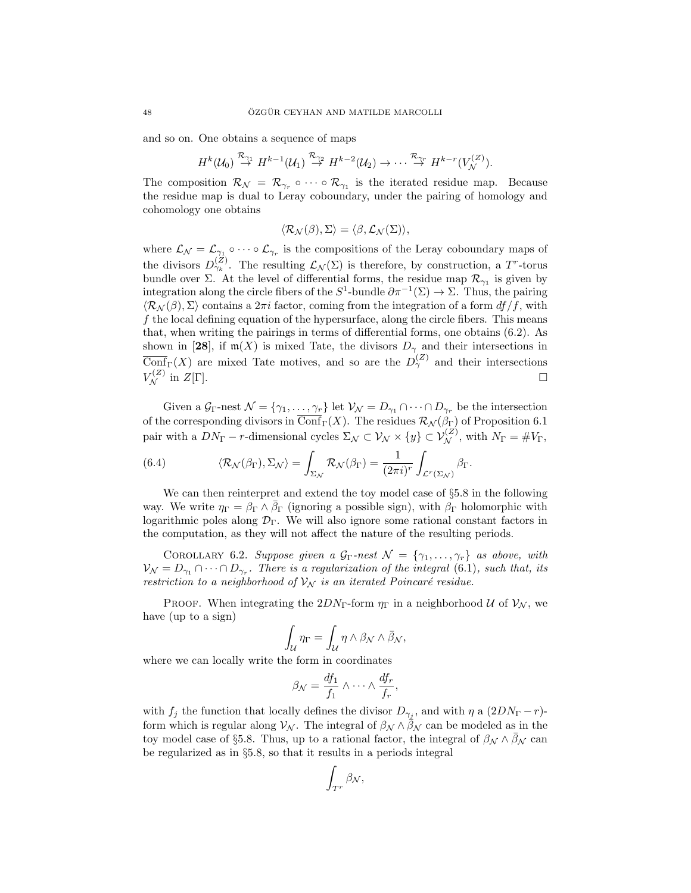and so on. One obtains a sequence of maps

$$
H^k(\mathcal{U}_0) \stackrel{\mathcal{R}_{\gamma_1}}{\rightarrow} H^{k-1}(\mathcal{U}_1) \stackrel{\mathcal{R}_{\gamma_2}}{\rightarrow} H^{k-2}(\mathcal{U}_2) \rightarrow \cdots \stackrel{\mathcal{R}_{\gamma_r}}{\rightarrow} H^{k-r}(V^{(Z)}_{\mathcal{N}}).
$$

The composition  $\mathcal{R}_{\mathcal{N}} = \mathcal{R}_{\gamma_r} \circ \cdots \circ \mathcal{R}_{\gamma_1}$  is the iterated residue map. Because the residue map is dual to Leray coboundary, under the pairing of homology and cohomology one obtains

$$
\langle \mathcal{R}_{\mathcal{N}}(\beta), \Sigma \rangle = \langle \beta, \mathcal{L}_{\mathcal{N}}(\Sigma) \rangle,
$$

where  $\mathcal{L}_{\mathcal{N}} = \mathcal{L}_{\gamma_1} \circ \cdots \circ \mathcal{L}_{\gamma_r}$  is the compositions of the Leray coboundary maps of the divisors  $D_{\gamma_k}^{(Z)}$ . The resulting  $\mathcal{L}_{\mathcal{N}}(\Sigma)$  is therefore, by construction, a T<sup>r</sup>-torus bundle over  $\Sigma$ . At the level of differential forms, the residue map  $\mathcal{R}_{\gamma_1}$  is given by integration along the circle fibers of the  $S^1$ -bundle  $\partial \pi^{-1}(\Sigma) \to \Sigma$ . Thus, the pairing  $\langle \mathcal{R}_{\mathcal{N}}(\beta), \Sigma \rangle$  contains a  $2\pi i$  factor, coming from the integration of a form  $df/f$ , with f the local defining equation of the hypersurface, along the circle fibers. This means that, when writing the pairings in terms of differential forms, one obtains (6.2). As shown in [28], if  $m(X)$  is mixed Tate, the divisors  $D_{\gamma}$  and their intersections in  $\overline{\text{Conf}}_{\Gamma}(X)$  are mixed Tate motives, and so are the  $D_{\gamma}^{(Z)}$  and their intersections  $V_{\mathcal{N}}^{(Z)}$  in  $Z[\Gamma].$ 

Given a  $\mathcal{G}_{\Gamma}$ -nest  $\mathcal{N} = {\gamma_1, \ldots, \gamma_r}$  let  $\mathcal{V}_{\mathcal{N}} = D_{\gamma_1} \cap \cdots \cap D_{\gamma_r}$  be the intersection of the corresponding divisors in  $\overline{\text{Conf}}_{\Gamma}(X)$ . The residues  $\mathcal{R}_{\mathcal{N}}(\beta_{\Gamma})$  of Proposition 6.1 pair with a  $DN_{\Gamma}$  – r-dimensional cycles  $\Sigma_{\mathcal{N}} \subset \mathcal{V}_{\mathcal{N}} \times \{y\} \subset \mathcal{V}_{\mathcal{N}}^{(Z)}$ , with  $N_{\Gamma} = \#V_{\Gamma}$ ,

(6.4) 
$$
\langle \mathcal{R}_{\mathcal{N}}(\beta_{\Gamma}), \Sigma_{\mathcal{N}} \rangle = \int_{\Sigma_{\mathcal{N}}} \mathcal{R}_{\mathcal{N}}(\beta_{\Gamma}) = \frac{1}{(2\pi i)^{r}} \int_{\mathcal{L}^{r}(\Sigma_{\mathcal{N}})} \beta_{\Gamma}.
$$

We can then reinterpret and extend the toy model case of §5.8 in the following way. We write  $\eta_{\Gamma} = \beta_{\Gamma} \wedge \bar{\beta}_{\Gamma}$  (ignoring a possible sign), with  $\beta_{\Gamma}$  holomorphic with logarithmic poles along  $\mathcal{D}_{\Gamma}$ . We will also ignore some rational constant factors in the computation, as they will not affect the nature of the resulting periods.

COROLLARY 6.2. Suppose given a  $\mathcal{G}_{\Gamma}$ -nest  $\mathcal{N} = {\gamma_1, \ldots, \gamma_r}$  as above, with  $\mathcal{V}_{\mathcal{N}}=D_{\gamma_1}\cap\cdots\cap D_{\gamma_r}$ . There is a regularization of the integral (6.1), such that, its restriction to a neighborhood of  $\mathcal{V}_{N}$  is an iterated Poincaré residue.

PROOF. When integrating the  $2DN_{\Gamma}$ -form  $\eta_{\Gamma}$  in a neighborhood U of  $\mathcal{V}_{\mathcal{N}}$ , we have (up to a sign)

$$
\int_{\mathcal{U}} \eta_{\Gamma} = \int_{\mathcal{U}} \eta \wedge \beta_{\mathcal{N}} \wedge \bar{\beta}_{\mathcal{N}},
$$

where we can locally write the form in coordinates

$$
\beta_{\mathcal{N}} = \frac{df_1}{f_1} \wedge \cdots \wedge \frac{df_r}{f_r},
$$

with  $f_j$  the function that locally defines the divisor  $D_{\gamma_j}$ , and with  $\eta$  a  $(2DN_{\Gamma}-r)$ form which is regular along  $V_N$ . The integral of  $\beta_N \wedge \bar{\beta}_N$  can be modeled as in the toy model case of §5.8. Thus, up to a rational factor, the integral of  $\beta_{\mathcal{N}} \wedge \overline{\beta_{\mathcal{N}}}$  can be regularized as in §5.8, so that it results in a periods integral

$$
\int_{T^r} \beta_{\mathcal{N}},
$$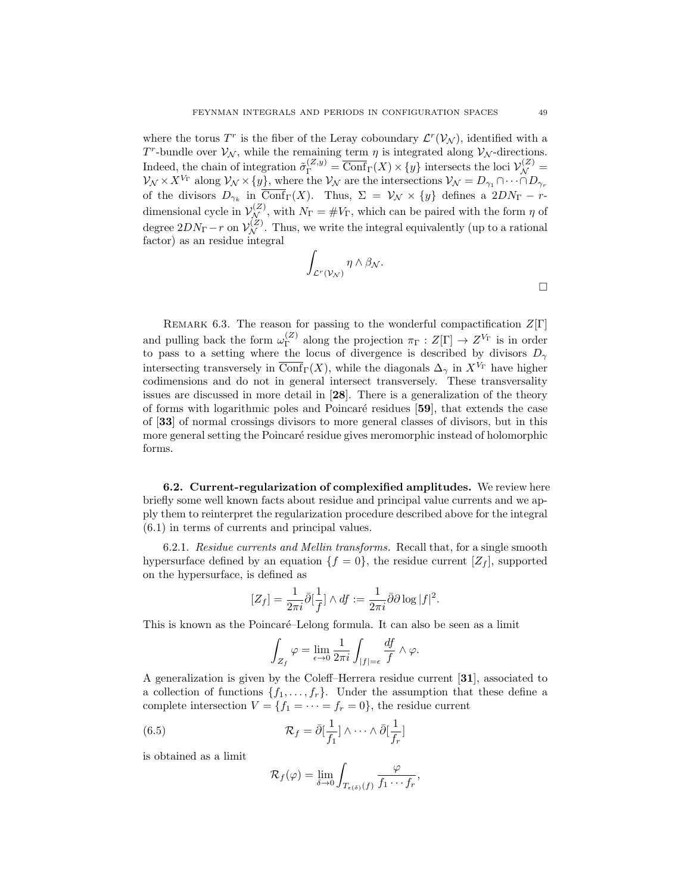where the torus  $T^r$  is the fiber of the Leray coboundary  $\mathcal{L}^r(\mathcal{V}_\mathcal{N})$ , identified with a T<sup>r</sup>-bundle over  $\mathcal{V}_{\mathcal{N}}$ , while the remaining term  $\eta$  is integrated along  $\mathcal{V}_{\mathcal{N}}$ -directions. Indeed, the chain of integration  $\tilde{\sigma}_{\Gamma}^{(Z,y)} = \overline{\text{Conf}}_{\Gamma}(X) \times \{y\}$  intersects the loci  $\mathcal{V}_{\mathcal{N}}^{(Z)} =$  $\mathcal{V}_{\mathcal{N}} \times X^{V_{\Gamma}}$  along  $\mathcal{V}_{\mathcal{N}} \times \{y\}$ , where the  $\mathcal{V}_{\mathcal{N}}$  are the intersections  $\mathcal{V}_{\mathcal{N}} = D_{\gamma_1} \cap \cdots \cap D_{\gamma_r}$ of the divisors  $D_{\gamma_k}$  in Conf<sub>Γ</sub>(X). Thus,  $\Sigma = \mathcal{V}_{\mathcal{N}} \times \{y\}$  defines a  $2DN_{\Gamma} - r$ dimensional cycle in  $\mathcal{V}_{\mathcal{N}}^{(Z)}$ , with  $N_{\Gamma} = \# V_{\Gamma}$ , which can be paired with the form  $\eta$  of degree  $2DN_{\Gamma}-r$  on  $\mathcal{V}_{\mathcal{N}}^{(Z)}$ . Thus, we write the integral equivalently (up to a rational factor) as an residue integral

$$
\int_{\mathcal{L}^r(\mathcal{V}_{\mathcal{N}})} \eta \wedge \beta_{\mathcal{N}}.\n\qquad \qquad \Box
$$

REMARK 6.3. The reason for passing to the wonderful compactification  $Z[\Gamma]$ and pulling back the form  $\omega_{\Gamma}^{(Z)}$  $\Gamma_{\Gamma}^{(Z)}$  along the projection  $\pi_{\Gamma}: Z[\Gamma] \to Z^{V_{\Gamma}}$  is in order to pass to a setting where the locus of divergence is described by divisors  $D_{\gamma}$ intersecting transversely in  $\overline{\text{Conf}}_{\Gamma}(X)$ , while the diagonals  $\Delta_{\gamma}$  in  $X^{V_{\Gamma}}$  have higher codimensions and do not in general intersect transversely. These transversality issues are discussed in more detail in [28]. There is a generalization of the theory of forms with logarithmic poles and Poincar´e residues [59], that extends the case of [33] of normal crossings divisors to more general classes of divisors, but in this more general setting the Poincaré residue gives meromorphic instead of holomorphic forms.

6.2. Current-regularization of complexified amplitudes. We review here briefly some well known facts about residue and principal value currents and we apply them to reinterpret the regularization procedure described above for the integral (6.1) in terms of currents and principal values.

6.2.1. Residue currents and Mellin transforms. Recall that, for a single smooth hypersurface defined by an equation  $\{f = 0\}$ , the residue current  $[Z_f]$ , supported on the hypersurface, is defined as

$$
[Z_f] = \frac{1}{2\pi i} \bar{\partial} \left[\frac{1}{f}\right] \wedge df := \frac{1}{2\pi i} \bar{\partial} \partial \log |f|^2.
$$

This is known as the Poincaré–Lelong formula. It can also be seen as a limit

$$
\int_{Z_f} \varphi = \lim_{\epsilon \to 0} \frac{1}{2\pi i} \int_{|f|=\epsilon} \frac{df}{f} \wedge \varphi.
$$

A generalization is given by the Coleff–Herrera residue current [31], associated to a collection of functions  $\{f_1, \ldots, f_r\}$ . Under the assumption that these define a complete intersection  $V = \{f_1 = \cdots = f_r = 0\}$ , the residue current

(6.5) 
$$
\mathcal{R}_f = \bar{\partial} \left[ \frac{1}{f_1} \right] \wedge \cdots \wedge \bar{\partial} \left[ \frac{1}{f_r} \right]
$$

is obtained as a limit

$$
\mathcal{R}_f(\varphi) = \lim_{\delta \to 0} \int_{T_{\epsilon(\delta)}(f)} \frac{\varphi}{f_1 \cdots f_r},
$$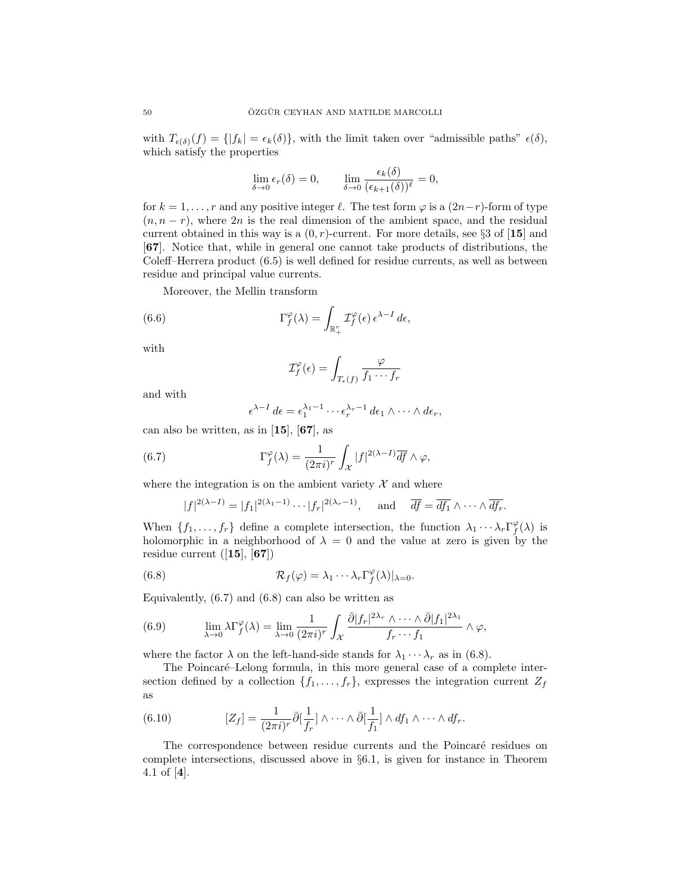with  $T_{\epsilon(\delta)}(f) = \{ |f_k| = \epsilon_k(\delta) \},\$  with the limit taken over "admissible paths"  $\epsilon(\delta)$ , which satisfy the properties

$$
\lim_{\delta \to 0} \epsilon_r(\delta) = 0, \qquad \lim_{\delta \to 0} \frac{\epsilon_k(\delta)}{(\epsilon_{k+1}(\delta))^\ell} = 0,
$$

for  $k = 1, \ldots, r$  and any positive integer  $\ell$ . The test form  $\varphi$  is a  $(2n-r)$ -form of type  $(n, n - r)$ , where 2n is the real dimension of the ambient space, and the residual current obtained in this way is a  $(0, r)$ -current. For more details, see §3 of [15] and [67]. Notice that, while in general one cannot take products of distributions, the Coleff–Herrera product (6.5) is well defined for residue currents, as well as between residue and principal value currents.

Moreover, the Mellin transform

(6.6) 
$$
\Gamma_f^{\varphi}(\lambda) = \int_{\mathbb{R}_+^r} \mathcal{I}_f^{\varphi}(\epsilon) \epsilon^{\lambda - 1} d\epsilon,
$$

with

$$
\mathcal{I}_f^{\varphi}(\epsilon) = \int_{T_{\epsilon}(f)} \frac{\varphi}{f_1 \cdots f_r}
$$

and with

$$
\epsilon^{\lambda-1} d\epsilon = \epsilon_1^{\lambda_1-1} \cdots \epsilon_r^{\lambda_r-1} d\epsilon_1 \wedge \cdots \wedge d\epsilon_r,
$$

can also be written, as in  $[15]$ ,  $[67]$ , as

(6.7) 
$$
\Gamma_f^{\varphi}(\lambda) = \frac{1}{(2\pi i)^r} \int_{\mathcal{X}} |f|^{2(\lambda - 1)} \overline{df} \wedge \varphi,
$$

where the integration is on the ambient variety  $\mathcal{X}$  and where

$$
|f|^{2(\lambda-1)} = |f_1|^{2(\lambda_1-1)} \cdots |f_r|^{2(\lambda_r-1)},
$$
 and  $\overline{df} = \overline{df_1} \wedge \cdots \wedge \overline{df_r}.$ 

When  $\{f_1, \ldots, f_r\}$  define a complete intersection, the function  $\lambda_1 \cdots \lambda_r \Gamma_f^{\varphi}(\lambda)$  is holomorphic in a neighborhood of  $\lambda = 0$  and the value at zero is given by the residue current  $([15], [67])$ 

(6.8) 
$$
\mathcal{R}_f(\varphi) = \lambda_1 \cdots \lambda_r \Gamma_f^{\varphi}(\lambda)|_{\lambda=0}.
$$

Equivalently, (6.7) and (6.8) can also be written as

(6.9) 
$$
\lim_{\lambda \to 0} \lambda \Gamma_f^{\varphi}(\lambda) = \lim_{\lambda \to 0} \frac{1}{(2\pi i)^r} \int_{\mathcal{X}} \frac{\bar{\partial} |f_r|^{2\lambda_r} \wedge \dots \wedge \bar{\partial} |f_1|^{2\lambda_1}}{f_r \cdots f_1} \wedge \varphi,
$$

where the factor  $\lambda$  on the left-hand-side stands for  $\lambda_1 \cdots \lambda_r$  as in (6.8).

The Poincaré–Lelong formula, in this more general case of a complete intersection defined by a collection  $\{f_1, \ldots, f_r\}$ , expresses the integration current  $Z_f$ as

(6.10) 
$$
[Z_f] = \frac{1}{(2\pi i)^r} \bar{\partial} \left[\frac{1}{f_r}\right] \wedge \cdots \wedge \bar{\partial} \left[\frac{1}{f_1}\right] \wedge df_1 \wedge \cdots \wedge df_r.
$$

The correspondence between residue currents and the Poincaré residues on complete intersections, discussed above in §6.1, is given for instance in Theorem 4.1 of [4].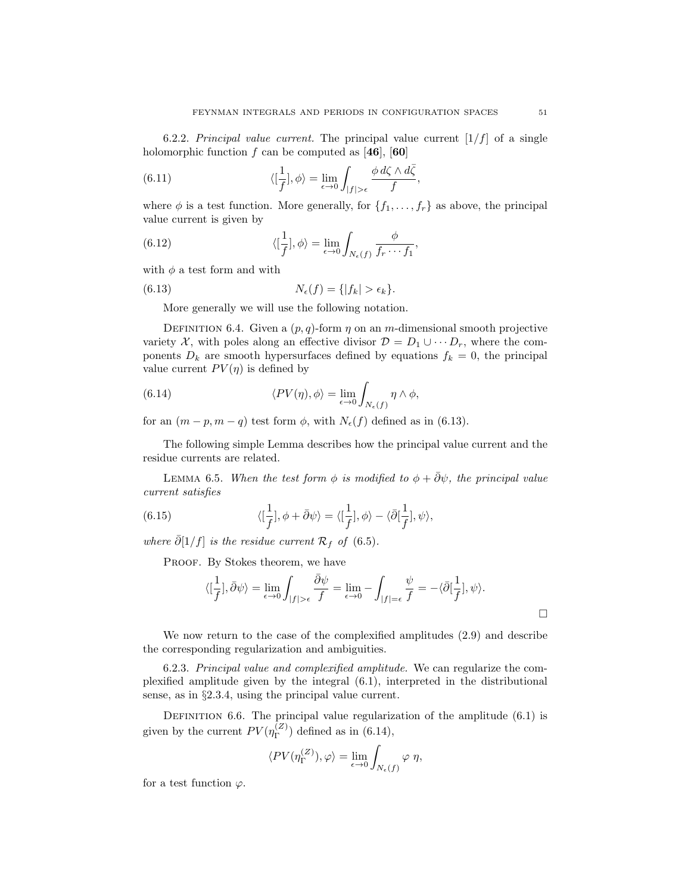6.2.2. Principal value current. The principal value current  $[1/f]$  of a single holomorphic function f can be computed as [46], [60]

(6.11) 
$$
\langle \left[\frac{1}{f}\right], \phi \rangle = \lim_{\epsilon \to 0} \int_{|f| > \epsilon} \frac{\phi \, d\zeta \wedge d\bar{\zeta}}{f},
$$

where  $\phi$  is a test function. More generally, for  $\{f_1, \ldots, f_r\}$  as above, the principal value current is given by

(6.12) 
$$
\langle \left[\frac{1}{f}\right], \phi \rangle = \lim_{\epsilon \to 0} \int_{N_{\epsilon}(f)} \frac{\phi}{f_r \cdots f_1},
$$

with  $\phi$  a test form and with

(6.13) 
$$
N_{\epsilon}(f) = \{|f_k| > \epsilon_k\}.
$$

More generally we will use the following notation.

DEFINITION 6.4. Given a  $(p, q)$ -form  $\eta$  on an m-dimensional smooth projective variety X, with poles along an effective divisor  $\mathcal{D} = D_1 \cup \cdots D_r$ , where the components  $D_k$  are smooth hypersurfaces defined by equations  $f_k = 0$ , the principal value current  $PV(\eta)$  is defined by

(6.14) 
$$
\langle PV(\eta), \phi \rangle = \lim_{\epsilon \to 0} \int_{N_{\epsilon}(f)} \eta \wedge \phi,
$$

for an  $(m - p, m - q)$  test form  $\phi$ , with  $N_{\epsilon}(f)$  defined as in (6.13).

The following simple Lemma describes how the principal value current and the residue currents are related.

LEMMA 6.5. When the test form  $\phi$  is modified to  $\phi + \overline{\partial} \psi$ , the principal value current satisfies

(6.15) 
$$
\langle [\frac{1}{f}], \phi + \bar{\partial}\psi \rangle = \langle [\frac{1}{f}], \phi \rangle - \langle \bar{\partial}[\frac{1}{f}], \psi \rangle,
$$

where  $\bar{\partial}[1/f]$  is the residue current  $\mathcal{R}_f$  of (6.5).

PROOF. By Stokes theorem, we have

$$
\langle [\frac{1}{f}], \bar{\partial}\psi\rangle = \lim_{\epsilon \to 0} \int_{|f| > \epsilon} \frac{\bar{\partial}\psi}{f} = \lim_{\epsilon \to 0} - \int_{|f| = \epsilon} \frac{\psi}{f} = -\langle \bar{\partial}[\frac{1}{f}], \psi \rangle.
$$

We now return to the case of the complexified amplitudes (2.9) and describe the corresponding regularization and ambiguities.

6.2.3. Principal value and complexified amplitude. We can regularize the complexified amplitude given by the integral (6.1), interpreted in the distributional sense, as in §2.3.4, using the principal value current.

DEFINITION 6.6. The principal value regularization of the amplitude  $(6.1)$  is given by the current  $PV(\eta_{\Gamma}^{(Z)})$  $\binom{2}{\Gamma}$  defined as in (6.14),

$$
\langle PV(\eta^{(Z)}_\Gamma),\varphi\rangle=\lim_{\epsilon\to 0}\int_{N_\epsilon(f)}\varphi\ \eta,
$$

for a test function  $\varphi$ .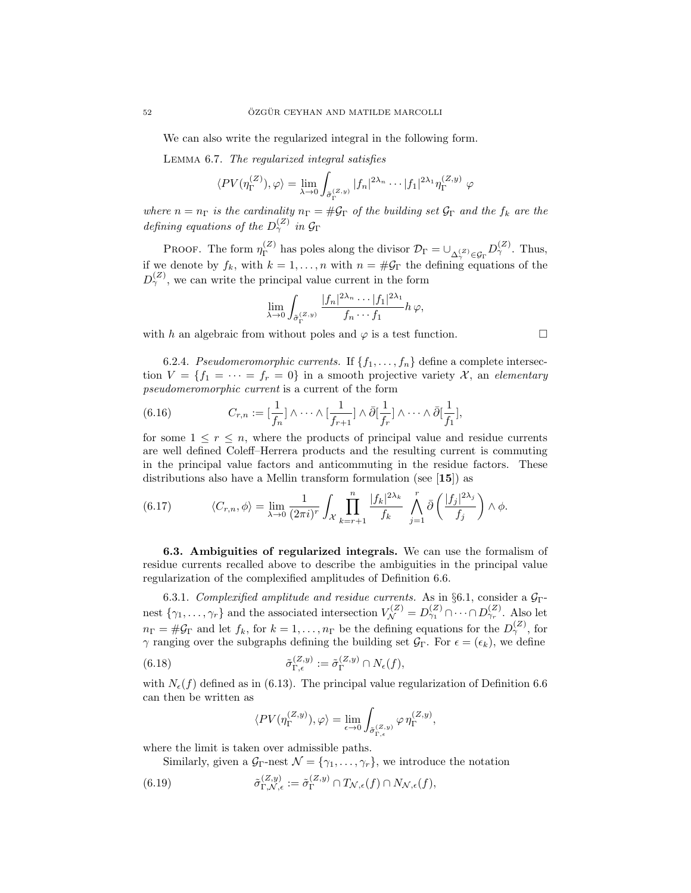We can also write the regularized integral in the following form.

Lemma 6.7. The regularized integral satisfies

$$
\langle PV(\eta_{\Gamma}^{(Z)}), \varphi \rangle = \lim_{\lambda \to 0} \int_{\tilde{\sigma}_{\Gamma}^{(Z,y)}} |f_n|^{2\lambda_n} \cdots |f_1|^{2\lambda_1} \eta_{\Gamma}^{(Z,y)} \varphi
$$

where  $n = n_{\Gamma}$  is the cardinality  $n_{\Gamma} = \#\mathcal{G}_{\Gamma}$  of the building set  $\mathcal{G}_{\Gamma}$  and the  $f_k$  are the defining equations of the  $D_{\gamma}^{(Z)}$  in  $\mathcal{G}_{\Gamma}$ 

PROOF. The form  $\eta_{\Gamma}^{(Z)}$  $\mathcal{D}_{\Gamma}^{(Z)}$  has poles along the divisor  $\mathcal{D}_{\Gamma} = \cup_{\Delta_{\gamma}^{(Z)} \in \mathcal{G}_{\Gamma}} D_{\gamma}^{(Z)}$ . Thus, if we denote by  $f_k$ , with  $k = 1, ..., n$  with  $n = #\mathcal{G}_\Gamma$  the defining equations of the  $D_{\gamma}^{(Z)}$ , we can write the principal value current in the form

$$
\lim_{\lambda \to 0} \int_{\tilde{\sigma}_{\Gamma}^{(Z,y)}} \frac{|f_n|^{2\lambda_n} \cdots |f_1|^{2\lambda_1}}{f_n \cdots f_1} h \varphi,
$$

with h an algebraic from without poles and  $\varphi$  is a test function.

6.2.4. Pseudomeromorphic currents. If  $\{f_1, \ldots, f_n\}$  define a complete intersection  $V = \{f_1 = \cdots = f_r = 0\}$  in a smooth projective variety X, an elementary pseudomeromorphic current is a current of the form

(6.16) 
$$
C_{r,n} := \left[\frac{1}{f_n}\right] \wedge \cdots \wedge \left[\frac{1}{f_{r+1}}\right] \wedge \bar{\partial}\left[\frac{1}{f_r}\right] \wedge \cdots \wedge \bar{\partial}\left[\frac{1}{f_1}\right],
$$

for some  $1 \leq r \leq n$ , where the products of principal value and residue currents are well defined Coleff–Herrera products and the resulting current is commuting in the principal value factors and anticommuting in the residue factors. These distributions also have a Mellin transform formulation (see [15]) as

(6.17) 
$$
\langle C_{r,n}, \phi \rangle = \lim_{\lambda \to 0} \frac{1}{(2\pi i)^r} \int_{\mathcal{X}} \prod_{k=r+1}^n \frac{|f_k|^{2\lambda_k}}{f_k} \int_{j=1}^r \bar{\partial} \left( \frac{|f_j|^{2\lambda_j}}{f_j} \right) \wedge \phi.
$$

6.3. Ambiguities of regularized integrals. We can use the formalism of residue currents recalled above to describe the ambiguities in the principal value regularization of the complexified amplitudes of Definition 6.6.

6.3.1. Complexified amplitude and residue currents. As in §6.1, consider a  $\mathcal{G}_{\Gamma}$ nest  $\{\gamma_1,\ldots,\gamma_r\}$  and the associated intersection  $V_{\mathcal{N}}^{(Z)} = D_{\gamma_1}^{(Z)} \cap \cdots \cap D_{\gamma_r}^{(Z)}$ . Also let  $n_{\Gamma} = \#\mathcal{G}_{\Gamma}$  and let  $f_k$ , for  $k = 1, \ldots, n_{\Gamma}$  be the defining equations for the  $D_{\gamma}^{(Z)}$ , for γ ranging over the subgraphs defining the building set  $\mathcal{G}_{\Gamma}$ . For  $\epsilon = (\epsilon_k)$ , we define  $\sqrt{Z}$  $\sqrt{Z}$ 

(6.18) 
$$
\tilde{\sigma}_{\Gamma,\epsilon}^{(2,y)} := \tilde{\sigma}_{\Gamma}^{(2,y)} \cap N_{\epsilon}(f),
$$

with  $N_{\epsilon}(f)$  defined as in (6.13). The principal value regularization of Definition 6.6 can then be written as

$$
\langle PV(\eta^{(Z,y)}_\Gamma),\varphi\rangle=\lim_{\epsilon\to 0}\int_{\tilde{\sigma}_{\Gamma,\epsilon}^{(Z,y)}}\varphi\,\eta^{(Z,y)}_\Gamma,
$$

where the limit is taken over admissible paths.

Similarly, given a  $\mathcal{G}_{\Gamma}$ -nest  $\mathcal{N} = {\gamma_1, \ldots, \gamma_r}$ , we introduce the notation

(6.19) 
$$
\tilde{\sigma}_{\Gamma,\mathcal{N},\epsilon}^{(Z,y)} := \tilde{\sigma}_{\Gamma}^{(Z,y)} \cap T_{\mathcal{N},\epsilon}(f) \cap N_{\mathcal{N},\epsilon}(f),
$$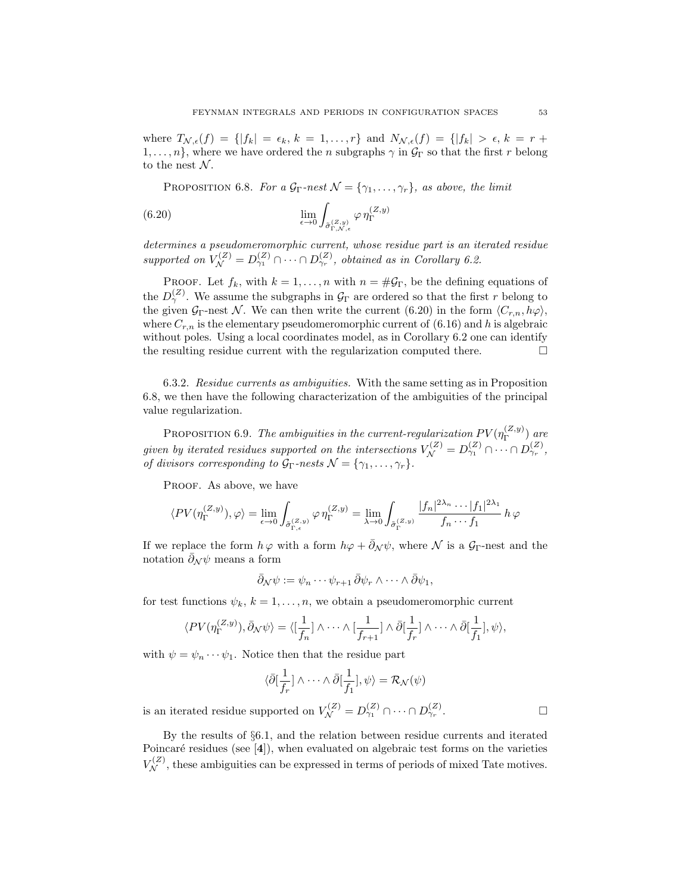where  $T_{\mathcal{N},\epsilon}(f) = \{ |f_k| = \epsilon_k, k = 1,\ldots,r \}$  and  $N_{\mathcal{N},\epsilon}(f) = \{ |f_k| > \epsilon, k = r +$  $1, \ldots, n$ , where we have ordered the n subgraphs  $\gamma$  in  $\mathcal{G}_{\Gamma}$  so that the first r belong to the nest  $\mathcal N$ .

PROPOSITION 6.8. For a  $\mathcal{G}_{\Gamma}$ -nest  $\mathcal{N} = {\gamma_1, \ldots, \gamma_r}$ , as above, the limit

(6.20) 
$$
\lim_{\epsilon \to 0} \int_{\tilde{\sigma}_{\Gamma, N, \epsilon}^{(Z, y)}} \varphi \, \eta_{\Gamma}^{(Z, y)}
$$

determines a pseudomeromorphic current, whose residue part is an iterated residue supported on  $V_{\mathcal{N}}^{(Z)} = D_{\gamma_1}^{(Z)} \cap \cdots \cap D_{\gamma_r}^{(Z)}$ , obtained as in Corollary 6.2.

PROOF. Let  $f_k$ , with  $k = 1, ..., n$  with  $n = \#\mathcal{G}_{\Gamma}$ , be the defining equations of the  $D_{\gamma}^{(Z)}$ . We assume the subgraphs in  $\mathcal{G}_{\Gamma}$  are ordered so that the first r belong to the given  $\mathcal{G}_{\Gamma}$ -nest N. We can then write the current (6.20) in the form  $\langle C_{r,n}, h\varphi \rangle$ , where  $C_{r,n}$  is the elementary pseudomeromorphic current of (6.16) and h is algebraic without poles. Using a local coordinates model, as in Corollary 6.2 one can identify the resulting residue current with the regularization computed there.  $\Box$ 

6.3.2. Residue currents as ambiguities. With the same setting as in Proposition 6.8, we then have the following characterization of the ambiguities of the principal value regularization.

PROPOSITION 6.9. The ambiguities in the current-regularization  $PV(\eta_{\Gamma}^{(Z,y)})$  $\int_{\Gamma}^{(\mathcal{L},y)}$  are given by iterated residues supported on the intersections  $V_{\mathcal{N}}^{(Z)} = D_{\gamma_1}^{(Z)} \cap \cdots \cap D_{\gamma_r}^{(Z)},$ of divisors corresponding to  $\mathcal{G}_{\Gamma}$ -nests  $\mathcal{N} = {\gamma_1, \ldots, \gamma_r}.$ 

PROOF. As above, we have

$$
\langle PV(\eta_{\Gamma}^{(Z,y)}),\varphi \rangle = \lim_{\epsilon \to 0} \int_{\tilde{\sigma}_{\Gamma,\epsilon}^{(Z,y)}} \varphi \,\eta_{\Gamma}^{(Z,y)} = \lim_{\lambda \to 0} \int_{\tilde{\sigma}_{\Gamma}^{(Z,y)}} \frac{|f_n|^{2\lambda_n}\cdots|f_1|^{2\lambda_1}}{f_n\cdots f_1} \, h \, \varphi
$$

If we replace the form  $h\varphi$  with a form  $h\varphi + \bar{\partial}_N \psi$ , where N is a  $\mathcal{G}_\Gamma$ -nest and the notation  $\bar{\partial}_N \psi$  means a form

$$
\bar{\partial}_{\mathcal{N}}\psi := \psi_n \cdots \psi_{r+1} \bar{\partial} \psi_r \wedge \cdots \wedge \bar{\partial} \psi_1,
$$

for test functions  $\psi_k, k = 1, \ldots, n$ , we obtain a pseudomeromorphic current

$$
\langle PV(\eta_{\Gamma}^{(Z,y)}), \bar{\partial}_N \psi \rangle = \langle [\frac{1}{f_n}] \wedge \cdots \wedge [\frac{1}{f_{r+1}}] \wedge \bar{\partial}[\frac{1}{f_r}] \wedge \cdots \wedge \bar{\partial}[\frac{1}{f_1}], \psi \rangle,
$$

with  $\psi = \psi_n \cdots \psi_1$ . Notice then that the residue part

$$
\langle \bar{\partial}[\frac{1}{f_r}]\wedge\cdots\wedge\bar{\partial}[\frac{1}{f_1}],\psi\rangle=\mathcal{R}_{\mathcal{N}}(\psi)
$$

is an iterated residue supported on  $V_{\mathcal{N}}^{(Z)} = D_{\gamma_1}^{(Z)} \cap \cdots \cap D_{\gamma_r}^{(Z)}$ . — Первый профессиональный стандарт и профессиональный стандарт и профессиональный стандарт и профессиональны<br>В сервисов с профессиональный стандарт и профессиональный стандарт и профессиональный стандарт и профессиональ

By the results of §6.1, and the relation between residue currents and iterated Poincaré residues (see  $[4]$ ), when evaluated on algebraic test forms on the varieties  $V_N^{(Z)}$ , these ambiguities can be expressed in terms of periods of mixed Tate motives.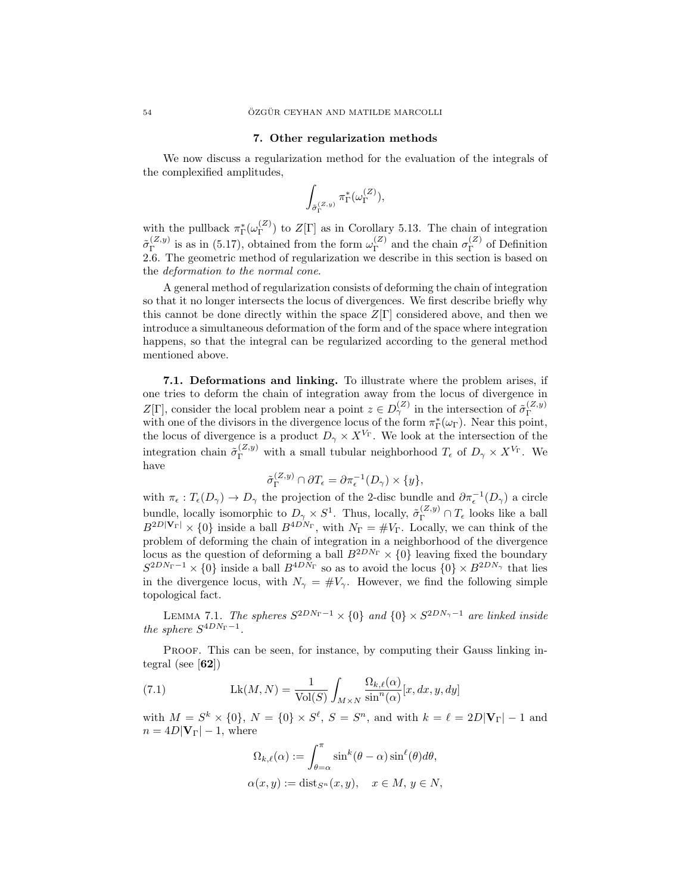#### 7. Other regularization methods

We now discuss a regularization method for the evaluation of the integrals of the complexified amplitudes,

$$
\int_{\tilde{\sigma}_{\Gamma}^{(Z,y)}}\pi_{\Gamma}^*(\omega_{\Gamma}^{(Z)}),
$$

with the pullback  $\pi_{\Gamma}^*(\omega_{\Gamma}^{(Z)}$  $(\binom{2}{r})$  to  $Z[\Gamma]$  as in Corollary 5.13. The chain of integration  $\tilde{\sigma}_{\Gamma}^{(Z,y)}$  $\int_{\Gamma}^{(Z,y)}$  is as in (5.17), obtained from the form  $\omega_{\Gamma}^{(Z)}$  $\Gamma_{\Gamma}^{(Z)}$  and the chain  $\sigma_{\Gamma}^{(Z)}$  $\Gamma^{(2)}$  of Definition 2.6. The geometric method of regularization we describe in this section is based on the deformation to the normal cone.

A general method of regularization consists of deforming the chain of integration so that it no longer intersects the locus of divergences. We first describe briefly why this cannot be done directly within the space  $Z[\Gamma]$  considered above, and then we introduce a simultaneous deformation of the form and of the space where integration happens, so that the integral can be regularized according to the general method mentioned above.

7.1. Deformations and linking. To illustrate where the problem arises, if one tries to deform the chain of integration away from the locus of divergence in Z[Γ], consider the local problem near a point  $z \in D_{\gamma}^{(Z)}$  in the intersection of  $\tilde{\sigma}_{\Gamma}^{(Z,y)}$  $\mathbb{Z}[\Gamma]$ , consider the local problem hear a point  $z \in \mathcal{D}\gamma$  in the intersection of  $\sigma_{\Gamma}$  with one of the divisors in the divergence locus of the form  $\pi_{\Gamma}^{*}(\omega_{\Gamma})$ . Near this point, the locus of divergence is a product  $D_{\gamma} \times X^{V_{\Gamma}}$ . We look at the intersection of the integration chain  $\tilde{\sigma}_{\Gamma}^{(Z,y)}$  with a small tubular neighborhood  $T_{\epsilon}$  of  $D_{\gamma} \times X^{V_{\Gamma}}$ . We have

$$
\tilde{\sigma}_{\Gamma}^{(Z,y)} \cap \partial T_{\epsilon} = \partial \pi_{\epsilon}^{-1}(D_{\gamma}) \times \{y\},\
$$

with  $\pi_{\epsilon}: T_{\epsilon}(D_{\gamma}) \to D_{\gamma}$  the projection of the 2-disc bundle and  $\partial \pi_{\epsilon}^{-1}(D_{\gamma})$  a circle bundle, locally isomorphic to  $D_\gamma \times S^1$ . Thus, locally,  $\tilde{\sigma}_{\Gamma}^{(Z,y)} \cap T_{\epsilon}$  looks like a ball  $B^{2D|\mathbf{V}_{\Gamma}|} \times \{0\}$  inside a ball  $B^{4DN_{\Gamma}}$ , with  $N_{\Gamma} = \#V_{\Gamma}$ . Locally, we can think of the problem of deforming the chain of integration in a neighborhood of the divergence locus as the question of deforming a ball  $B^{2DN_{\Gamma}} \times \{0\}$  leaving fixed the boundary  $S^{2DN_{\Gamma}-1}$  ×  $\{0\}$  inside a ball  $B^{4DN_{\Gamma}}$  so as to avoid the locus  $\{0\}$  ×  $B^{2DN_{\gamma}}$  that lies in the divergence locus, with  $N_{\gamma} = #V_{\gamma}$ . However, we find the following simple topological fact.

LEMMA 7.1. The spheres  $S^{2DN_{\Gamma}-1} \times \{0\}$  and  $\{0\} \times S^{2DN_{\gamma}-1}$  are linked inside the sphere  $S^{4DN_{\Gamma}-1}$ .

PROOF. This can be seen, for instance, by computing their Gauss linking integral (see  $[62]$ )

(7.1) 
$$
Lk(M, N) = \frac{1}{\text{Vol}(S)} \int_{M \times N} \frac{\Omega_{k,\ell}(\alpha)}{\sin^n(\alpha)} [x, dx, y, dy]
$$

with  $M = S^k \times \{0\}$ ,  $N = \{0\} \times S^{\ell}$ ,  $S = S^n$ , and with  $k = \ell = 2D|\mathbf{V}_{\Gamma}| - 1$  and  $n = 4D|\mathbf{V}_{\Gamma}| - 1$ , where

$$
\Omega_{k,\ell}(\alpha) := \int_{\theta=\alpha}^{\pi} \sin^k(\theta-\alpha) \sin^{\ell}(\theta) d\theta,
$$
  

$$
\alpha(x,y) := \text{dist}_{S^n}(x,y), \quad x \in M, y \in N,
$$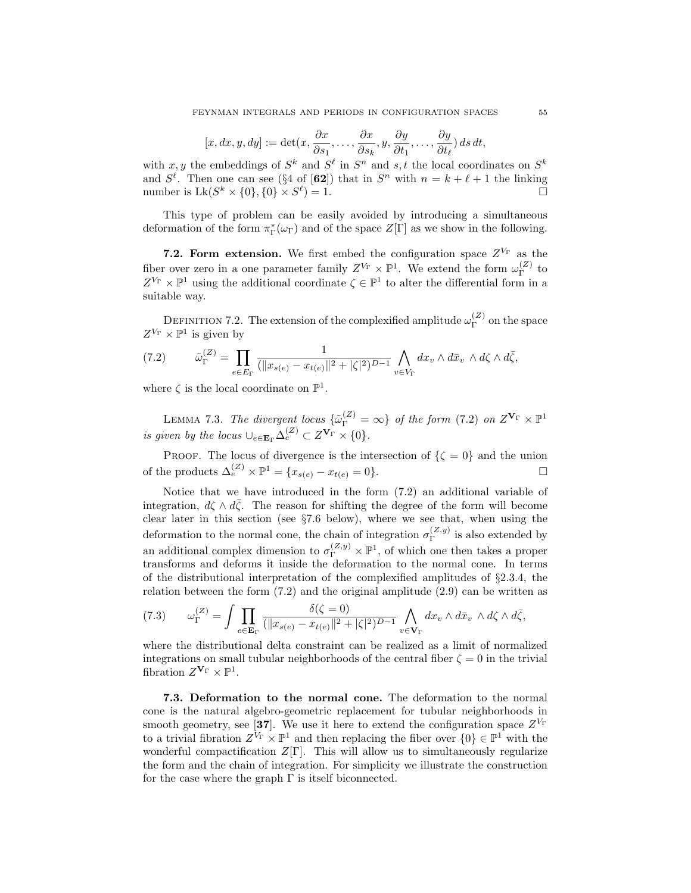$$
[x, dx, y, dy] := \det(x, \frac{\partial x}{\partial s_1}, \dots, \frac{\partial x}{\partial s_k}, y, \frac{\partial y}{\partial t_1}, \dots, \frac{\partial y}{\partial t_\ell}) ds dt,
$$

with x, y the embeddings of  $S^k$  and  $S^{\ell}$  in  $S^n$  and s, t the local coordinates on  $S^k$ and  $S^{\ell}$ . Then one can see (§4 of [62]) that in  $S^{n}$  with  $n = k + \ell + 1$  the linking number is  $Lk(S^k \times \{0\}, \{0\} \times S^{\ell})$  $) = 1.$ 

This type of problem can be easily avoided by introducing a simultaneous deformation of the form  $\pi_{\Gamma}^*(\omega_{\Gamma})$  and of the space  $Z[\Gamma]$  as we show in the following.

**7.2. Form extension.** We first embed the configuration space  $Z^{V_{\Gamma}}$  as the fiber over zero in a one parameter family  $Z^{V_{\Gamma}} \times \mathbb{P}^1$ . We extend the form  $\omega_{\Gamma}^{(Z)}$  $T^{\left( 2\right) }$  to  $Z^{V_{\Gamma}} \times \mathbb{P}^1$  using the additional coordinate  $\zeta \in \mathbb{P}^1$  to alter the differential form in a suitable way.

DEFINITION 7.2. The extension of the complexified amplitude  $\omega_{\Gamma}^{(Z)}$  $\Gamma^{(2)}$  on the space  $Z^{V_{\Gamma}} \times \mathbb{P}^1$  is given by

$$
(7.2) \qquad \tilde{\omega}_{\Gamma}^{(Z)} = \prod_{e \in E_{\Gamma}} \frac{1}{(\|x_{s(e)} - x_{t(e)}\|^2 + |\zeta|^2)^{D-1}} \bigwedge_{v \in V_{\Gamma}} dx_v \wedge d\bar{x}_v \wedge d\zeta \wedge d\bar{\zeta},
$$

where  $\zeta$  is the local coordinate on  $\mathbb{P}^1$ .

LEMMA 7.3. The divergent locus  $\{\tilde{\omega}_{\Gamma}^{(Z)} = \infty\}$  of the form (7.2) on  $Z^{\mathbf{V}_{\Gamma}} \times \mathbb{P}^1$ is given by the locus  $\bigcup_{e \in \mathbf{E}_{\Gamma}} \Delta_e^{(Z)} \subset Z^{\mathbf{V}_{\Gamma}} \times \{0\}.$ 

PROOF. The locus of divergence is the intersection of  $\{\zeta = 0\}$  and the union of the products  $\Delta_e^{(Z)} \times \mathbb{P}^1 = \{x_{s(e)} - x_{t(e)} = 0\}.$ 

Notice that we have introduced in the form (7.2) an additional variable of integration,  $d\zeta \wedge d\bar{\zeta}$ . The reason for shifting the degree of the form will become clear later in this section (see §7.6 below), where we see that, when using the deformation to the normal cone, the chain of integration  $\sigma_{\Gamma}^{(Z,y)}$  $\int_{\Gamma}^{(2,y)}$  is also extended by an additional complex dimension to  $\sigma_{\Gamma}^{(Z,y)} \times \mathbb{P}^1$ , of which one then takes a proper transforms and deforms it inside the deformation to the normal cone. In terms of the distributional interpretation of the complexified amplitudes of §2.3.4, the relation between the form  $(7.2)$  and the original amplitude  $(2.9)$  can be written as

$$
(7.3) \qquad \omega_{\Gamma}^{(Z)} = \int \prod_{e \in \mathbf{E}_{\Gamma}} \frac{\delta(\zeta = 0)}{(\|x_{s(e)} - x_{t(e)}\|^2 + |\zeta|^2)^{D-1}} \bigwedge_{v \in \mathbf{V}_{\Gamma}} dx_v \wedge d\bar{x}_v \wedge d\zeta \wedge d\bar{\zeta},
$$

where the distributional delta constraint can be realized as a limit of normalized integrations on small tubular neighborhoods of the central fiber  $\zeta = 0$  in the trivial fibration  $Z^{\mathbf{V}_{\Gamma}} \times \mathbb{P}^1$ .

7.3. Deformation to the normal cone. The deformation to the normal cone is the natural algebro-geometric replacement for tubular neighborhoods in smooth geometry, see [37]. We use it here to extend the configuration space  $Z^{V_{\Gamma}}$ to a trivial fibration  $Z^{\tilde{V}_{\Gamma}} \times \mathbb{P}^1$  and then replacing the fiber over  $\{0\} \in \mathbb{P}^1$  with the wonderful compactification  $Z[\Gamma]$ . This will allow us to simultaneously regularize the form and the chain of integration. For simplicity we illustrate the construction for the case where the graph  $\Gamma$  is itself biconnected.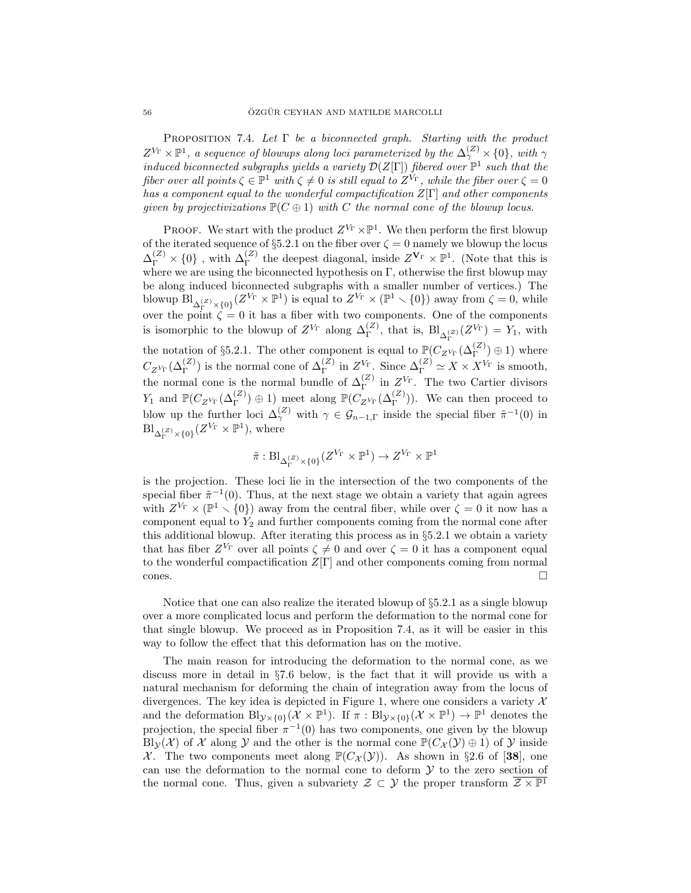PROPOSITION 7.4. Let  $\Gamma$  be a biconnected graph. Starting with the product  $Z^{V_{\Gamma}} \times \mathbb{P}^1$ , a sequence of blowups along loci parameterized by the  $\Delta_{\gamma}^{(Z)} \times \{0\}$ , with  $\gamma$ induced biconnected subgraphs yields a variety  $\mathcal{D}(Z[\Gamma])$  fibered over  $\mathbb{P}^1$  such that the fiber over all points  $\zeta \in \mathbb{P}^1$  with  $\zeta \neq 0$  is still equal to  $Z^{\dot{V}_{\Gamma}}$ , while the fiber over  $\zeta = 0$ has a component equal to the wonderful compactification  $Z[\Gamma]$  and other components given by projectivizations  $\mathbb{P}(C \oplus 1)$  with C the normal cone of the blowup locus.

**PROOF.** We start with the product  $Z^{V_{\Gamma}} \times \mathbb{P}^1$ . We then perform the first blowup of the iterated sequence of §5.2.1 on the fiber over  $\zeta = 0$  namely we blowup the locus  $\Delta_{\Gamma}^{(Z)} \times \{0\}$ , with  $\Delta_{\Gamma}^{(Z)}$  the deepest diagonal, inside  $Z^{\mathbf{V}_{\Gamma}} \times \mathbb{P}^{1}$ . (Note that this is where we are using the biconnected hypothesis on  $\Gamma$ , otherwise the first blowup may be along induced biconnected subgraphs with a smaller number of vertices.) The blowup  $\text{Bl}_{\Delta_{\Gamma}^{(Z)}\times\{0\}}(Z^{V_{\Gamma}}\times\mathbb{P}^{1})$  is equal to  $Z^{V_{\Gamma}}\times(\mathbb{P}^{1}\times\{0\})$  away from  $\zeta=0$ , while over the point  $\zeta = 0$  it has a fiber with two components. One of the components is isomorphic to the blowup of  $Z^{V_{\Gamma}}$  along  $\Delta_{\Gamma}^{(Z)}$ , that is,  $\text{Bl}_{\Delta_{\Gamma}^{(Z)}}(Z^{V_{\Gamma}}) = Y_1$ , with the notation of §5.2.1. The other component is equal to  $\mathbb{P}(C_{Z^{V_{\Gamma}}}(\Delta_{\Gamma}^{(Z)})\oplus 1)$  where  $C_{Z^{V_{\Gamma}}}(\Delta_{\Gamma}^{(Z)})$  is the normal cone of  $\Delta_{\Gamma}^{(Z)}$  in  $Z^{V_{\Gamma}}$ . Since  $\Delta_{\Gamma}^{(Z)} \simeq X \times X^{V_{\Gamma}}$  is smooth, the normal cone is the normal bundle of  $\Delta_{\Gamma}^{(Z)}$  in  $Z^{V_{\Gamma}}$ . The two Cartier divisors  $Y_1$  and  $\mathbb{P}(C_{Z^{V_{\Gamma}}}(\Delta_{\Gamma}^{(Z)})\oplus 1)$  meet along  $\mathbb{P}(C_{Z^{V_{\Gamma}}}(\Delta_{\Gamma}^{(Z)}))$ . We can then proceed to blow up the further loci  $\Delta_{\gamma}^{(Z)}$  with  $\gamma \in \mathcal{G}_{n-1,\Gamma}$  inside the special fiber  $\tilde{\pi}^{-1}(0)$  in  $\mathrm{Bl}_{\Delta_{\Gamma}^{(Z)}\times\{0\}}(Z^{V_{\Gamma}}\times\mathbb{P}^{1}),$  where

$$
\tilde{\pi}: \mathrm{Bl}_{\Delta_{\Gamma}^{(Z)}\times\{0\}}(Z^{V_{\Gamma}}\times \mathbb{P}^1)\to Z^{V_{\Gamma}}\times \mathbb{P}^1
$$

is the projection. These loci lie in the intersection of the two components of the special fiber  $\tilde{\pi}^{-1}(0)$ . Thus, at the next stage we obtain a variety that again agrees with  $Z^{V_{\Gamma}} \times (\mathbb{P}^1 \setminus \{0\})$  away from the central fiber, while over  $\zeta = 0$  it now has a component equal to  $Y_2$  and further components coming from the normal cone after this additional blowup. After iterating this process as in §5.2.1 we obtain a variety that has fiber  $Z^{V_{\Gamma}}$  over all points  $\zeta \neq 0$  and over  $\zeta = 0$  it has a component equal to the wonderful compactification  $Z[\Gamma]$  and other components coming from normal  $\Box$ 

Notice that one can also realize the iterated blowup of  $\S 5.2.1$  as a single blowup over a more complicated locus and perform the deformation to the normal cone for that single blowup. We proceed as in Proposition 7.4, as it will be easier in this way to follow the effect that this deformation has on the motive.

The main reason for introducing the deformation to the normal cone, as we discuss more in detail in §7.6 below, is the fact that it will provide us with a natural mechanism for deforming the chain of integration away from the locus of divergences. The key idea is depicted in Figure 1, where one considers a variety  $\mathcal{X}$ and the deformation  $\text{Bl}_{\mathcal{Y}\times\{0\}}(\mathcal{X}\times\mathbb{P}^1)$ . If  $\pi:\text{Bl}_{\mathcal{Y}\times\{0\}}(\mathcal{X}\times\mathbb{P}^1)\to\mathbb{P}^1$  denotes the projection, the special fiber  $\pi^{-1}(0)$  has two components, one given by the blowup Bly (X) of X along Y and the other is the normal cone  $\mathbb{P}(C_{\mathcal{X}}(\mathcal{Y})\oplus 1)$  of Y inside X. The two components meet along  $\mathbb{P}(C_{\mathcal{X}}(\mathcal{Y}))$ . As shown in §2.6 of [38], one can use the deformation to the normal cone to deform  $\mathcal Y$  to the zero section of the normal cone. Thus, given a subvariety  $\mathcal{Z} \subset \mathcal{Y}$  the proper transform  $\overline{\mathcal{Z} \times \mathbb{P}^1}$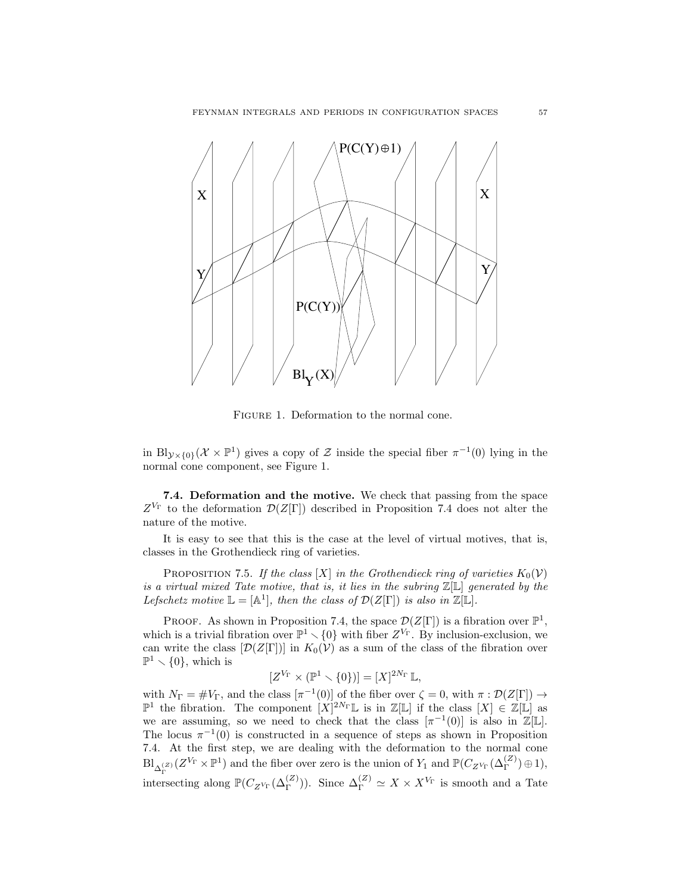

FIGURE 1. Deformation to the normal cone.

in Bl<sub>y ×{0}</sub>( $\mathcal{X} \times \mathbb{P}^1$ ) gives a copy of  $\mathcal Z$  inside the special fiber  $\pi^{-1}(0)$  lying in the normal cone component, see Figure 1.

7.4. Deformation and the motive. We check that passing from the space  $Z^{V_{\Gamma}}$  to the deformation  $\mathcal{D}(Z[\Gamma])$  described in Proposition 7.4 does not alter the nature of the motive.

It is easy to see that this is the case at the level of virtual motives, that is, classes in the Grothendieck ring of varieties.

PROPOSITION 7.5. If the class [X] in the Grothendieck ring of varieties  $K_0(V)$ is a virtual mixed Tate motive, that is, it lies in the subring  $\mathbb{Z}[\mathbb{L}]$  generated by the Lefschetz motive  $\mathbb{L} = [\mathbb{A}^1]$ , then the class of  $\mathcal{D}(Z[\Gamma])$  is also in  $\mathbb{Z}[\mathbb{L}]$ .

PROOF. As shown in Proposition 7.4, the space  $\mathcal{D}(Z[\Gamma])$  is a fibration over  $\mathbb{P}^1$ , which is a trivial fibration over  $\mathbb{P}^1 \setminus \{0\}$  with fiber  $Z^{V_{\Gamma}}$ . By inclusion-exclusion, we can write the class  $[\mathcal{D}(Z[\Gamma])]$  in  $K_0(\mathcal{V})$  as a sum of the class of the fibration over  $\mathbb{P}^1 \setminus \{0\}$ , which is

$$
[Z^{V_{\Gamma}} \times (\mathbb{P}^1 \times \{0\})] = [X]^{2N_{\Gamma}} \mathbb{L},
$$

with  $N_{\Gamma} = \# V_{\Gamma}$ , and the class  $[\pi^{-1}(0)]$  of the fiber over  $\zeta = 0$ , with  $\pi : \mathcal{D}(Z[\Gamma]) \to$  $\mathbb{P}^1$  the fibration. The component  $[X]^{2N_{\Gamma}}\mathbb{L}$  is in  $\mathbb{Z}[\mathbb{L}]$  if the class  $[X] \in \mathbb{Z}[\mathbb{L}]$  as we are assuming, so we need to check that the class  $[\pi^{-1}(0)]$  is also in  $\mathbb{Z}[\mathbb{L}]$ . The locus  $\pi^{-1}(0)$  is constructed in a sequence of steps as shown in Proposition 7.4. At the first step, we are dealing with the deformation to the normal cone  $\text{Bl}_{\Delta_{\Gamma}^{(Z)}}(Z^{V_{\Gamma}}\times \mathbb{P}^1)$  and the fiber over zero is the union of  $Y_1$  and  $\mathbb{P}(C_{Z^{V_{\Gamma}}}(\Delta_{\Gamma}^{(Z)})\oplus 1),$ intersecting along  $\mathbb{P}(C_{Z^{V_{\Gamma}}}(\Delta_{\Gamma}^{(Z)}))$ . Since  $\Delta_{\Gamma}^{(Z)} \simeq X \times X^{V_{\Gamma}}$  is smooth and a Tate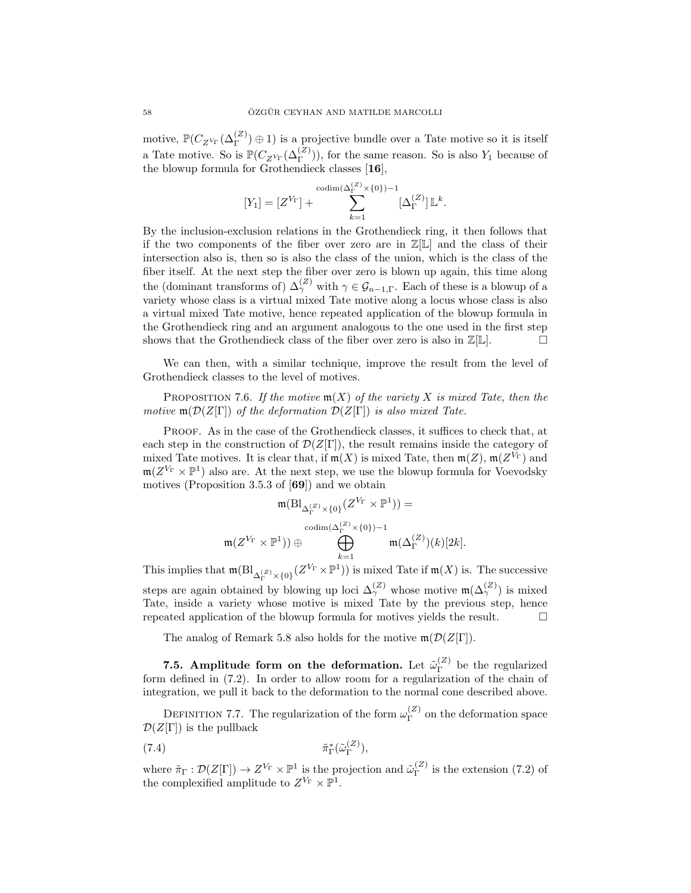motive,  $\mathbb{P}(C_{Z^{V_{\Gamma}}}(\Delta_{\Gamma}^{(Z)})\oplus 1)$  is a projective bundle over a Tate motive so it is itself a Tate motive. So is  $\mathbb{P}(C_{Z^{V_{\Gamma}}}(\Delta_{\Gamma}^{(Z)}))$ , for the same reason. So is also  $Y_1$  because of the blowup formula for Grothendieck classes [16],

$$
[Y_1] = [Z^{V_{\Gamma}}] + \sum_{k=1}^{\text{codim}(\Delta_{\Gamma}^{(Z)} \times \{0\})-1} [\Delta_{\Gamma}^{(Z)}] \mathbb{L}^k.
$$

By the inclusion-exclusion relations in the Grothendieck ring, it then follows that if the two components of the fiber over zero are in  $\mathbb{Z}[\mathbb{L}]$  and the class of their intersection also is, then so is also the class of the union, which is the class of the fiber itself. At the next step the fiber over zero is blown up again, this time along the (dominant transforms of)  $\Delta_{\gamma}^{(Z)}$  with  $\gamma \in \mathcal{G}_{n-1,\Gamma}$ . Each of these is a blowup of a variety whose class is a virtual mixed Tate motive along a locus whose class is also a virtual mixed Tate motive, hence repeated application of the blowup formula in the Grothendieck ring and an argument analogous to the one used in the first step shows that the Grothendieck class of the fiber over zero is also in  $\mathbb{Z}[\mathbb{L}]$ .

We can then, with a similar technique, improve the result from the level of Grothendieck classes to the level of motives.

PROPOSITION 7.6. If the motive  $m(X)$  of the variety X is mixed Tate, then the motive  $\mathfrak{m}(\mathcal{D}(Z[\Gamma])$  of the deformation  $\mathcal{D}(Z[\Gamma])$  is also mixed Tate.

Proof. As in the case of the Grothendieck classes, it suffices to check that, at each step in the construction of  $\mathcal{D}(Z[\Gamma])$ , the result remains inside the category of mixed Tate motives. It is clear that, if  $m(X)$  is mixed Tate, then  $m(Z)$ ,  $m(Z^{\mathcal{V}_{\Gamma}})$  and  $m(Z^{V_{\Gamma}} \times \mathbb{P}^1)$  also are. At the next step, we use the blowup formula for Voevodsky motives (Proposition 3.5.3 of [69]) and we obtain

$$
\mathfrak{m}(\mathrm{Bl}_{\Delta_{\Gamma}^{(Z)}\times\{0\}}(Z^{V_{\Gamma}}\times\mathbb{P}^{1})) =
$$

$$
\operatorname{codim}(\Delta_{\Gamma}^{(Z)}\times\{0\})-1
$$

$$
\bigoplus_{k=1}^{\operatorname{codim}(\Delta_{\Gamma}^{(Z)}\times\{0\})-1} \mathfrak{m}(\Delta_{\Gamma}^{(Z)})(k)[2k].
$$

This implies that  $\mathfrak{m}(\mathrm{Bl}_{\Delta_\Gamma^{(Z)}\times\{0\}}(Z^{V_\Gamma}\times\mathbb{P}^1))$  is mixed Tate if  $\mathfrak{m}(X)$  is. The successive steps are again obtained by blowing up loci  $\Delta_{\gamma}^{(Z)}$  whose motive  $\mathfrak{m}(\Delta_{\gamma}^{(Z)})$  is mixed Tate, inside a variety whose motive is mixed Tate by the previous step, hence repeated application of the blowup formula for motives yields the result.  $\Box$ 

The analog of Remark 5.8 also holds for the motive  $\mathfrak{m}(\mathcal{D}(Z[\Gamma]).$ 

7.5. Amplitude form on the deformation. Let  $\tilde{\omega}_{\Gamma}^{(Z)}$  $\Gamma$ <sup>(2)</sup> be the regularized form defined in (7.2). In order to allow room for a regularization of the chain of integration, we pull it back to the deformation to the normal cone described above.

DEFINITION 7.7. The regularization of the form  $\omega_{\Gamma}^{(Z)}$  $\Gamma$ <sup>( $\angle$ )</sup> on the deformation space  $\mathcal{D}(Z[\Gamma])$  is the pullback

$$
(7.4) \qquad \qquad \tilde{\pi}_{\Gamma}^*(\tilde{\omega}_{\Gamma}^{(Z)}),
$$

where  $\tilde{\pi}_{\Gamma}: \mathcal{D}(Z[\Gamma]) \to Z^{V_{\Gamma}} \times \mathbb{P}^1$  is the projection and  $\tilde{\omega}_{\Gamma}^{(Z)}$  $T^{(2)}$  is the extension (7.2) of the complexified amplitude to  $Z^{V_{\Gamma}} \times \mathbb{P}^1$ .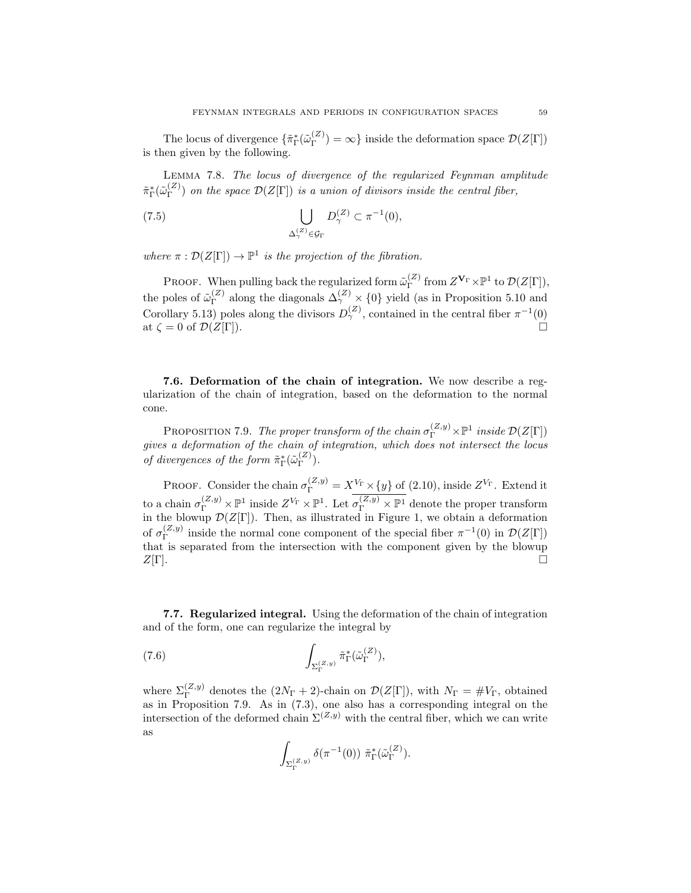The locus of divergence  $\{\tilde{\pi}_{\Gamma}^{\ast}(\tilde{\omega}_{\Gamma}^{(Z)}\)$  $\Gamma(\mathcal{L}) = \infty$ } inside the deformation space  $\mathcal{D}(Z[\Gamma])$ is then given by the following.

Lemma 7.8. The locus of divergence of the regularized Feynman amplitude  $\tilde \pi_\Gamma^*(\tilde \omega_\Gamma^{(Z)}$  $\binom{2}{\Gamma}$  on the space  $\mathcal{D}(Z[\Gamma])$  is a union of divisors inside the central fiber,

(7.5) 
$$
\bigcup_{\Delta_{\gamma}^{(Z)} \in \mathcal{G}_{\Gamma}} D_{\gamma}^{(Z)} \subset \pi^{-1}(0),
$$

where  $\pi : \mathcal{D}(Z[\Gamma]) \to \mathbb{P}^1$  is the projection of the fibration.

**PROOF.** When pulling back the regularized form  $\tilde{\omega}_{\Gamma}^{(Z)}$  from  $Z^{\mathbf{V}_{\Gamma}} \times \mathbb{P}^1$  to  $\mathcal{D}(Z[\Gamma]),$ Γ the poles of  $\tilde{\omega}_{\Gamma}^{(Z)}$  $\Gamma_{\Gamma}^{(Z)}$  along the diagonals  $\Delta_{\gamma}^{(Z)} \times \{0\}$  yield (as in Proposition 5.10 and Corollary 5.13) poles along the divisors  $D_{\gamma}^{(Z)}$ , contained in the central fiber  $\pi^{-1}(0)$ at  $\zeta = 0$  of  $\mathcal{D}(Z[\Gamma]).$ 

7.6. Deformation of the chain of integration. We now describe a regularization of the chain of integration, based on the deformation to the normal cone.

PROPOSITION 7.9. The proper transform of the chain  $\sigma_{\Gamma}^{(Z,y)} \times \mathbb{P}^1$  inside  $\mathcal{D}(Z[\Gamma])$ gives a deformation of the chain of integration, which does not intersect the locus of divergences of the form  $\tilde{\pi}_{\Gamma}^{*}(\tilde{\omega}_{\Gamma}^{(Z)})$  $\binom{(\mathcal{Z})}{\Gamma}$ .

PROOF. Consider the chain  $\sigma_{\Gamma}^{(Z,y)} = X^{V_{\Gamma}} \times \{y\}$  of (2.10), inside  $Z^{V_{\Gamma}}$ . Extend it to a chain  $\sigma_{\Gamma}^{(Z,y)} \times \mathbb{P}^1$  inside  $Z^{V_{\Gamma}} \times \mathbb{P}^1$ . Let  $\sigma_{\Gamma}^{(Z,y)} \times \mathbb{P}^1$  denote the proper transform in the blowup  $\mathcal{D}(Z[\Gamma])$ . Then, as illustrated in Figure 1, we obtain a deformation of  $\sigma_{\Gamma}^{(Z,y)}$  $\Gamma$ <sup>(*Z,y*)</sup> inside the normal cone component of the special fiber  $\pi^{-1}(0)$  in  $\mathcal{D}(Z[\Gamma])$ that is separated from the intersection with the component given by the blowup  $Z[\Gamma]$ .

7.7. Regularized integral. Using the deformation of the chain of integration and of the form, one can regularize the integral by

(7.6) 
$$
\int_{\Sigma_{\Gamma}^{(Z,y)}} \tilde{\pi}_{\Gamma}^*(\tilde{\omega}_{\Gamma}^{(Z)}),
$$

where  $\Sigma_{\Gamma}^{(Z,y)}$  denotes the  $(2N_{\Gamma}+2)$ -chain on  $\mathcal{D}(Z[\Gamma]),$  with  $N_{\Gamma} = \#V_{\Gamma}$ , obtained as in Proposition 7.9. As in (7.3), one also has a corresponding integral on the intersection of the deformed chain  $\Sigma^{(Z,y)}$  with the central fiber, which we can write as

$$
\int_{\Sigma_{\Gamma}^{(Z,y)}} \delta(\pi^{-1}(0)) \,\, \tilde{\pi}_{\Gamma}^{\ast}(\tilde{\omega}_{\Gamma}^{(Z)}).
$$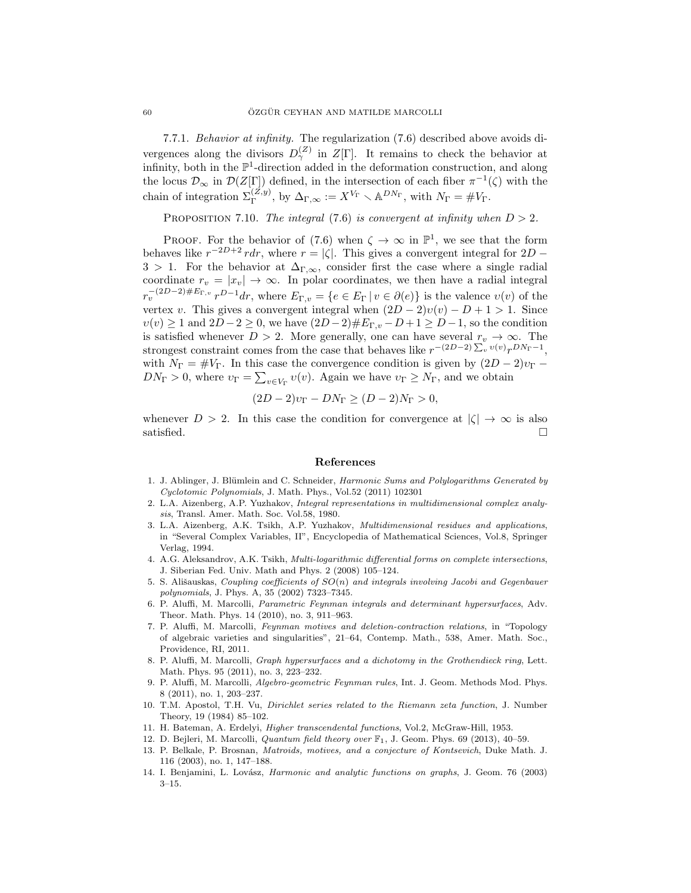7.7.1. Behavior at infinity. The regularization (7.6) described above avoids divergences along the divisors  $D_{\gamma}^{(Z)}$  in  $Z[\Gamma]$ . It remains to check the behavior at infinity, both in the  $\mathbb{P}^1$ -direction added in the deformation construction, and along the locus  $\mathcal{D}_{\infty}$  in  $\mathcal{D}(Z[\Gamma])$  defined, in the intersection of each fiber  $\pi^{-1}(\zeta)$  with the chain of integration  $\Sigma_{\Gamma}^{(Z,y)}$ , by  $\Delta_{\Gamma,\infty} := X^{V_{\Gamma}} \setminus \mathbb{A}^{DN_{\Gamma}}$ , with  $N_{\Gamma} = \#V_{\Gamma}$ .

PROPOSITION 7.10. The integral (7.6) is convergent at infinity when  $D > 2$ .

PROOF. For the behavior of (7.6) when  $\zeta \to \infty$  in  $\mathbb{P}^1$ , we see that the form behaves like  $r^{-2D+2}$  rdr, where  $r = |\zeta|$ . This gives a convergent integral for  $2D -$ 3 > 1. For the behavior at  $\Delta_{\Gamma,\infty}$ , consider first the case where a single radial coordinate  $r_v = |x_v| \to \infty$ . In polar coordinates, we then have a radial integral  $r_v^{-(2D-2)\#E_{\Gamma,v}} r^{D-1} dr$ , where  $E_{\Gamma,v} = \{e \in E_{\Gamma} | v \in \partial(e) \}$  is the valence  $v(v)$  of the vertex v. This gives a convergent integral when  $(2D-2)v(v) - D + 1 > 1$ . Since  $v(v) \geq 1$  and  $2D-2 \geq 0$ , we have  $(2D-2)\#E_{\Gamma,v} - D + 1 \geq D-1$ , so the condition is satisfied whenever  $D > 2$ . More generally, one can have several  $r_v \to \infty$ . The strongest constraint comes from the case that behaves like  $r^{-(2D-2)\sum_v v(v)}r^{DN_{\Gamma}-1}$ , with  $N_{\Gamma} = \#V_{\Gamma}$ . In this case the convergence condition is given by  $(2D - 2)v_{\Gamma}$  $DN_{\Gamma} > 0$ , where  $v_{\Gamma} = \sum_{v \in V_{\Gamma}} v(v)$ . Again we have  $v_{\Gamma} \ge N_{\Gamma}$ , and we obtain

$$
(2D - 2)v_{\Gamma} - DN_{\Gamma} \ge (D - 2)N_{\Gamma} > 0,
$$

whenever  $D > 2$ . In this case the condition for convergence at  $|\zeta| \to \infty$  is also satisfied.  $\Box$ 

#### References

- 1. J. Ablinger, J. Blümlein and C. Schneider, Harmonic Sums and Polylogarithms Generated by Cyclotomic Polynomials, J. Math. Phys., Vol.52 (2011) 102301
- 2. L.A. Aizenberg, A.P. Yuzhakov, Integral representations in multidimensional complex analysis, Transl. Amer. Math. Soc. Vol.58, 1980.
- 3. L.A. Aizenberg, A.K. Tsikh, A.P. Yuzhakov, Multidimensional residues and applications, in "Several Complex Variables, II", Encyclopedia of Mathematical Sciences, Vol.8, Springer Verlag, 1994.
- 4. A.G. Aleksandrov, A.K. Tsikh, Multi-logarithmic differential forms on complete intersections, J. Siberian Fed. Univ. Math and Phys. 2 (2008) 105–124.
- 5. S. Ališauskas, Coupling coefficients of  $SO(n)$  and integrals involving Jacobi and Gegenbauer polynomials, J. Phys. A, 35 (2002) 7323–7345.
- 6. P. Aluffi, M. Marcolli, Parametric Feynman integrals and determinant hypersurfaces, Adv. Theor. Math. Phys. 14 (2010), no. 3, 911–963.
- 7. P. Aluffi, M. Marcolli, Feynman motives and deletion-contraction relations, in "Topology of algebraic varieties and singularities", 21–64, Contemp. Math., 538, Amer. Math. Soc., Providence, RI, 2011.
- 8. P. Aluffi, M. Marcolli, Graph hypersurfaces and a dichotomy in the Grothendieck ring, Lett. Math. Phys. 95 (2011), no. 3, 223–232.
- 9. P. Aluffi, M. Marcolli, Algebro-geometric Feynman rules, Int. J. Geom. Methods Mod. Phys. 8 (2011), no. 1, 203–237.
- 10. T.M. Apostol, T.H. Vu, Dirichlet series related to the Riemann zeta function, J. Number Theory, 19 (1984) 85–102.
- 11. H. Bateman, A. Erdelyi, Higher transcendental functions, Vol.2, McGraw-Hill, 1953.
- 12. D. Bejleri, M. Marcolli, *Quantum field theory over*  $\mathbb{F}_1$ , J. Geom. Phys. 69 (2013), 40-59.
- 13. P. Belkale, P. Brosnan, Matroids, motives, and a conjecture of Kontsevich, Duke Math. J. 116 (2003), no. 1, 147–188.
- 14. I. Benjamini, L. Lovász, Harmonic and analytic functions on graphs, J. Geom. 76 (2003) 3–15.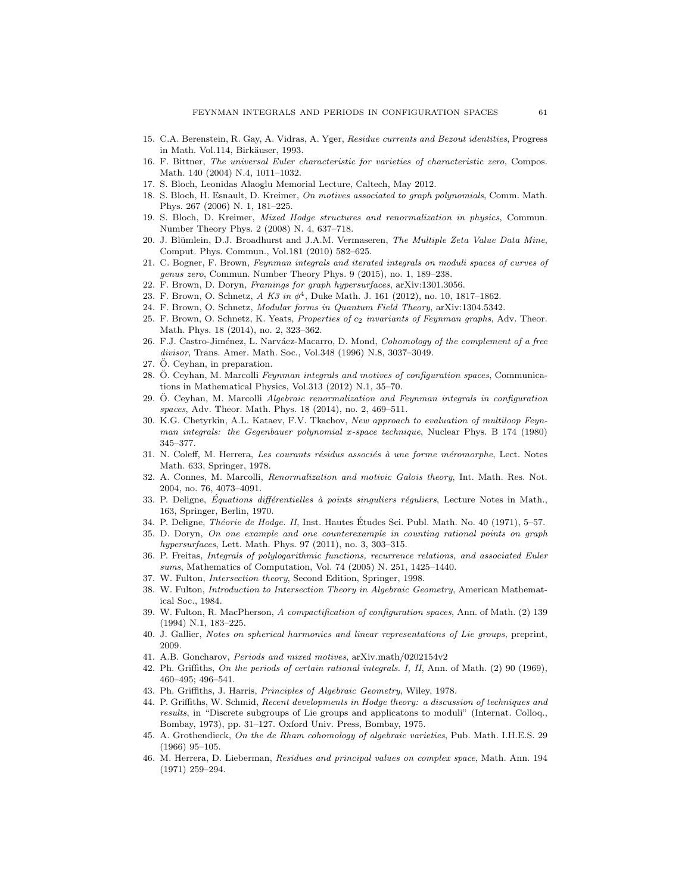- 15. C.A. Berenstein, R. Gay, A. Vidras, A. Yger, Residue currents and Bezout identities, Progress in Math. Vol.114, Birkäuser, 1993.
- 16. F. Bittner, The universal Euler characteristic for varieties of characteristic zero, Compos. Math. 140 (2004) N.4, 1011–1032.
- 17. S. Bloch, Leonidas Alaoglu Memorial Lecture, Caltech, May 2012.
- 18. S. Bloch, H. Esnault, D. Kreimer, On motives associated to graph polynomials, Comm. Math. Phys. 267 (2006) N. 1, 181–225.
- 19. S. Bloch, D. Kreimer, Mixed Hodge structures and renormalization in physics, Commun. Number Theory Phys. 2 (2008) N. 4, 637–718.
- 20. J. Blümlein, D.J. Broadhurst and J.A.M. Vermaseren, The Multiple Zeta Value Data Mine, Comput. Phys. Commun., Vol.181 (2010) 582–625.
- 21. C. Bogner, F. Brown, Feynman integrals and iterated integrals on moduli spaces of curves of genus zero, Commun. Number Theory Phys. 9 (2015), no. 1, 189–238.
- 22. F. Brown, D. Doryn, Framings for graph hypersurfaces, arXiv:1301.3056.
- 23. F. Brown, O. Schnetz, A K3 in  $\phi^4$ , Duke Math. J. 161 (2012), no. 10, 1817–1862.
- 24. F. Brown, O. Schnetz, Modular forms in Quantum Field Theory, arXiv:1304.5342.
- 25. F. Brown, O. Schnetz, K. Yeats, Properties of  $c_2$  invariants of Feynman graphs, Adv. Theor. Math. Phys. 18 (2014), no. 2, 323–362.
- 26. F.J. Castro-Jiménez, L. Narváez-Macarro, D. Mond, Cohomology of the complement of a free divisor, Trans. Amer. Math. Soc., Vol.348 (1996) N.8, 3037–3049.
- $27. \ddot{\text{O}}$ . Ceyhan, in preparation.
- 28. Ö. Ceyhan, M. Marcolli Feynman integrals and motives of configuration spaces, Communications in Mathematical Physics, Vol.313 (2012) N.1, 35–70.
- 29. Ö. Ceyhan, M. Marcolli Algebraic renormalization and Feynman integrals in configuration spaces, Adv. Theor. Math. Phys. 18 (2014), no. 2, 469–511.
- 30. K.G. Chetyrkin, A.L. Kataev, F.V. Tkachov, New approach to evaluation of multiloop Feynman integrals: the Gegenbauer polynomial x-space technique, Nuclear Phys. B 174 (1980) 345–377.
- 31. N. Coleff, M. Herrera, Les courants résidus associés à une forme méromorphe, Lect. Notes Math. 633, Springer, 1978.
- 32. A. Connes, M. Marcolli, Renormalization and motivic Galois theory, Int. Math. Res. Not. 2004, no. 76, 4073–4091.
- 33. P. Deligne, Équations différentielles à points singuliers réguliers, Lecture Notes in Math., 163, Springer, Berlin, 1970.
- 34. P. Deligne, *Théorie de Hodge. II*, Inst. Hautes Études Sci. Publ. Math. No. 40 (1971), 5-57.
- 35. D. Doryn, On one example and one counterexample in counting rational points on graph hypersurfaces, Lett. Math. Phys. 97 (2011), no. 3, 303–315.
- 36. P. Freitas, Integrals of polylogarithmic functions, recurrence relations, and associated Euler sums, Mathematics of Computation, Vol. 74 (2005) N. 251, 1425–1440.
- 37. W. Fulton, Intersection theory, Second Edition, Springer, 1998.
- 38. W. Fulton, Introduction to Intersection Theory in Algebraic Geometry, American Mathematical Soc., 1984.
- 39. W. Fulton, R. MacPherson, A compactification of configuration spaces, Ann. of Math. (2) 139 (1994) N.1, 183–225.
- 40. J. Gallier, Notes on spherical harmonics and linear representations of Lie groups, preprint, 2009.
- 41. A.B. Goncharov, Periods and mixed motives, arXiv.math/0202154v2
- 42. Ph. Griffiths, On the periods of certain rational integrals. I, II, Ann. of Math. (2) 90 (1969), 460–495; 496–541.
- 43. Ph. Griffiths, J. Harris, Principles of Algebraic Geometry, Wiley, 1978.
- 44. P. Griffiths, W. Schmid, Recent developments in Hodge theory: a discussion of techniques and results, in "Discrete subgroups of Lie groups and applicatons to moduli" (Internat. Colloq., Bombay, 1973), pp. 31–127. Oxford Univ. Press, Bombay, 1975.
- 45. A. Grothendieck, On the de Rham cohomology of algebraic varieties, Pub. Math. I.H.E.S. 29 (1966) 95–105.
- 46. M. Herrera, D. Lieberman, Residues and principal values on complex space, Math. Ann. 194 (1971) 259–294.